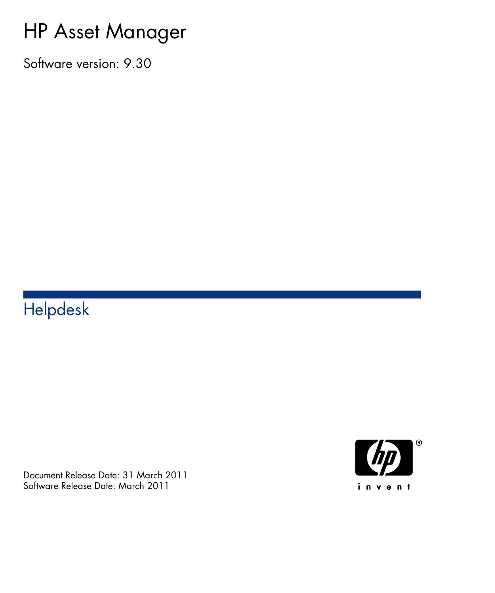## <span id="page-0-0"></span>HP Asset Manager

Software version: 9.30

## **Helpdesk**

Document Release Date: 31 March 2011 Software Release Date: March 2011

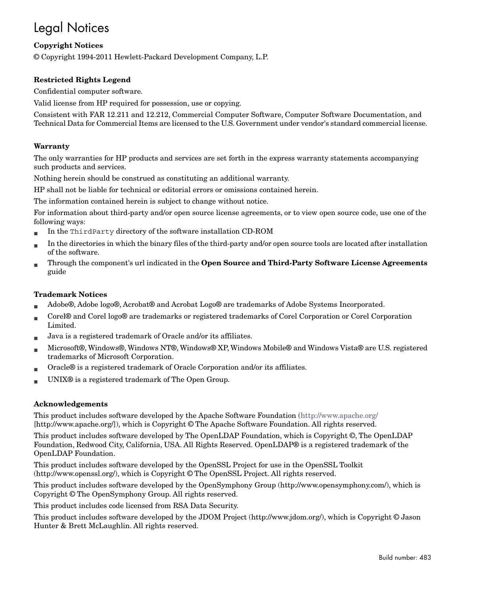## Legal Notices

#### **Copyright Notices**

© Copyright 1994-2011 Hewlett-Packard Development Company, L.P.

#### **Restricted Rights Legend**

Confidential computer software.

Valid license from HP required for possession, use or copying.

Consistent with FAR 12.211 and 12.212, Commercial Computer Software, Computer Software Documentation, and Technical Data for Commercial Items are licensed to the U.S. Government under vendor's standard commercial license.

#### **Warranty**

The only warranties for HP products and services are set forth in the express warranty statements accompanying such products and services.

Nothing herein should be construed as constituting an additional warranty.

HP shall not be liable for technical or editorial errors or omissions contained herein.

The information contained herein is subject to change without notice.

For information about third-party and/or open source license agreements, or to view open source code, use one of the following ways:

- <sup>n</sup> In the ThirdParty directory of the software installation CD-ROM
- n In the directories in which the binary files of the third-party and/or open source tools are located after installation of the software.
- n Through the component's url indicated in the **Open Source and Third-Party Software License Agreements** guide

#### **Trademark Notices**

- n Adobe®, Adobe logo®, Acrobat® and Acrobat Logo® are trademarks of Adobe Systems Incorporated.
- n Corel® and Corel logo® are trademarks or registered trademarks of Corel Corporation or Corel Corporation Limited.
- Java is a registered trademark of Oracle and/or its affiliates.
- n Microsoft®, Windows®, Windows NT®, Windows® XP, Windows Mobile® and Windows Vista® are U.S. registered trademarks of Microsoft Corporation.
- Oracle<sup>®</sup> is a registered trademark of Oracle Corporation and/or its affiliates.
- UNIX<sup>®</sup> is a registered trademark of The Open Group.

#### **Acknowledgements**

This product includes software developed by the Apache Software Foundation [\(http://www.apache.org/](http://www.apache.org/) [http://www.apache.org/]), which is Copyright © The Apache Software Foundation. All rights reserved.

This product includes software developed by The OpenLDAP Foundation, which is Copyright ©, The OpenLDAP Foundation, Redwood City, California, USA. All Rights Reserved. OpenLDAP® is a registered trademark of the OpenLDAP Foundation.

This product includes software developed by the OpenSSL Project for use in the OpenSSL Toolkit (http://www.openssl.org/), which is Copyright © The OpenSSL Project. All rights reserved.

This product includes software developed by the OpenSymphony Group (http://www.opensymphony.com/), which is Copyright © The OpenSymphony Group. All rights reserved.

This product includes code licensed from RSA Data Security.

This product includes software developed by the JDOM Project (http://www.jdom.org/), which is Copyright © Jason Hunter & Brett McLaughlin. All rights reserved.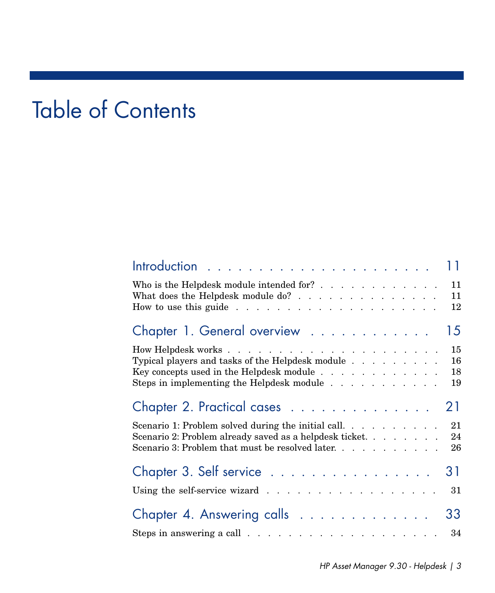# Table of Contents

| 11<br>Introduction $\ldots \ldots \ldots \ldots \ldots \ldots \ldots \ldots$                                                                                             |                      |
|--------------------------------------------------------------------------------------------------------------------------------------------------------------------------|----------------------|
| What does the Helpdesk module do?                                                                                                                                        | 11<br>11<br>12       |
| 15<br>Chapter 1. General overview                                                                                                                                        |                      |
| Typical players and tasks of the Helpdesk module                                                                                                                         | 15<br>16<br>18<br>19 |
| Chapter 2. Practical cases<br>21                                                                                                                                         |                      |
| Scenario 1: Problem solved during the initial call. 21<br>Scenario 2: Problem already saved as a helpdesk ticket. 24<br>Scenario 3: Problem that must be resolved later. | 26                   |
| Chapter 3. Self service<br>31<br>Using the self-service wizard 31                                                                                                        |                      |
| 33<br>Chapter 4. Answering calls                                                                                                                                         |                      |
|                                                                                                                                                                          |                      |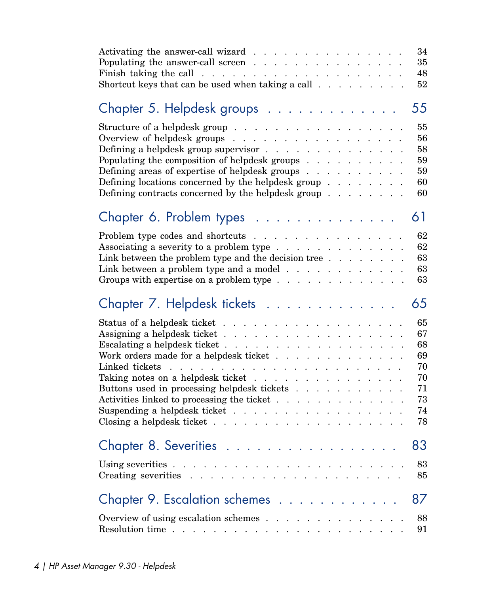| Activating the answer-call wizard<br>Shortcut keys that can be used when taking a call $\ldots$                                                                                                                                                                                                                     | 34<br>35<br>48<br>52                                     |
|---------------------------------------------------------------------------------------------------------------------------------------------------------------------------------------------------------------------------------------------------------------------------------------------------------------------|----------------------------------------------------------|
| Chapter 5. Helpdesk groups                                                                                                                                                                                                                                                                                          | 55                                                       |
| Structure of a helpdesk group<br>Overview of helpdesk groups<br>Defining a helpdesk group supervisor<br>Populating the composition of helpdesk groups<br>Defining areas of expertise of helpdesk groups<br>Defining locations concerned by the helpdesk group<br>Defining contracts concerned by the helpdesk group | 55<br>56<br>58<br>59<br>59<br>60<br>60                   |
| Chapter 6. Problem types                                                                                                                                                                                                                                                                                            | 61                                                       |
| Problem type codes and shortcuts<br>Associating a severity to a problem type<br>Link between the problem type and the decision tree $\ldots$<br>Link between a problem type and a model $\ldots$<br>Groups with expertise on a problem type                                                                         | 62<br>62<br>63<br>63<br>63                               |
| Chapter 7. Helpdesk tickets                                                                                                                                                                                                                                                                                         | 65                                                       |
| Work orders made for a helpdesk ticket<br>Taking notes on a helpdesk ticket<br>Buttons used in processing helpdesk tickets<br>Activities linked to processing the ticket<br>Suspending a helpdesk ticket                                                                                                            | 65<br>67<br>68<br>69<br>70<br>70<br>71<br>73<br>74<br>78 |
| Chapter 8. Severities                                                                                                                                                                                                                                                                                               | 83                                                       |
| Using severities.<br>$\cdots$<br>Creating severities                                                                                                                                                                                                                                                                | 83<br>85                                                 |
| Chapter 9. Escalation schemes                                                                                                                                                                                                                                                                                       | 87                                                       |
| Overview of using escalation schemes<br>Resolution time                                                                                                                                                                                                                                                             | 88<br>91                                                 |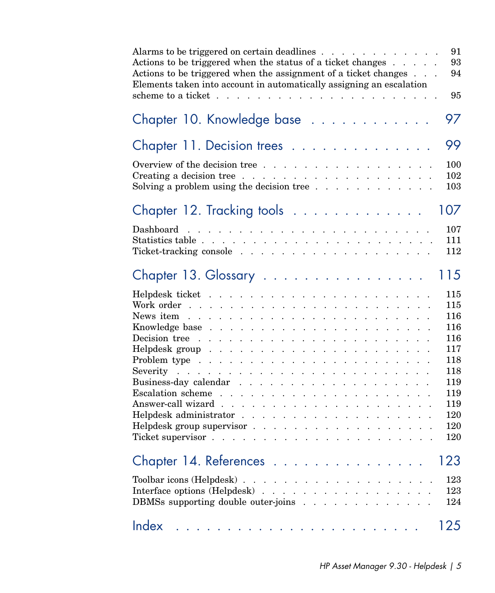| 91<br>Alarms to be triggered on certain deadlines<br>Actions to be triggered when the status of a ticket changes<br>93<br>Actions to be triggered when the assignment of a ticket changes<br>Elements taken into account in automatically assigning an escalation           | 94 |
|-----------------------------------------------------------------------------------------------------------------------------------------------------------------------------------------------------------------------------------------------------------------------------|----|
| 95                                                                                                                                                                                                                                                                          |    |
| 97<br>Chapter 10. Knowledge base                                                                                                                                                                                                                                            |    |
| 99<br>Chapter 11. Decision trees                                                                                                                                                                                                                                            |    |
| 100<br>Overview of the decision tree $\ldots$ $\ldots$ $\ldots$ $\ldots$ $\ldots$ $\ldots$ $\ldots$<br>102<br>Creating a decision tree $\ldots$ $\ldots$ $\ldots$ $\ldots$ $\ldots$ $\ldots$ $\ldots$ $\ldots$<br>Solving a problem using the decision tree $\ldots$<br>103 |    |
| 107<br>Chapter 12. Tracking tools                                                                                                                                                                                                                                           |    |
| 107<br>Dashboard<br>the contract of the contract of the contract of the contract of the contract of the contract of the contract of the contract of the contract of the contract of the contract of the contract of the contract of the contract o<br>111<br>112            |    |
| 115<br>Chapter 13. Glossary                                                                                                                                                                                                                                                 |    |
| 115<br>115<br>116<br>116<br>116<br>117<br>118<br>118<br>119<br>119<br>119<br>120<br>120<br>120                                                                                                                                                                              |    |
| Chapter 14. References<br>123<br>$\mathcal{A}$ , and $\mathcal{A}$ , and $\mathcal{A}$ , and $\mathcal{A}$                                                                                                                                                                  |    |
| Toolbar icons (Helpdesk)<br>123<br>123<br>DBMSs supporting double outer-joins<br>124                                                                                                                                                                                        |    |
| 125<br>Index<br>and a series and a series                                                                                                                                                                                                                                   |    |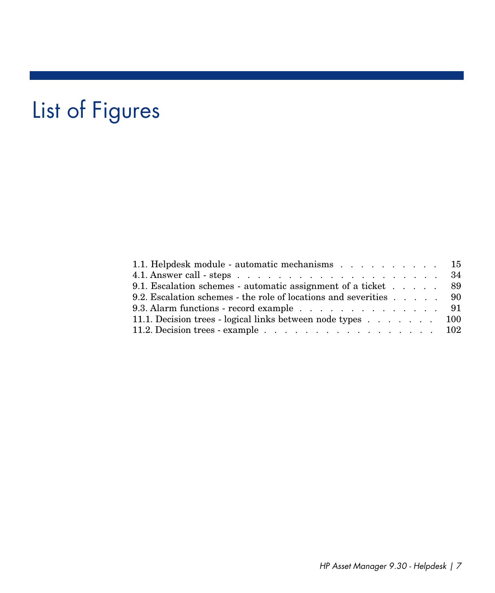# List of Figures

| 1.1. Helpdesk module - automatic mechanisms 15                                                      |  |
|-----------------------------------------------------------------------------------------------------|--|
| 4.1. Answer call - steps $\ldots$ $\ldots$ $\ldots$ $\ldots$ $\ldots$ $\ldots$ $\ldots$ $\ldots$ 34 |  |
| 9.1. Escalation schemes - automatic assignment of a ticket 89                                       |  |
| 9.2. Escalation schemes - the role of locations and severities 90                                   |  |
| 9.3. Alarm functions - record example 91                                                            |  |
| 11.1. Decision trees - logical links between node types 100                                         |  |
| 11.2. Decision trees - example 102                                                                  |  |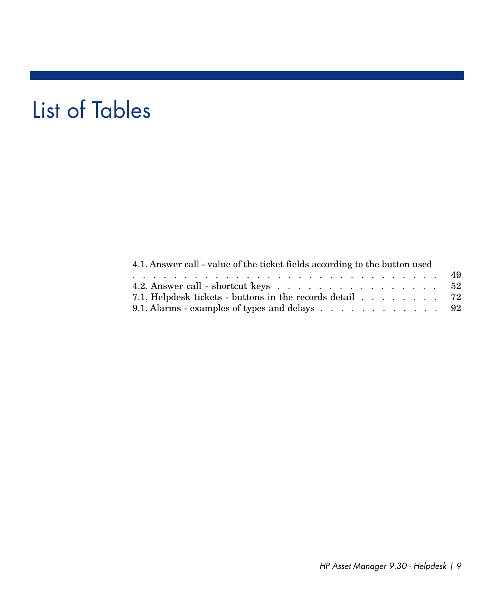# List of Tables

| 4.1. Answer call - value of the ticket fields according to the button used |  |
|----------------------------------------------------------------------------|--|
|                                                                            |  |
| 4.2. Answer call - shortcut keys $\ldots$ 52                               |  |
| 7.1. Helpdesk tickets - buttons in the records detail 72                   |  |
| 9.1. Alarms - examples of types and delays 92                              |  |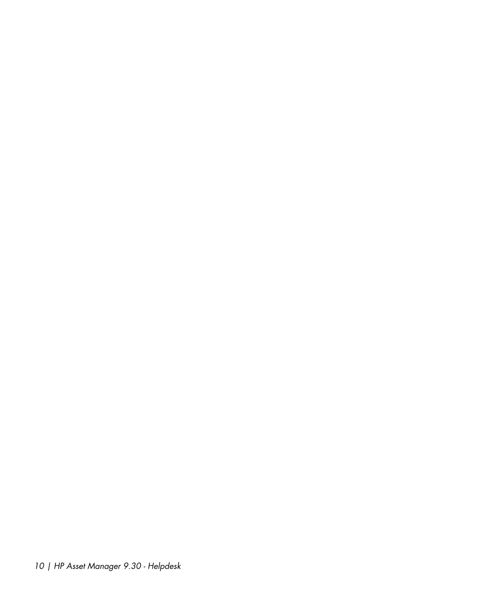*10 | HP Asset Manager 9.30 - Helpdesk*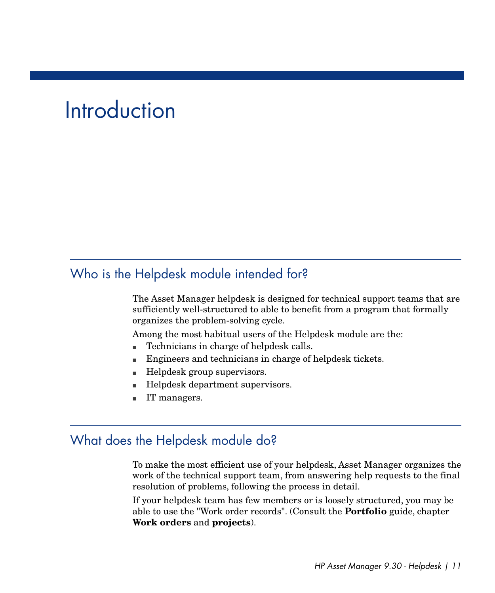## **Introduction**

## <span id="page-10-0"></span>Who is the Helpdesk module intended for?

The Asset Manager helpdesk is designed for technical support teams that are sufficiently well-structured to able to benefit from a program that formally organizes the problem-solving cycle.

Among the most habitual users of the Helpdesk module are the:

- Technicians in charge of helpdesk calls.
- Engineers and technicians in charge of helpdesk tickets.
- <span id="page-10-1"></span>Helpdesk group supervisors.
- <sup>n</sup> Helpdesk department supervisors.
- IT managers.

## What does the Helpdesk module do?

To make the most efficient use of your helpdesk, Asset Manager organizes the work of the technical support team, from answering help requests to the final resolution of problems, following the process in detail.

If your helpdesk team has few members or is loosely structured, you may be able to use the "Work order records". (Consult the **Portfolio** guide, chapter **Work orders** and **projects**).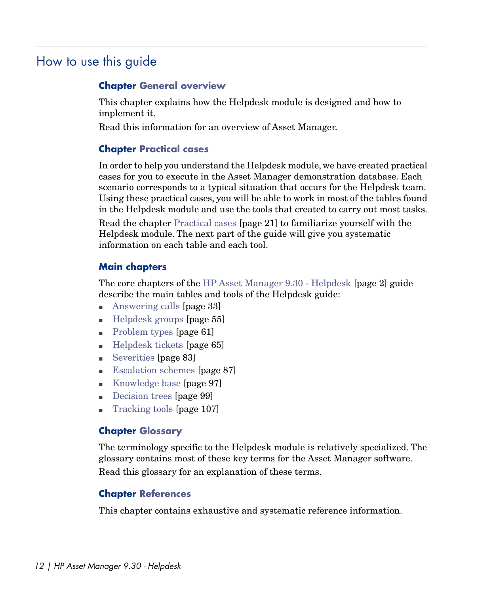## How to use this guide

## <span id="page-11-0"></span>**Chapter [General overview](#page-14-0)**

This chapter explains how the Helpdesk module is designed and how to implement it.

Read this information for an overview of Asset Manager.

## **Chapter [Practical cases](#page-20-0)**

In order to help you understand the Helpdesk module, we have created practical cases for you to execute in the Asset Manager demonstration database. Each scenario corresponds to a typical situation that occurs for the Helpdesk team. Using these practical cases, you will be able to work in most of the tables found in the Helpdesk module and use the tools that created to carry out most tasks.

Read the chapter [Practical cases](#page-20-0) [page 21] to familiarize yourself with the Helpdesk module. The next part of the guide will give you systematic information on each table and each tool.

## **Main chapters**

The core chapters of the [HP Asset Manager 9.30 - Helpdesk](#page-0-0) [page 2] guide describe the main tables and tools of the Helpdesk guide:

- **n** [Answering calls](#page-32-0) [page 33]
- [Helpdesk groups](#page-54-0) [page 55]
- [Problem types](#page-60-0)  $[page 61]$
- [Helpdesk tickets](#page-64-0) [page 65]
- **s** [Severities](#page-82-0) [page 83]
- $\blacksquare$  [Escalation schemes](#page-86-0) [page 87]
- **n** [Knowledge base](#page-96-0) [page 97]
- [Decision trees](#page-98-0) [page 99]
- [Tracking tools](#page-106-0) [page 107]

## **Chapter [Glossary](#page-114-0)**

The terminology specific to the Helpdesk module is relatively specialized. The glossary contains most of these key terms for the Asset Manager software. Read this glossary for an explanation of these terms.

## **Chapter [References](#page-122-0)**

This chapter contains exhaustive and systematic reference information.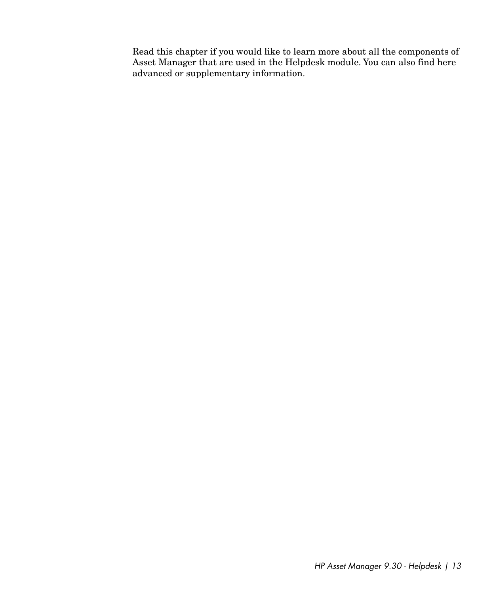Read this chapter if you would like to learn more about all the components of Asset Manager that are used in the Helpdesk module. You can also find here advanced or supplementary information.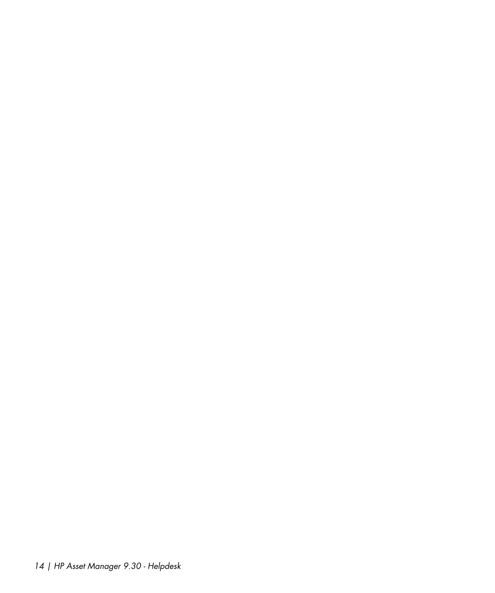*14 | HP Asset Manager 9.30 - Helpdesk*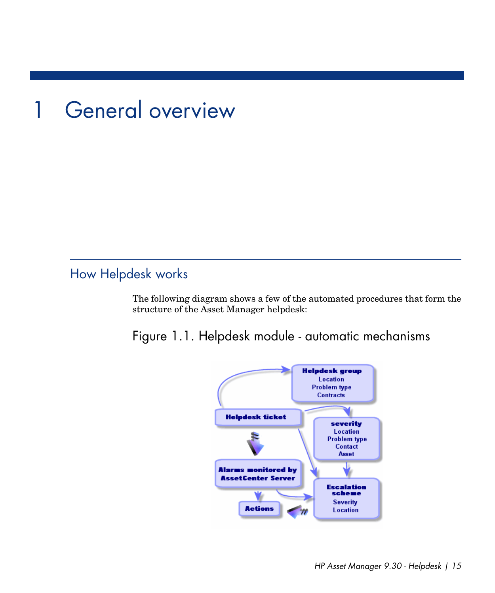## 1 General overview

## <span id="page-14-0"></span>How Helpdesk works

<span id="page-14-1"></span>The following diagram shows a few of the automated procedures that form the structure of the Asset Manager helpdesk:

Figure 1.1. Helpdesk module - automatic mechanisms

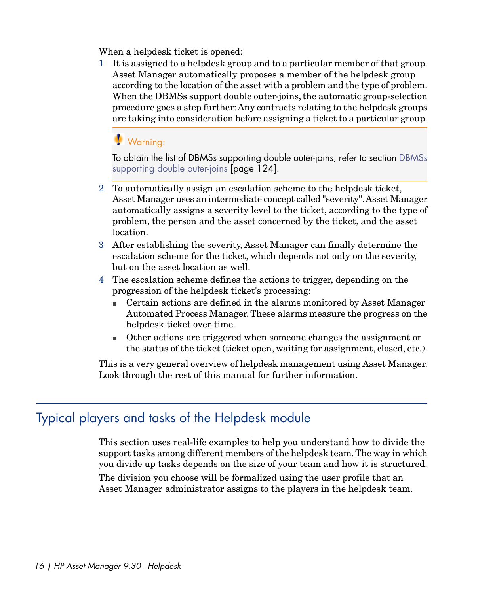When a helpdesk ticket is opened:

1 It is assigned to a helpdesk group and to a particular member of that group. Asset Manager automatically proposes a member of the helpdesk group according to the location of the asset with a problem and the type of problem. When the DBMSs support double outer-joins, the automatic group-selection procedure goes a step further:Any contracts relating to the helpdesk groups are taking into consideration before assigning a ticket to a particular group.

## Warning:

To obtain the list of DBMSs supporting double outer-joins, refer to section [DBMSs](#page-123-0) [supporting double outer-joins](#page-123-0) [page 124].

- 2 To automatically assign an escalation scheme to the helpdesk ticket, Asset Manager uses an intermediate concept called "severity".Asset Manager automatically assigns a severity level to the ticket, according to the type of problem, the person and the asset concerned by the ticket, and the asset location.
- 3 After establishing the severity, Asset Manager can finally determine the escalation scheme for the ticket, which depends not only on the severity, but on the asset location as well.
- 4 The escalation scheme defines the actions to trigger, depending on the progression of the helpdesk ticket's processing:
	- <sup>n</sup> Certain actions are defined in the alarms monitored by Asset Manager Automated Process Manager. These alarms measure the progress on the helpdesk ticket over time.
	- <sup>n</sup> Other actions are triggered when someone changes the assignment or the status of the ticket (ticket open, waiting for assignment, closed, etc.).

<span id="page-15-0"></span>This is a very general overview of helpdesk management using Asset Manager. Look through the rest of this manual for further information.

## Typical players and tasks of the Helpdesk module

This section uses real-life examples to help you understand how to divide the support tasks among different members of the helpdesk team.The way in which you divide up tasks depends on the size of your team and how it is structured.

The division you choose will be formalized using the user profile that an Asset Manager administrator assigns to the players in the helpdesk team.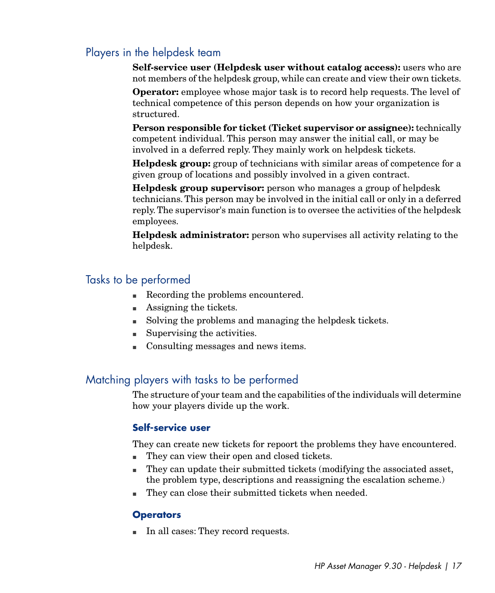## Players in the helpdesk team

**Self-service user (Helpdesk user without catalog access):** users who are not members of the helpdesk group, while can create and view their own tickets.

**Operator:** employee whose major task is to record help requests. The level of technical competence of this person depends on how your organization is structured.

**Person responsible for ticket (Ticket supervisor or assignee):** technically competent individual. This person may answer the initial call, or may be involved in a deferred reply. They mainly work on helpdesk tickets.

**Helpdesk group:** group of technicians with similar areas of competence for a given group of locations and possibly involved in a given contract.

**Helpdesk group supervisor:** person who manages a group of helpdesk technicians. This person may be involved in the initial call or only in a deferred reply. The supervisor's main function is to oversee the activities of the helpdesk employees.

**Helpdesk administrator:** person who supervises all activity relating to the helpdesk.

## Tasks to be performed

- <sup>n</sup> Recording the problems encountered.
- $\blacksquare$  Assigning the tickets.
- <sup>n</sup> Solving the problems and managing the helpdesk tickets.
- $\blacksquare$  Supervising the activities.
- <sup>n</sup> Consulting messages and news items.

## Matching players with tasks to be performed

The structure of your team and the capabilities of the individuals will determine how your players divide up the work.

## **Self-service user**

They can create new tickets for repoort the problems they have encountered.

- They can view their open and closed tickets.
- n They can update their submitted tickets (modifying the associated asset, the problem type, descriptions and reassigning the escalation scheme.)
- n They can close their submitted tickets when needed.

## **Operators**

n all cases: They record requests.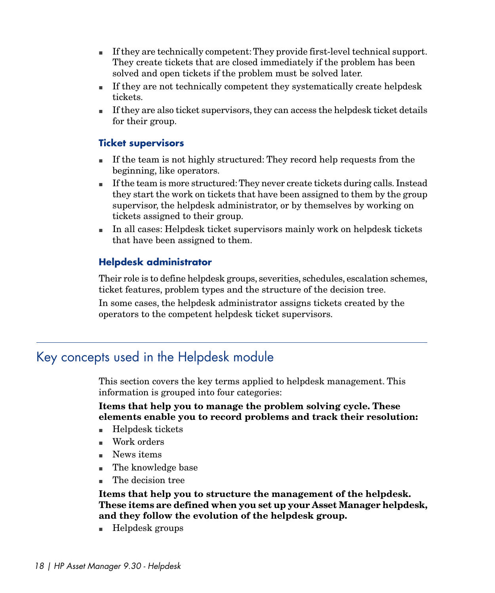- <sup>n</sup> If they are technically competent:They provide first-level technical support. They create tickets that are closed immediately if the problem has been solved and open tickets if the problem must be solved later.
- <sup>n</sup> If they are not technically competent they systematically create helpdesk tickets.
- $\blacksquare$  If they are also ticket supervisors, they can access the helpdesk ticket details for their group.

## **Ticket supervisors**

- $\blacksquare$  If the team is not highly structured: They record help requests from the beginning, like operators.
- <sup>n</sup> If the team is more structured:They never create tickets during calls. Instead they start the work on tickets that have been assigned to them by the group supervisor, the helpdesk administrator, or by themselves by working on tickets assigned to their group.
- n In all cases: Helpdesk ticket supervisors mainly work on helpdesk tickets that have been assigned to them.

### **Helpdesk administrator**

Their role is to define helpdesk groups, severities, schedules, escalation schemes, ticket features, problem types and the structure of the decision tree.

<span id="page-17-0"></span>In some cases, the helpdesk administrator assigns tickets created by the operators to the competent helpdesk ticket supervisors.

## Key concepts used in the Helpdesk module

This section covers the key terms applied to helpdesk management. This information is grouped into four categories:

**Items that help you to manage the problem solving cycle. These elements enable you to record problems and track their resolution:**

- Helpdesk tickets
- Work orders
- News items
- The knowledge base
- n The decision tree

**Items that help you to structure the management of the helpdesk. These items are defined when you set up your Asset Manager helpdesk, and they follow the evolution of the helpdesk group.**

■ Helpdesk groups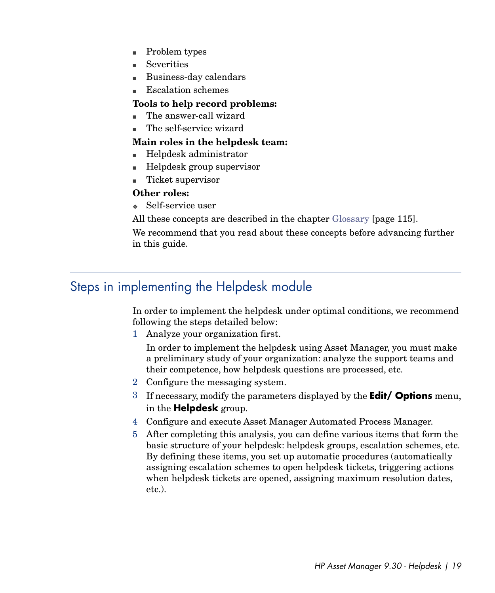- Problem types
- **Severities**
- Business-day calendars
- Escalation schemes

## **Tools to help record problems:**

- The answer-call wizard
- The self-service wizard

## **Main roles in the helpdesk team:**

- <sup>n</sup> Helpdesk administrator
- <sup>n</sup> Helpdesk group supervisor
- <sup>n</sup> Ticket supervisor

## **Other roles:**

 $\bullet$  Self-service user

All these concepts are described in the chapter [Glossary](#page-114-0) [page 115].

<span id="page-18-0"></span>We recommend that you read about these concepts before advancing further in this guide.

## Steps in implementing the Helpdesk module

In order to implement the helpdesk under optimal conditions, we recommend following the steps detailed below:

1 Analyze your organization first.

In order to implement the helpdesk using Asset Manager, you must make a preliminary study of your organization: analyze the support teams and their competence, how helpdesk questions are processed, etc.

- 2 Configure the messaging system.
- 3 If necessary, modify the parameters displayed by the **Edit/ Options** menu, in the **Helpdesk** group.
- 4 Configure and execute Asset Manager Automated Process Manager.
- 5 After completing this analysis, you can define various items that form the basic structure of your helpdesk: helpdesk groups, escalation schemes, etc. By defining these items, you set up automatic procedures (automatically assigning escalation schemes to open helpdesk tickets, triggering actions when helpdesk tickets are opened, assigning maximum resolution dates, etc.).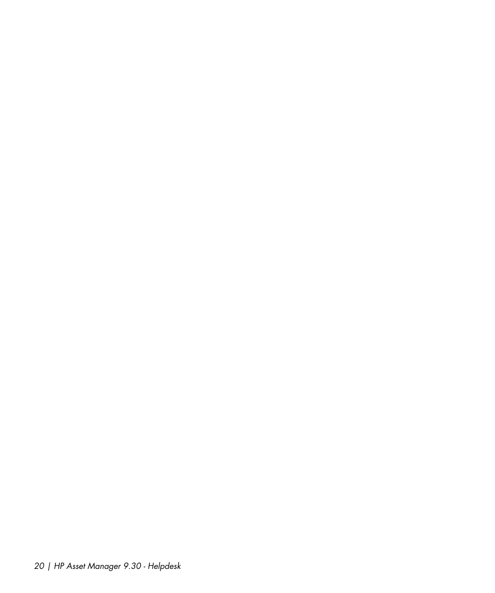*20 | HP Asset Manager 9.30 - Helpdesk*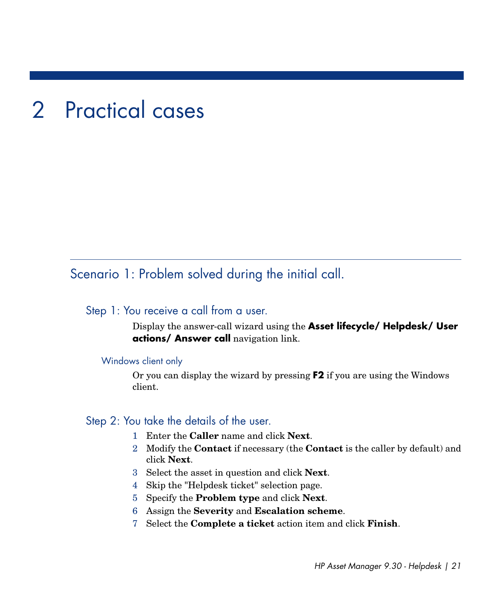## 2 Practical cases

## <span id="page-20-0"></span>Scenario 1: Problem solved during the initial call.

## Step 1: You receive a call from a user.

Display the answer-call wizard using the **Asset lifecycle/ Helpdesk/ User actions/ Answer call** navigation link.

#### Windows client only

Or you can display the wizard by pressing **F2** if you are using the Windows client.

## Step 2: You take the details of the user.

- 1 Enter the **Caller** name and click **Next**.
- 2 Modify the **Contact** if necessary (the **Contact** is the caller by default) and click **Next**.
- 3 Select the asset in question and click **Next**.
- 4 Skip the "Helpdesk ticket" selection page.
- 5 Specify the **Problem type** and click **Next**.
- 6 Assign the **Severity** and **Escalation scheme**.
- 7 Select the **Complete a ticket** action item and click **Finish**.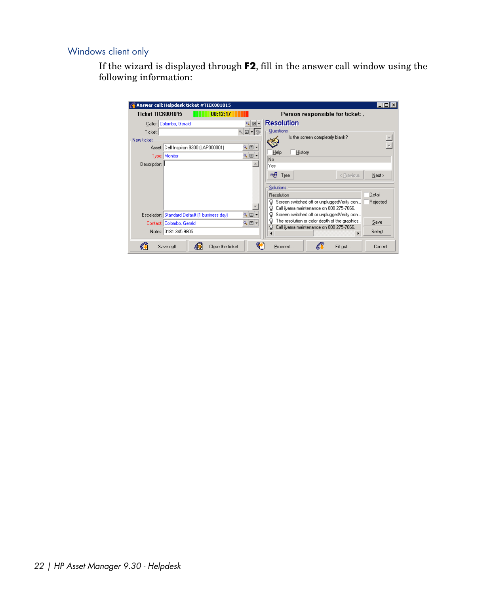## Windows client only

If the wizard is displayed through **F2**, fill in the answer call window using the following information:

|                   |                          | Answer call: Helpdesk ticket #TICK001015      |                                        |                                                                                             | $\blacksquare$ |
|-------------------|--------------------------|-----------------------------------------------|----------------------------------------|---------------------------------------------------------------------------------------------|----------------|
| Ticket TICK001015 |                          | 00:12:17                                      |                                        | Person responsible for ticket:,                                                             |                |
|                   | Caller: Colombo, Gerald  |                                               | QE                                     | <b>Resolution</b>                                                                           |                |
| Ticket:           |                          |                                               | 4回-  参                                 | Questions                                                                                   |                |
| New ticket        |                          |                                               |                                        | Is the screen completely blank?                                                             |                |
|                   |                          | Asset: Dell Inspiron 9300 (LAP000001)         | $Q \Box \bullet$                       |                                                                                             |                |
|                   | Type: Monitor            |                                               | འ▣▸                                    | History<br>Help<br>No                                                                       |                |
| Description: II   |                          |                                               |                                        | Yes                                                                                         |                |
|                   |                          |                                               |                                        | 呷<br>< Previous<br>Tree                                                                     | Next >         |
|                   |                          |                                               |                                        |                                                                                             |                |
|                   |                          |                                               |                                        | <b>Solutions</b>                                                                            |                |
|                   |                          |                                               |                                        | Besolution                                                                                  | Detail         |
|                   |                          |                                               |                                        | Screen switched off or unplugged Verify con                                                 | Rejected       |
|                   |                          | Escalation: Standard Default (1 business day) | འ▣▼                                    | Q<br>Call iiyama maintenance on 800 275-7666.<br>Screen switched off or unpluggedVerify con |                |
|                   | Contact: Colombo, Gerald |                                               | $\mathbb{R}$ $\mathbb{R}$ $\mathbb{R}$ | The resolution or color depth of the graphics<br>Q                                          | Save           |
|                   |                          |                                               |                                        | Call iiyama maintenance on 800 275-7666.<br>Q                                               |                |
|                   | Notes: 0181 345 9805     |                                               |                                        | k                                                                                           | Select         |
|                   | Save call                | Close the ticket                              |                                        | Proceed<br>Fill out                                                                         | Cancel         |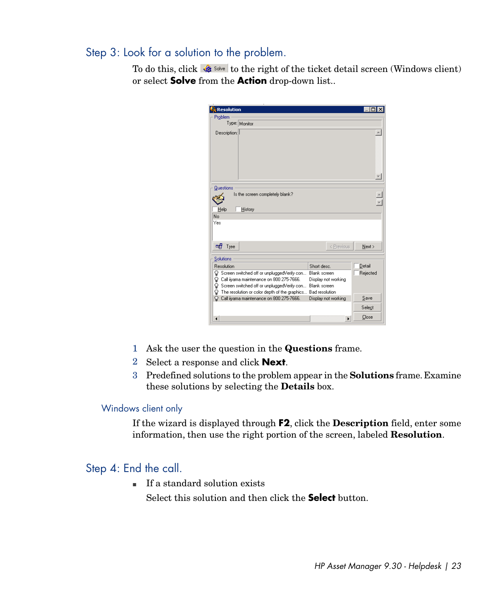## Step 3: Look for a solution to the problem.

To do this, click  $\otimes$  solve to the right of the ticket detail screen (Windows client) or select **Solve** from the **Action** drop-down list..

| <b>Resolution</b>                                                                                                  |                     |               |
|--------------------------------------------------------------------------------------------------------------------|---------------------|---------------|
| Problem                                                                                                            |                     |               |
| Type: Monitor                                                                                                      |                     |               |
| Description:                                                                                                       |                     |               |
|                                                                                                                    |                     |               |
| Questions<br>Is the screen completely blank?                                                                       |                     |               |
|                                                                                                                    |                     | $\frac{1}{x}$ |
| Help<br>History                                                                                                    |                     |               |
| No                                                                                                                 |                     |               |
| Yes                                                                                                                |                     |               |
|                                                                                                                    |                     |               |
| 呷<br>Tree                                                                                                          | < Previous          | Next >        |
| Solutions                                                                                                          |                     |               |
| Resolution                                                                                                         | Short desc.         | Detail        |
| Screen switched off or unpluggedVerify con<br>Q                                                                    | Blank screen        | Rejected      |
| Q<br>Call iiyama maintenance on 800 275-7666.                                                                      | Display not working |               |
| Screen switched off or unpluggedVerify con Blank screen<br>Q                                                       |                     |               |
| Q<br>The resolution or color depth of the graphics Bad resolution<br>Q<br>Call iiyama maintenance on 800 275-7666. | Display not working | Save          |
|                                                                                                                    |                     |               |
|                                                                                                                    |                     | Select        |
| $\blacksquare$                                                                                                     | K                   | Close         |

- 1 Ask the user the question in the **Questions** frame.
- 2 Select a response and click **Next**.
- 3 Predefined solutions to the problem appear in the **Solutions** frame. Examine these solutions by selecting the **Details** box.

#### Windows client only

If the wizard is displayed through **F2**, click the **Description** field, enter some information, then use the right portion of the screen, labeled **Resolution**.

## Step 4: End the call.

 $\blacksquare$  If a standard solution exists

Select this solution and then click the **Select** button.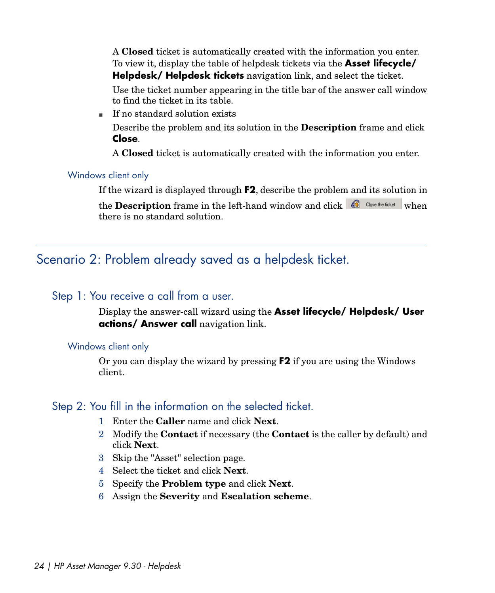A **Closed** ticket is automatically created with the information you enter. To view it, display the table of helpdesk tickets via the **Asset lifecycle/ Helpdesk/ Helpdesk tickets** navigation link, and select the ticket. Use the ticket number appearing in the title bar of the answer call window to find the ticket in its table.

 $\blacksquare$  If no standard solution exists Describe the problem and its solution in the **Description** frame and click **Close**.

A **Closed** ticket is automatically created with the information you enter.

#### Windows client only

If the wizard is displayed through **F2**, describe the problem and its solution in

<span id="page-23-0"></span>the **Description** frame in the left-hand window and click  $\bigcirc$  algost the ticket when there is no standard solution.

## Scenario 2: Problem already saved as a helpdesk ticket.

## Step 1: You receive a call from a user.

Display the answer-call wizard using the **Asset lifecycle/ Helpdesk/ User actions/ Answer call** navigation link.

#### Windows client only

Or you can display the wizard by pressing **F2** if you are using the Windows client.

## Step 2: You fill in the information on the selected ticket.

- 1 Enter the **Caller** name and click **Next**.
- 2 Modify the **Contact** if necessary (the **Contact** is the caller by default) and click **Next**.
- 3 Skip the "Asset" selection page.
- 4 Select the ticket and click **Next**.
- 5 Specify the **Problem type** and click **Next**.
- 6 Assign the **Severity** and **Escalation scheme**.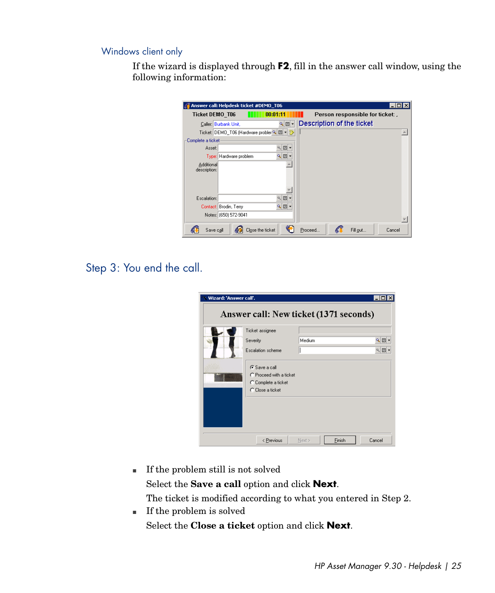#### Windows client only

If the wizard is displayed through **F2**, fill in the answer call window, using the following information:

|                            | Answer call: Helpdesk ticket #DEMO_T06                   |  |
|----------------------------|----------------------------------------------------------|--|
| Ticket DEMO T06            | 00:01:11<br>Person responsible for ticket:,              |  |
|                            | Description of the ticket<br>Caller: Burbank Unit,<br>QE |  |
|                            | Ticket: DEMO_T06 (Hardware probler의회회)                   |  |
| Complete a ticket          |                                                          |  |
| Asset:                     | ੧▣►                                                      |  |
|                            | འ▣▸<br>Type: Hardware problem                            |  |
| Additional<br>description: |                                                          |  |
|                            |                                                          |  |
|                            |                                                          |  |
| Escalation:                | থ⊠∽                                                      |  |
|                            | འ▣▸<br>Contact: Brodin, Terry                            |  |
|                            |                                                          |  |
|                            | Notes: (650) 572-9041                                    |  |
| Save call                  | Close the ticket<br>Proceed<br>Fill out<br>Cancel        |  |

## Step 3: You end the call.



 $\blacksquare$  If the problem still is not solved

Select the **Save a call** option and click **Next**.

The ticket is modified according to what you entered in Step 2.

 $\blacksquare$  If the problem is solved

Select the **Close a ticket** option and click **Next**.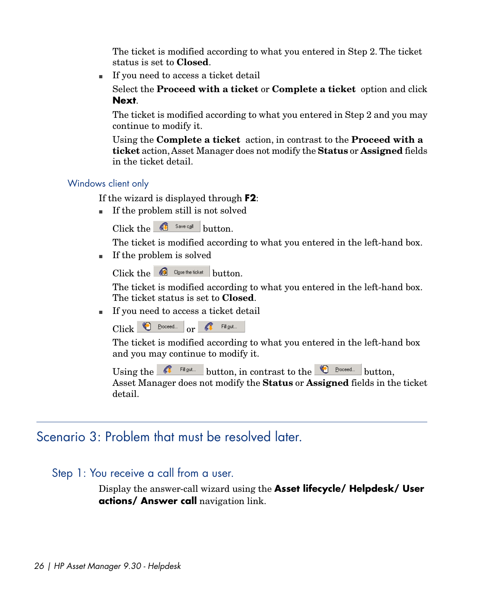The ticket is modified according to what you entered in Step 2. The ticket status is set to **Closed**.

If you need to access a ticket detail

Select the **Proceed with a ticket** or **Complete a ticket** option and click **Next**.

The ticket is modified according to what you entered in Step 2 and you may continue to modify it.

Using the **Complete a ticket** action, in contrast to the **Proceed with a ticket** action,Asset Manager does not modify the **Status** or **Assigned** fields in the ticket detail.

#### Windows client only

If the wizard is displayed through **F2**:

 $\blacksquare$  If the problem still is not solved

 $Click the$   $\mathbb{G}$  savecall button.

The ticket is modified according to what you entered in the left-hand box.

 $\blacksquare$  If the problem is solved

 $Click the$   $\circled{6}$   $C_{\text{Qse the ticket}}$  button.

The ticket is modified according to what you entered in the left-hand box. The ticket status is set to **Closed**.

<sup>n</sup> If you need to access a ticket detail

Click **C** Proceed... or **C** Fillgut...

The ticket is modified according to what you entered in the left-hand box and you may continue to modify it.

<span id="page-25-0"></span>Using the  $\bigotimes$  Filgut. button, in contrast to the  $\bigotimes$  Proceed. button, Asset Manager does not modify the **Status** or **Assigned** fields in the ticket detail.

## Scenario 3: Problem that must be resolved later.

## Step 1: You receive a call from a user.

Display the answer-call wizard using the **Asset lifecycle/ Helpdesk/ User actions/ Answer call** navigation link.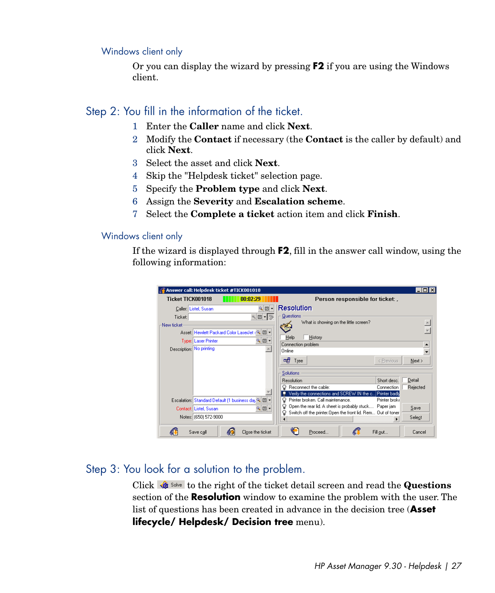#### Windows client only

Or you can display the wizard by pressing **F2** if you are using the Windows client.

## Step 2: You fill in the information of the ticket.

- 1 Enter the **Caller** name and click **Next**.
- 2 Modify the **Contact** if necessary (the **Contact** is the caller by default) and click **Next**.
- 3 Select the asset and click **Next**.
- 4 Skip the "Helpdesk ticket" selection page.
- 5 Specify the **Problem type** and click **Next**.
- 6 Assign the **Severity** and **Escalation scheme**.
- 7 Select the **Complete a ticket** action item and click **Finish**.

#### Windows client only

If the wizard is displayed through **F2**, fill in the answer call window, using the following information:



## Step 3: You look for a solution to the problem.

Click to the right of the ticket detail screen and read the **Questions** section of the **Resolution** window to examine the problem with the user. The list of questions has been created in advance in the decision tree (**Asset lifecycle/ Helpdesk/ Decision tree** menu).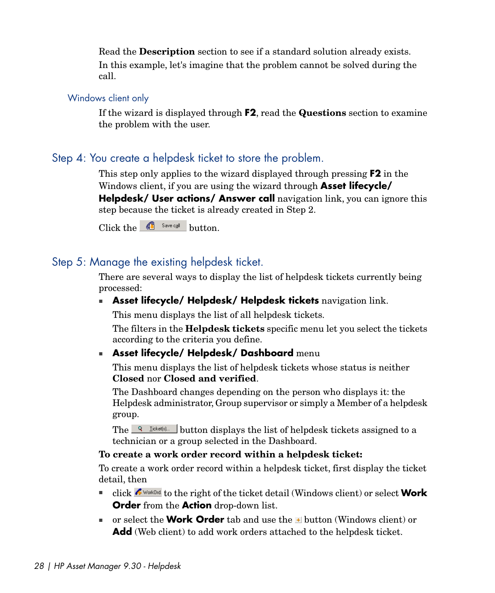Read the **Description** section to see if a standard solution already exists. In this example, let's imagine that the problem cannot be solved during the call.

#### Windows client only

If the wizard is displayed through **F2**, read the **Questions** section to examine the problem with the user.

## Step 4: You create a helpdesk ticket to store the problem.

This step only applies to the wizard displayed through pressing **F2** in the Windows client, if you are using the wizard through **Asset lifecycle/ Helpdesk/ User actions/ Answer call** navigation link, you can ignore this step because the ticket is already created in Step 2.

Click the  $\bigotimes$  savecall button.

## Step 5: Manage the existing helpdesk ticket.

There are several ways to display the list of helpdesk tickets currently being processed:

#### **Example 1 Asset lifecycle/ Helpdesk/ Helpdesk tickets** navigation link.

This menu displays the list of all helpdesk tickets.

The filters in the **Helpdesk tickets** specific menu let you select the tickets according to the criteria you define.

## <sup>n</sup> **Asset lifecycle/ Helpdesk/ Dashboard** menu

This menu displays the list of helpdesk tickets whose status is neither **Closed** nor **Closed and verified**.

The Dashboard changes depending on the person who displays it: the Helpdesk administrator, Group supervisor or simply a Member of a helpdesk group.

The  $\frac{q}{p}$  lickets. button displays the list of helpdesk tickets assigned to a technician or a group selected in the Dashboard.

#### **To create a work order record within a helpdesk ticket:**

To create a work order record within a helpdesk ticket, first display the ticket detail, then

- n click  $\leq$  WorkDrd to the right of the ticket detail (Windows client) or select **Work Order** from the **Action** drop-down list.
- n or select the **Work Order** tab and use the **F** button (Windows client) or **Add** (Web client) to add work orders attached to the helpdesk ticket.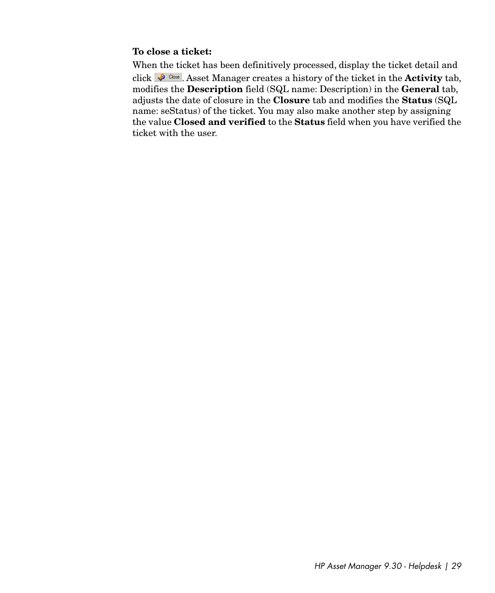#### **To close a ticket:**

When the ticket has been definitively processed, display the ticket detail and click . Asset Manager creates a history of the ticket in the **Activity** tab, modifies the **Description** field (SQL name: Description) in the **General** tab, adjusts the date of closure in the **Closure** tab and modifies the **Status** (SQL name: seStatus) of the ticket. You may also make another step by assigning the value **Closed and verified** to the **Status** field when you have verified the ticket with the user.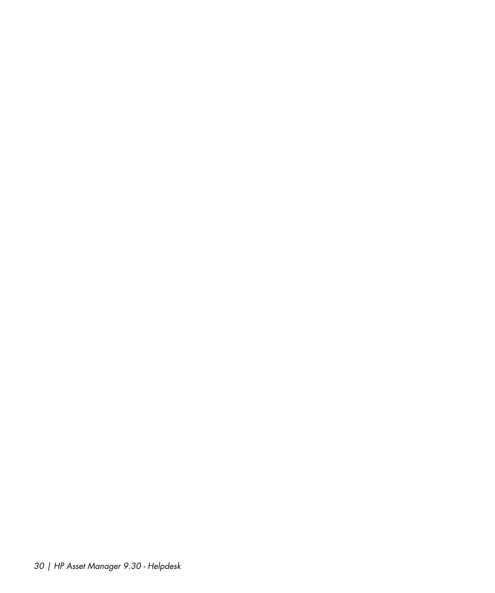*30 | HP Asset Manager 9.30 - Helpdesk*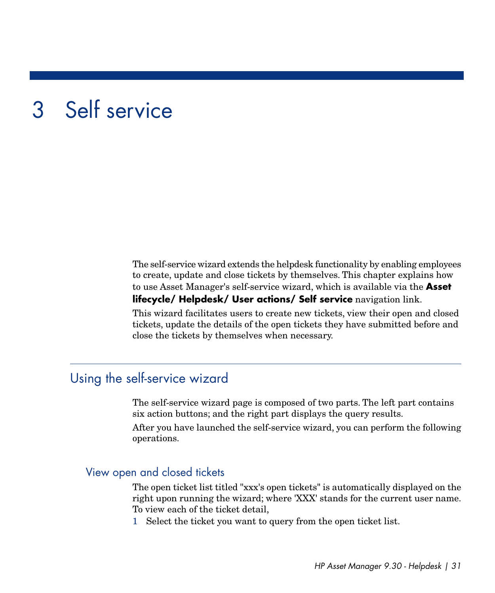## 3 Self service

<span id="page-30-0"></span>The self-service wizard extends the helpdesk functionality by enabling employees to create, update and close tickets by themselves. This chapter explains how to use Asset Manager's self-service wizard, which is available via the **Asset lifecycle/ Helpdesk/ User actions/ Self service** navigation link.

<span id="page-30-1"></span>This wizard facilitates users to create new tickets, view their open and closed tickets, update the details of the open tickets they have submitted before and close the tickets by themselves when necessary.

## Using the self-service wizard

The self-service wizard page is composed of two parts. The left part contains six action buttons; and the right part displays the query results.

After you have launched the self-service wizard, you can perform the following operations.

## View open and closed tickets

The open ticket list titled "xxx's open tickets" is automatically displayed on the right upon running the wizard; where 'XXX' stands for the current user name. To view each of the ticket detail,

1 Select the ticket you want to query from the open ticket list.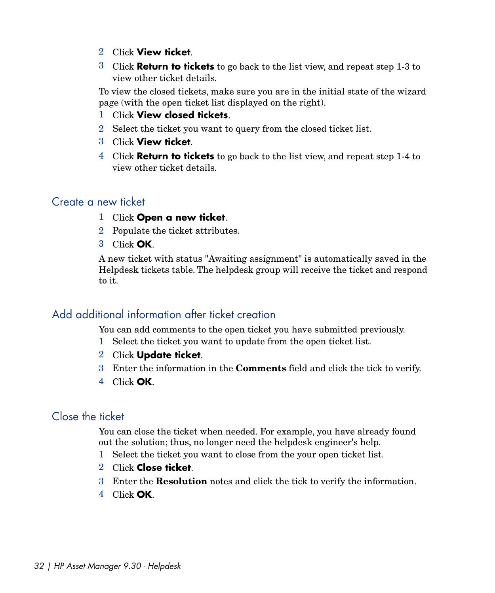- 2 Click **View ticket**.
- 3 Click **Return to tickets** to go back to the list view, and repeat step 1-3 to view other ticket details.

To view the closed tickets, make sure you are in the initial state of the wizard page (with the open ticket list displayed on the right).

- 1 Click **View closed tickets**.
- 2 Select the ticket you want to query from the closed ticket list.
- 3 Click **View ticket**.
- 4 Click **Return to tickets** to go back to the list view, and repeat step 1-4 to view other ticket details.

### Create a new ticket

- 1 Click **Open a new ticket**.
- 2 Populate the ticket attributes.
- 3 Click **OK**.

A new ticket with status "Awaiting assignment" is automatically saved in the Helpdesk tickets table. The helpdesk group will receive the ticket and respond to it.

## Add additional information after ticket creation

You can add comments to the open ticket you have submitted previously.

- 1 Select the ticket you want to update from the open ticket list.
- 2 Click **Update ticket**.
- 3 Enter the information in the **Comments** field and click the tick to verify.
- 4 Click **OK**.

## Close the ticket

You can close the ticket when needed. For example, you have already found out the solution; thus, no longer need the helpdesk engineer's help.

- 1 Select the ticket you want to close from the your open ticket list.
- 2 Click **Close ticket**.
- 3 Enter the **Resolution** notes and click the tick to verify the information.
- 4 Click **OK**.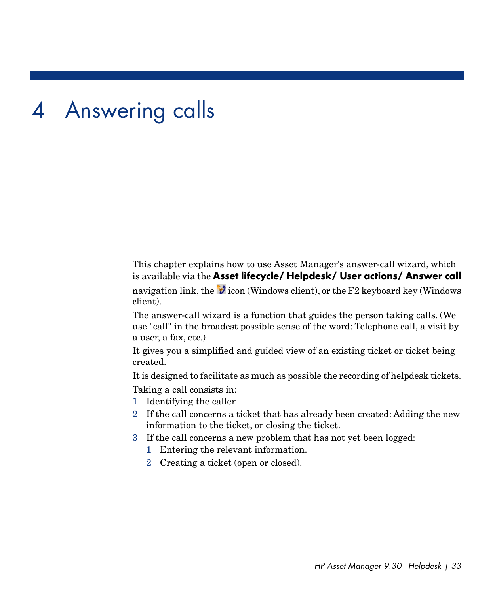## 4 Answering calls

<span id="page-32-0"></span>This chapter explains how to use Asset Manager's answer-call wizard, which is available via the **Asset lifecycle/ Helpdesk/ User actions/ Answer call**

navigation link, the  $\hat{v}$  icon (Windows client), or the F2 keyboard key (Windows client).

The answer-call wizard is a function that guides the person taking calls. (We use "call" in the broadest possible sense of the word: Telephone call, a visit by a user, a fax, etc.)

It gives you a simplified and guided view of an existing ticket or ticket being created.

It is designed to facilitate as much as possible the recording of helpdesk tickets.

Taking a call consists in:

- 1 Identifying the caller.
- 2 If the call concerns a ticket that has already been created: Adding the new information to the ticket, or closing the ticket.
- 3 If the call concerns a new problem that has not yet been logged:
	- 1 Entering the relevant information.
	- 2 Creating a ticket (open or closed).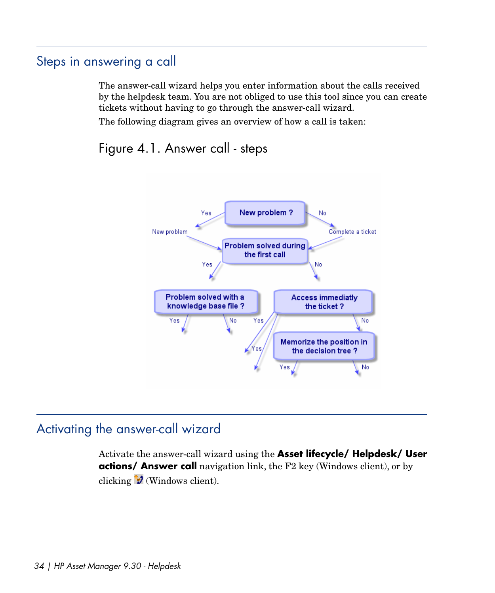## Steps in answering a call

<span id="page-33-0"></span>The answer-call wizard helps you enter information about the calls received by the helpdesk team. You are not obliged to use this tool since you can create tickets without having to go through the answer-call wizard.

<span id="page-33-2"></span>The following diagram gives an overview of how a call is taken:

Figure 4.1. Answer call - steps



## <span id="page-33-1"></span>Activating the answer-call wizard

Activate the answer-call wizard using the **Asset lifecycle/ Helpdesk/ User actions/ Answer call** navigation link, the F2 key (Windows client), or by clicking (Windows client).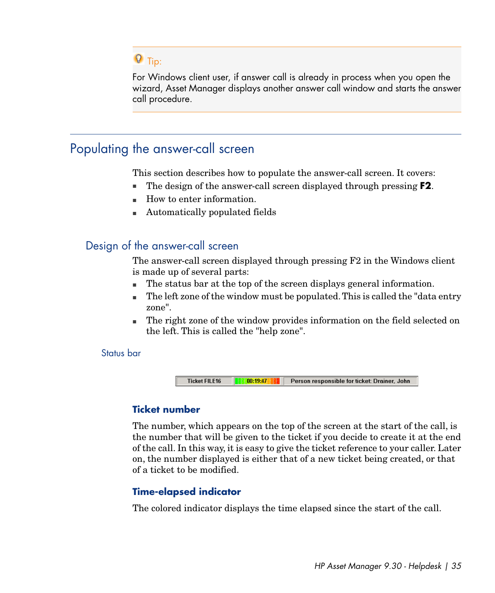## **Q** Tip:

<span id="page-34-0"></span>For Windows client user, if answer call is already in process when you open the wizard, Asset Manager displays another answer call window and starts the answer call procedure.

## Populating the answer-call screen

This section describes how to populate the answer-call screen. It covers:

- <sup>n</sup> The design of the answer-call screen displayed through pressing **F2**.
- How to enter information.
- Automatically populated fields

## Design of the answer-call screen

The answer-call screen displayed through pressing F2 in the Windows client is made up of several parts:

- The status bar at the top of the screen displays general information.
- n The left zone of the window must be populated. This is called the "data entry" zone".
- n The right zone of the window provides information on the field selected on the left. This is called the "help zone".

#### Status bar

**Ticket FILE16** Person responsible for ticket: Drainer, John 00:19:47

## **Ticket number**

The number, which appears on the top of the screen at the start of the call, is the number that will be given to the ticket if you decide to create it at the end of the call. In this way, it is easy to give the ticket reference to your caller. Later on, the number displayed is either that of a new ticket being created, or that of a ticket to be modified.

## **Time-elapsed indicator**

The colored indicator displays the time elapsed since the start of the call.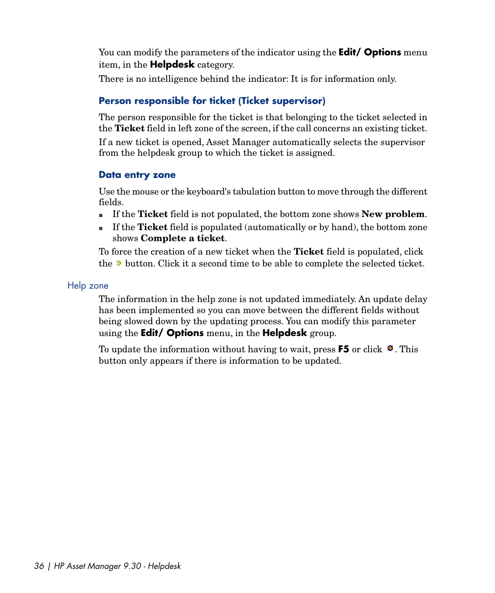You can modify the parameters of the indicator using the **Edit/ Options** menu item, in the **Helpdesk** category.

There is no intelligence behind the indicator: It is for information only.

## **Person responsible for ticket (Ticket supervisor)**

The person responsible for the ticket is that belonging to the ticket selected in the **Ticket** field in left zone of the screen, if the call concerns an existing ticket.

If a new ticket is opened, Asset Manager automatically selects the supervisor from the helpdesk group to which the ticket is assigned.

## **Data entry zone**

Use the mouse or the keyboard's tabulation button to move through the different fields.

- <sup>n</sup> If the **Ticket** field is not populated, the bottom zone shows **New problem**.
- <sup>n</sup> If the **Ticket** field is populated (automatically or by hand), the bottom zone shows **Complete a ticket**.

To force the creation of a new ticket when the **Ticket** field is populated, click the  $\bullet$  button. Click it a second time to be able to complete the selected ticket.

### Help zone

The information in the help zone is not updated immediately. An update delay has been implemented so you can move between the different fields without being slowed down by the updating process. You can modify this parameter using the **Edit/ Options** menu, in the **Helpdesk** group.

To update the information without having to wait, press **F5** or click  $\bullet$ . This button only appears if there is information to be updated.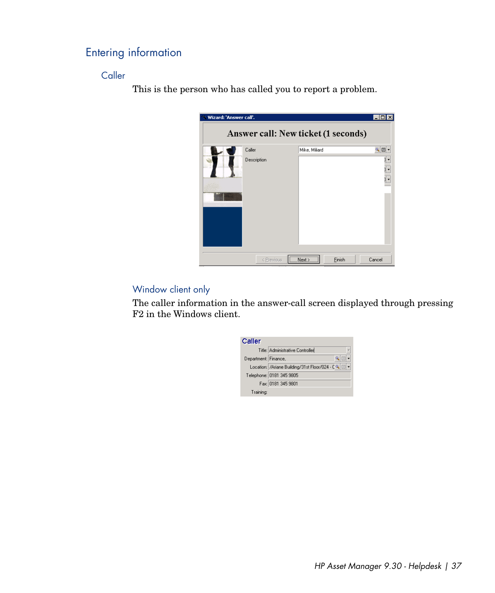## Entering information

#### **Caller**

This is the person who has called you to report a problem.



#### Window client only

The caller information in the answer-call screen displayed through pressing F2 in the Windows client.

| Caller               |                                                   |   |
|----------------------|---------------------------------------------------|---|
|                      | Title: Administrative Controller                  |   |
| Department: Finance, |                                                   | Œ |
|                      | Location: Ariane Building/31st Floor/024 - CQ E ~ |   |
|                      | Telephone: 0181 345 9805                          |   |
|                      | Fax: 0181 345 9801                                |   |
| Training:            |                                                   |   |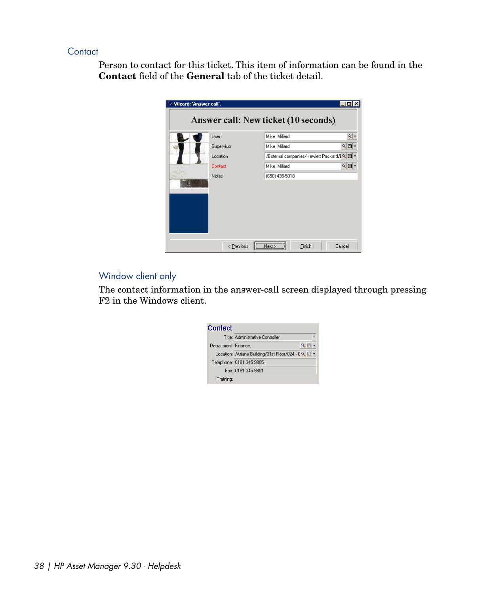#### **Contact**

Person to contact for this ticket. This item of information can be found in the **Contact** field of the **General** tab of the ticket detail.

| Wizard: 'Answer call'. |            |                                                | l – IC |
|------------------------|------------|------------------------------------------------|--------|
|                        |            | Answer call: New ticket (10 seconds)           |        |
|                        | User       | Mike, Miliard                                  | ৭⊦     |
|                        | Supervisor | Mike, Miliard                                  | འା▣▼   |
|                        | Location   | /External companies/Hewlett Packard/[Q   E   v |        |
|                        | Contact    | Mike, Miliard                                  | འ▣∽    |
|                        | Notes      | (650) 435-5018                                 |        |
|                        |            |                                                |        |
|                        |            |                                                |        |
|                        |            |                                                |        |
|                        |            |                                                |        |
|                        |            |                                                |        |
|                        |            |                                                |        |
|                        | < Previous | <br>Finish<br>Next >                           | Cancel |

### Window client only

The contact information in the answer-call screen displayed through pressing F2 in the Windows client.

| Contact              |                                                           |        |
|----------------------|-----------------------------------------------------------|--------|
|                      | Title: Administrative Controller                          |        |
| Department: Finance. |                                                           | Q<br>匠 |
|                      | Location:   /Ariane Building/31st Floor/024 - [ Q   E   v |        |
|                      | Telephone: 0181 345 9805                                  |        |
|                      | Fax: 0181 345 9801                                        |        |
| Training:            |                                                           |        |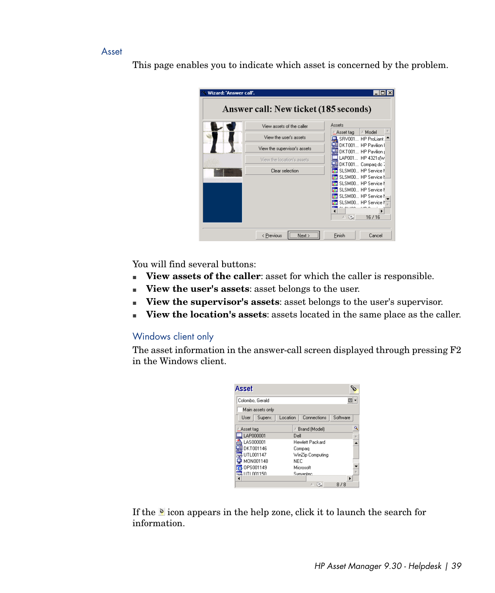Asset

This page enables you to indicate which asset is concerned by the problem.

| Wizard: 'Answer call'. |                                                    |                                                                  |
|------------------------|----------------------------------------------------|------------------------------------------------------------------|
|                        | Answer call: New ticket (185 seconds)              |                                                                  |
|                        | View assets of the caller                          | Assets                                                           |
|                        | View the user's assets                             | / Model<br>/ Asset tag<br>SRV001 HP ProLiant                     |
|                        | View the supervisor's assets                       | DKT001 HP Pavilion I<br>DKT001 HP Pavilion (                     |
|                        | View the location's assets                         | LAP001 HP 4321s(W<br>DKT001 Compag de 1                          |
|                        | Clear selection                                    | SLSM00 HP Service h                                              |
|                        |                                                    | SLSM00 HP Service f.<br><b>TH</b> SLSM00 HP Service f            |
|                        |                                                    | <b>THE SLSM00 HP Service f</b><br><b>THE SLSMOO HP Service I</b> |
|                        |                                                    | <b>na</b> SLSM00 HP Service http                                 |
|                        |                                                    | 16/16                                                            |
|                        | --------------------------<br>< Previous<br>Next > | Cancel<br>Finish                                                 |

You will find several buttons:

- <sup>n</sup> **View assets of the caller**: asset for which the caller is responsible.
- <sup>n</sup> **View the user's assets**: asset belongs to the user.
- <sup>n</sup> **View the supervisor's assets**: asset belongs to the user's supervisor.
- <sup>n</sup> **View the location's assets**: assets located in the same place as the caller.

#### Windows client only

The asset information in the answer-call screen displayed through pressing F2 in the Windows client.

| Asset              |                                     |    |
|--------------------|-------------------------------------|----|
| Colombo, Gerald    | 圓                                   |    |
| Main assets only   |                                     |    |
| User<br>Superv.    | Location<br>Connections<br>Software |    |
| <b>△Asset tag</b>  | Brand (Model)                       | Q  |
| LAP000001          | Dell                                | ÷  |
| LAS000001          | Hewlett Packard                     |    |
| DKT001146          | Compag                              |    |
| UTL001147          | WinZip Computing                    |    |
| MON001148          | <b>NEC</b>                          |    |
| <b>8</b> OPS001149 | Microsoft                           |    |
| SUITLOO1150        | Sumantec                            | H. |
|                    | ١                                   |    |
|                    | 878                                 |    |

If the  $\bullet$  icon appears in the help zone, click it to launch the search for information.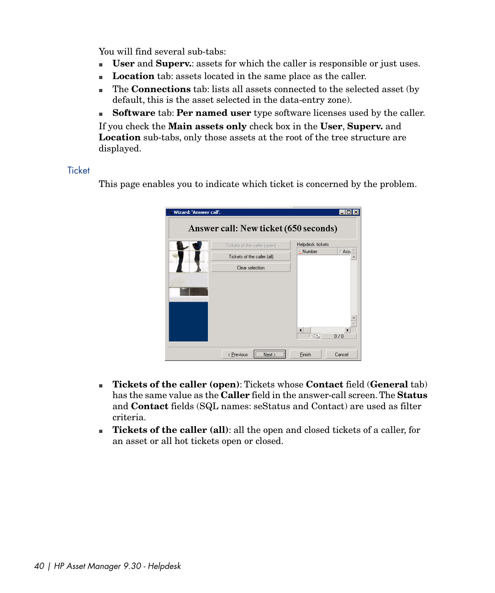You will find several sub-tabs:

- <sup>n</sup> **User** and **Superv.**: assets for which the caller is responsible or just uses.
- **Location** tab: assets located in the same place as the caller.
- n The **Connections** tab: lists all assets connected to the selected asset (by default, this is the asset selected in the data-entry zone).
- <sup>n</sup> **Software** tab: **Per named user** type software licenses used by the caller.

If you check the **Main assets only** check box in the **User**, **Superv.** and **Location** sub-tabs, only those assets at the root of the tree structure are displayed.

#### **Ticket**

This page enables you to indicate which ticket is concerned by the problem.

| Wizard: 'Answer call'. |                                       |                                                                   |
|------------------------|---------------------------------------|-------------------------------------------------------------------|
|                        | Answer call: New ticket (650 seconds) |                                                                   |
|                        | Tickets of the caller (open)          | Helpdesk tickets                                                  |
|                        | Tickets of the caller (all)           | $-$ Assi <sup>+</sup><br>△Number                                  |
|                        | Clear selection                       |                                                                   |
|                        |                                       |                                                                   |
|                        |                                       |                                                                   |
|                        |                                       |                                                                   |
|                        |                                       |                                                                   |
|                        |                                       | $\blacktriangleleft$<br>▶                                         |
|                        |                                       | $\mathcal{C}_{\mathcal{A}}$<br>0/0<br>$\mathcal{E}^{\mathcal{E}}$ |
|                        | <br>< Previous<br>Next >              | Finish<br>Cancel                                                  |

- <sup>n</sup> **Tickets of the caller (open)**: Tickets whose **Contact** field (**General** tab) has the same value as the **Caller** field in the answer-call screen. The **Status** and **Contact** fields (SQL names: seStatus and Contact) are used as filter criteria.
- <sup>n</sup> **Tickets of the caller (all)**: all the open and closed tickets of a caller, for an asset or all hot tickets open or closed.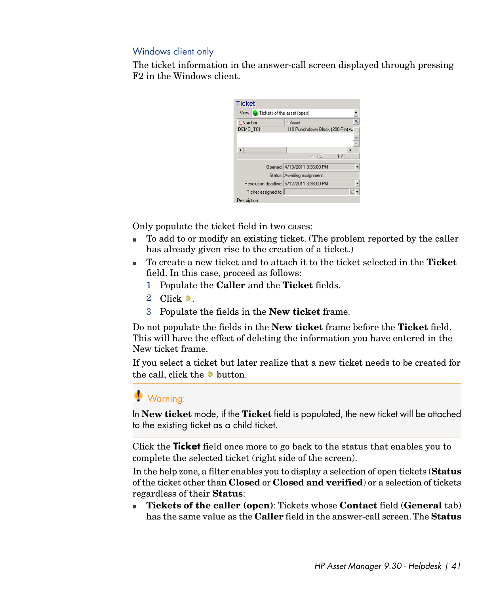#### Windows client only

The ticket information in the answer-call screen displayed through pressing F2 in the Windows client.

|          | View: 3 Tickets of the asset (open)                         |
|----------|-------------------------------------------------------------|
| △Number  | Asset                                                       |
| DEMO_T01 | 110 Punchdown Block (200-Pin) w                             |
|          | 1/1                                                         |
|          |                                                             |
|          |                                                             |
|          | Opened: 4/13/2011 3:36:00 PM<br>Status: Awaiting assignment |
|          | Resolution deadline: 5/12/2011 3:36:00 PM                   |

Only populate the ticket field in two cases:

- <sup>n</sup> To add to or modify an existing ticket. (The problem reported by the caller has already given rise to the creation of a ticket.)
- <sup>n</sup> To create a new ticket and to attach it to the ticket selected in the **Ticket** field. In this case, proceed as follows:
	- 1 Populate the **Caller** and the **Ticket** fields.
	- 2 Click  $\bullet$ .
	- 3 Populate the fields in the **New ticket** frame.

Do not populate the fields in the **New ticket** frame before the **Ticket** field. This will have the effect of deleting the information you have entered in the New ticket frame.

If you select a ticket but later realize that a new ticket needs to be created for the call, click the  $\bullet$  button.

# Warning:

In **New ticket** mode, if the **Ticket** field is populated, the new ticket will be attached to the existing ticket as a child ticket.

Click the **Ticket** field once more to go back to the status that enables you to complete the selected ticket (right side of the screen).

In the help zone, a filter enables you to display a selection of open tickets (**Status** of the ticket other than **Closed** or **Closed and verified**) or a selection of tickets regardless of their **Status**:

<sup>n</sup> **Tickets of the caller (open)**: Tickets whose **Contact** field (**General** tab) has the same value as the **Caller** field in the answer-call screen. The **Status**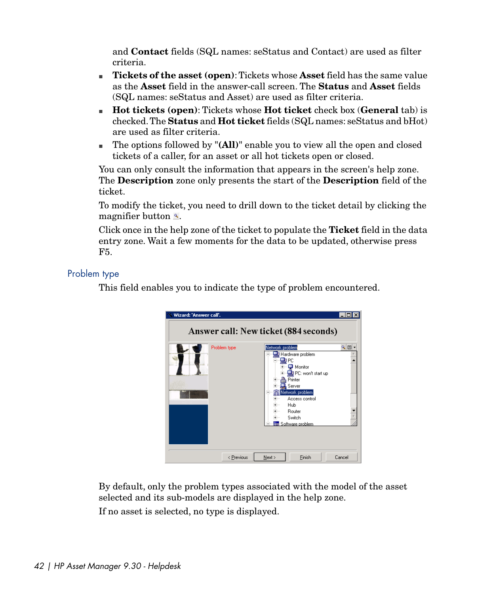and **Contact** fields (SQL names: seStatus and Contact) are used as filter criteria.

- <sup>n</sup> **Tickets of the asset (open)**: Tickets whose **Asset** field has the same value as the **Asset** field in the answer-call screen. The **Status** and **Asset** fields (SQL names: seStatus and Asset) are used as filter criteria.
- <sup>n</sup> **Hot tickets (open)**: Tickets whose **Hot ticket** check box (**General** tab) is checked.The **Status** and **Hot ticket** fields (SQL names: seStatus and bHot) are used as filter criteria.
- n The options followed by "(All)" enable you to view all the open and closed tickets of a caller, for an asset or all hot tickets open or closed.

You can only consult the information that appears in the screen's help zone. The **Description** zone only presents the start of the **Description** field of the ticket.

To modify the ticket, you need to drill down to the ticket detail by clicking the magnifier button  $\mathbb{R}$ .

Click once in the help zone of the ticket to populate the **Ticket** field in the data entry zone. Wait a few moments for the data to be updated, otherwise press F5.

#### Problem type

This field enables you to indicate the type of problem encountered.



By default, only the problem types associated with the model of the asset selected and its sub-models are displayed in the help zone.

If no asset is selected, no type is displayed.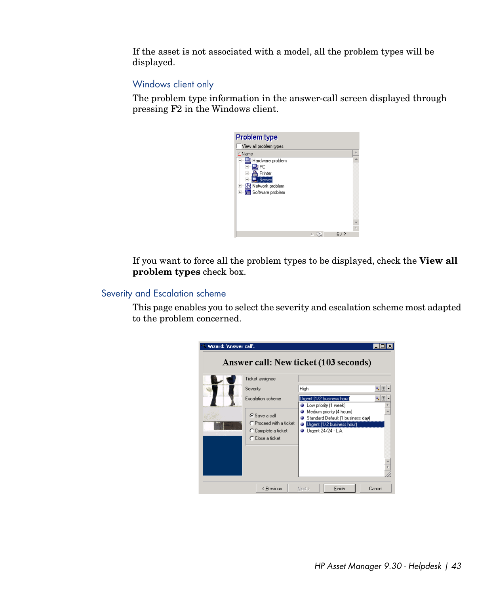If the asset is not associated with a model, all the problem types will be displayed.

Windows client only

The problem type information in the answer-call screen displayed through pressing F2 in the Windows client.

| View all problem types        |            |     |            |
|-------------------------------|------------|-----|------------|
| Name                          |            |     | ÷.         |
| Hardware problem              |            |     |            |
| PC.                           |            |     |            |
| Printer                       |            |     | a.         |
| $\frac{1}{2}$ , Server        |            |     | ಜ          |
| Network problem<br>盟<br>$\pm$ |            |     | ×.<br>m    |
| software problem<br>$\ddot{}$ |            |     | a.<br>m    |
|                               |            |     | a.<br>×.   |
|                               |            |     | a.<br>m    |
|                               |            |     | a.         |
|                               |            |     | ×.<br>m    |
|                               |            |     | ۳          |
|                               |            |     | $\ddot{+}$ |
|                               | $\sqrt{2}$ | 67? |            |

If you want to force all the problem types to be displayed, check the **View all problem types** check box.

#### Severity and Escalation scheme

This page enables you to select the severity and escalation scheme most adapted to the problem concerned.

| Wizard: 'Answer call'. |                                                                                     |                                                                                                                     |            |
|------------------------|-------------------------------------------------------------------------------------|---------------------------------------------------------------------------------------------------------------------|------------|
|                        |                                                                                     | Answer call: New ticket (103 seconds)                                                                               |            |
|                        | Ticket assignee                                                                     |                                                                                                                     |            |
|                        | Severity                                                                            | High                                                                                                                | $Q \n   1$ |
|                        | Escalation scheme                                                                   | Urgent (1/2 business hour)<br>Low priority [1 week]                                                                 | འା▣▼       |
|                        | G Save a call<br>C Proceed with a ticket<br>C Complete a ticket<br>C Close a ticket | Medium priority (4 hours)<br>Standard Default [1 business day]<br>Urgent (1/2 business hour)<br>Urgent 24/24 - L.A. |            |
|                        | < Previous                                                                          | Finish<br>Next >                                                                                                    | Cancel     |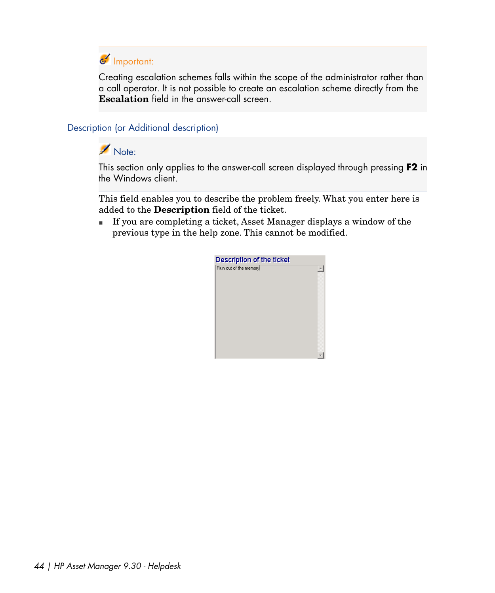# $\mathcal{C}'$  Important:

Creating escalation schemes falls within the scope of the administrator rather than a call operator. It is not possible to create an escalation scheme directly from the **Escalation** field in the answer-call screen.

#### Description (or Additional description)

# Note:

This section only applies to the answer-call screen displayed through pressing **F2** in the Windows client.

This field enables you to describe the problem freely. What you enter here is added to the **Description** field of the ticket.

 $\blacksquare$  If you are completing a ticket, Asset Manager displays a window of the previous type in the help zone. This cannot be modified.

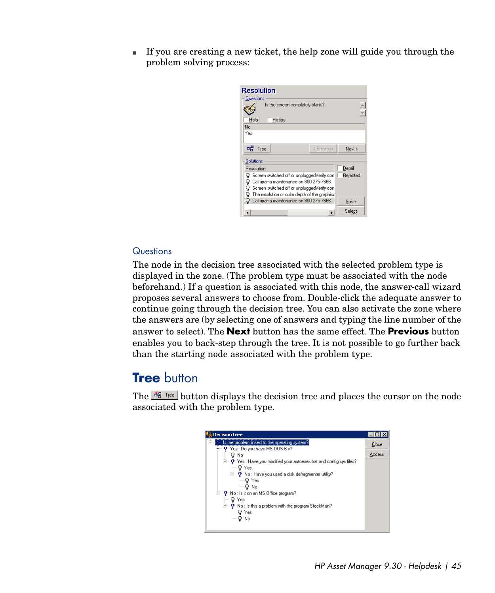<sup>n</sup> If you are creating a new ticket, the help zone will guide you through the problem solving process:



#### **Questions**

The node in the decision tree associated with the selected problem type is displayed in the zone. (The problem type must be associated with the node beforehand.) If a question is associated with this node, the answer-call wizard proposes several answers to choose from. Double-click the adequate answer to continue going through the decision tree. You can also activate the zone where the answers are (by selecting one of answers and typing the line number of the answer to select). The **Next** button has the same effect. The **Previous** button enables you to back-step through the tree. It is not possible to go further back than the starting node associated with the problem type.

## **Tree** button

The  $\frac{4}{5}$  Tree button displays the decision tree and places the cursor on the node associated with the problem type.

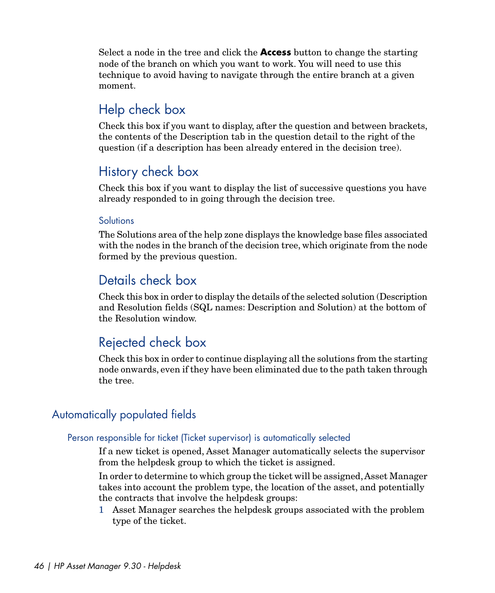Select a node in the tree and click the **Access** button to change the starting node of the branch on which you want to work. You will need to use this technique to avoid having to navigate through the entire branch at a given moment.

# Help check box

Check this box if you want to display, after the question and between brackets, the contents of the Description tab in the question detail to the right of the question (if a description has been already entered in the decision tree).

# History check box

Check this box if you want to display the list of successive questions you have already responded to in going through the decision tree.

#### **Solutions**

The Solutions area of the help zone displays the knowledge base files associated with the nodes in the branch of the decision tree, which originate from the node formed by the previous question.

# Details check box

Check this box in order to display the details of the selected solution (Description and Resolution fields (SQL names: Description and Solution) at the bottom of the Resolution window.

# Rejected check box

Check this box in order to continue displaying all the solutions from the starting node onwards, even if they have been eliminated due to the path taken through the tree.

## Automatically populated fields

#### Person responsible for ticket (Ticket supervisor) is automatically selected

If a new ticket is opened, Asset Manager automatically selects the supervisor from the helpdesk group to which the ticket is assigned.

In order to determine to which group the ticket will be assigned,Asset Manager takes into account the problem type, the location of the asset, and potentially the contracts that involve the helpdesk groups:

1 Asset Manager searches the helpdesk groups associated with the problem type of the ticket.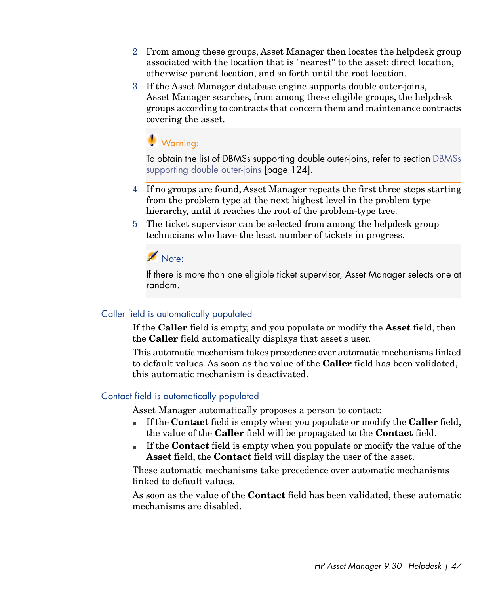- 2 From among these groups, Asset Manager then locates the helpdesk group associated with the location that is "nearest" to the asset: direct location, otherwise parent location, and so forth until the root location.
- 3 If the Asset Manager database engine supports double outer-joins, Asset Manager searches, from among these eligible groups, the helpdesk groups according to contracts that concern them and maintenance contracts covering the asset.

# **Warning:**

To obtain the list of DBMSs supporting double outer-joins, refer to section [DBMSs](#page-123-0) [supporting double outer-joins](#page-123-0) [page 124].

- 4 If no groups are found, Asset Manager repeats the first three steps starting from the problem type at the next highest level in the problem type hierarchy, until it reaches the root of the problem-type tree.
- 5 The ticket supervisor can be selected from among the helpdesk group technicians who have the least number of tickets in progress.

# Note:

If there is more than one eligible ticket supervisor, Asset Manager selects one at random.

#### Caller field is automatically populated

If the **Caller** field is empty, and you populate or modify the **Asset** field, then the **Caller** field automatically displays that asset's user.

This automatic mechanism takes precedence over automatic mechanisms linked to default values. As soon as the value of the **Caller** field has been validated, this automatic mechanism is deactivated.

#### Contact field is automatically populated

Asset Manager automatically proposes a person to contact:

- <sup>n</sup> If the **Contact** field is empty when you populate or modify the **Caller** field, the value of the **Caller** field will be propagated to the **Contact** field.
- <sup>n</sup> If the **Contact** field is empty when you populate or modify the value of the **Asset** field, the **Contact** field will display the user of the asset.

These automatic mechanisms take precedence over automatic mechanisms linked to default values.

As soon as the value of the **Contact** field has been validated, these automatic mechanisms are disabled.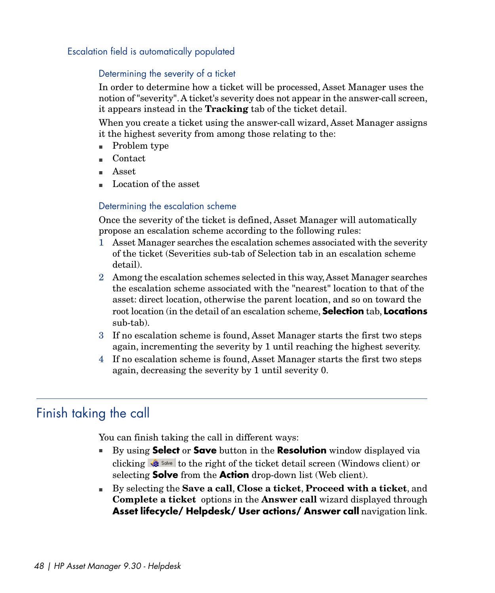#### Escalation field is automatically populated

#### Determining the severity of a ticket

In order to determine how a ticket will be processed, Asset Manager uses the notion of "severity".A ticket's severity does not appear in the answer-call screen, it appears instead in the **Tracking** tab of the ticket detail.

When you create a ticket using the answer-call wizard, Asset Manager assigns it the highest severity from among those relating to the:

- $\blacksquare$  Problem type
- Contact
- **Asset**
- Location of the asset

#### Determining the escalation scheme

Once the severity of the ticket is defined, Asset Manager will automatically propose an escalation scheme according to the following rules:

- 1 Asset Manager searches the escalation schemes associated with the severity of the ticket (Severities sub-tab of Selection tab in an escalation scheme detail).
- 2 Among the escalation schemes selected in this way,Asset Manager searches the escalation scheme associated with the "nearest" location to that of the asset: direct location, otherwise the parent location, and so on toward the root location (in the detail of an escalation scheme, **Selection** tab, **Locations** sub-tab).
- 3 If no escalation scheme is found, Asset Manager starts the first two steps again, incrementing the severity by 1 until reaching the highest severity.
- 4 If no escalation scheme is found, Asset Manager starts the first two steps again, decreasing the severity by 1 until severity 0.

# Finish taking the call

You can finish taking the call in different ways:

- <sup>n</sup> By using **Select** or **Save** button in the **Resolution** window displayed via clicking  $\mathcal{R}^{\text{Solve}}$  to the right of the ticket detail screen (Windows client) or selecting **Solve** from the **Action** drop-down list (Web client).
- <sup>n</sup> By selecting the **Save a call**, **Close a ticket**, **Proceed with a ticket**, and **Complete a ticket** options in the **Answer call** wizard displayed through **Asset lifecycle/ Helpdesk/ User actions/ Answer call** navigation link.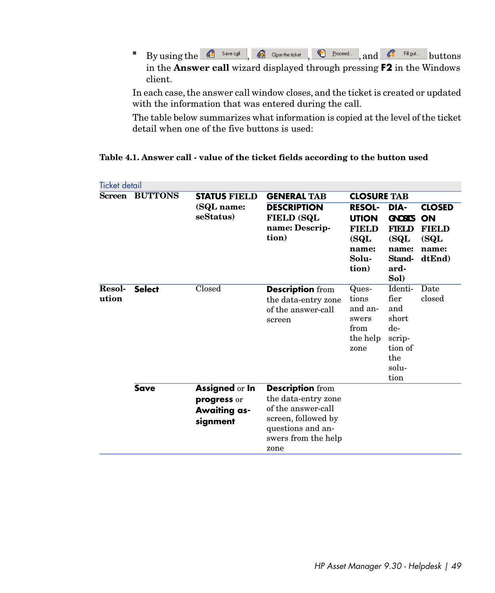By using the  $\bigcirc$  Savecall,  $\bigcirc$  Close the ticket  $\bigcirc$  Proceed..., and  $\bigcirc$  Fill out... buttons in the **Answer call** wizard displayed through pressing **F2** in the Windows client.

In each case, the answer call window closes, and the ticket is created or updated with the information that was entered during the call.

The table below summarizes what information is copied at the level of the ticket detail when one of the five buttons is used:

| <b>Ticket</b> detail   |                       |                                                                         |                                                                                                                                                 |                                                                                  |                                                                                     |                                                           |
|------------------------|-----------------------|-------------------------------------------------------------------------|-------------------------------------------------------------------------------------------------------------------------------------------------|----------------------------------------------------------------------------------|-------------------------------------------------------------------------------------|-----------------------------------------------------------|
|                        | <b>Screen BUTTONS</b> | <b>STATUS FIELD</b>                                                     | <b>GENERAL TAB</b>                                                                                                                              | <b>CLOSURE TAB</b>                                                               |                                                                                     |                                                           |
|                        |                       | (SQL name:<br>seStatus)                                                 | <b>DESCRIPTION</b><br><b>FIELD (SQL</b><br>name: Descrip-<br>tion)                                                                              | <b>RESOL-</b><br><b>UTION</b><br><b>FIELD</b><br>(SQL<br>name:<br>Solu-<br>tion) | DIA-<br>GNOROS ON<br><b>FIELD</b><br>(SQL<br>name:<br>Stand-<br>ard-<br>Sol)        | <b>CLOSED</b><br><b>FIELD</b><br>(SQL)<br>name:<br>dtEnd) |
| <b>Resol-</b><br>ution | <b>Select</b>         | Closed                                                                  | <b>Description</b> from<br>the data-entry zone<br>of the answer-call<br>screen                                                                  | Ques-<br>tions<br>and an-<br>swers<br>from<br>the help<br>zone                   | Identi-<br>fier<br>and<br>short<br>de-<br>scrip-<br>tion of<br>the<br>solu-<br>tion | Date<br>closed                                            |
|                        | <b>Save</b>           | <b>Assigned or In</b><br>progress or<br><b>Awaiting as-</b><br>signment | <b>Description</b> from<br>the data-entry zone<br>of the answer-call<br>screen, followed by<br>questions and an-<br>swers from the help<br>zone |                                                                                  |                                                                                     |                                                           |

#### **Table 4.1. Answer call - value of the ticket fields according to the button used**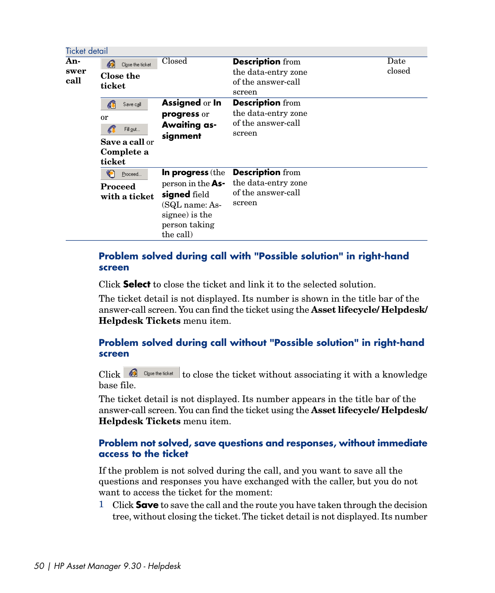| Ticket detail       |                                                                                        |                                                                                                                                |                                                                                |                |
|---------------------|----------------------------------------------------------------------------------------|--------------------------------------------------------------------------------------------------------------------------------|--------------------------------------------------------------------------------|----------------|
| An-<br>swer<br>call | ௌ<br>Close the ticket<br><b>Close the</b><br>ticket                                    | Closed                                                                                                                         | <b>Description</b> from<br>the data-entry zone<br>of the answer-call<br>screen | Date<br>closed |
|                     | Save call<br>M<br>or<br>Fill out<br>$\alpha$<br>Save a call or<br>Complete a<br>ticket | <b>Assigned or In</b><br>progress or<br><b>Awaiting as-</b><br>signment                                                        | <b>Description</b> from<br>the data-entry zone<br>of the answer-call<br>screen |                |
|                     | $\bullet$<br>Proceed<br>Proceed<br>with a ticket                                       | In progress (the<br>person in the <b>As-</b><br>signed field<br>(SQL name: As-<br>signee) is the<br>person taking<br>the call) | <b>Description</b> from<br>the data-entry zone<br>of the answer-call<br>screen |                |

#### **Problem solved during call with "Possible solution" in right-hand screen**

Click **Select** to close the ticket and link it to the selected solution.

The ticket detail is not displayed. Its number is shown in the title bar of the answer-call screen.You can find the ticket using the **Asset lifecycle/ Helpdesk/ Helpdesk Tickets** menu item.

#### **Problem solved during call without "Possible solution" in right-hand screen**

Click  $\bigcirc$  Close the ticket without associating it with a knowledge base file.

The ticket detail is not displayed. Its number appears in the title bar of the answer-call screen.You can find the ticket using the **Asset lifecycle/ Helpdesk/ Helpdesk Tickets** menu item.

#### **Problem not solved, save questions and responses, without immediate access to the ticket**

If the problem is not solved during the call, and you want to save all the questions and responses you have exchanged with the caller, but you do not want to access the ticket for the moment:

1 Click **Save** to save the call and the route you have taken through the decision tree, without closing the ticket. The ticket detail is not displayed. Its number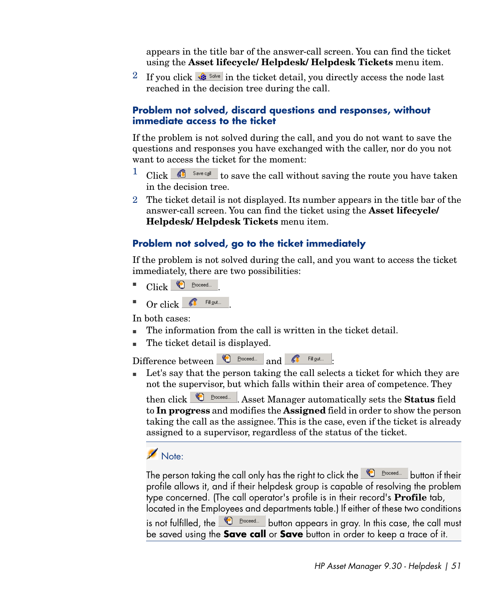appears in the title bar of the answer-call screen. You can find the ticket using the **Asset lifecycle/ Helpdesk/ Helpdesk Tickets** menu item.

<sup>2</sup> If you click  $\bullet$  <sup>sove</sup> in the ticket detail, you directly access the node last reached in the decision tree during the call.

#### **Problem not solved, discard questions and responses, without immediate access to the ticket**

If the problem is not solved during the call, and you do not want to save the questions and responses you have exchanged with the caller, nor do you not want to access the ticket for the moment:

- 1 Click  $\bigoplus$  Save call to save the call without saving the route you have taken in the decision tree.
- 2 The ticket detail is not displayed. Its number appears in the title bar of the answer-call screen. You can find the ticket using the **Asset lifecycle/ Helpdesk/ Helpdesk Tickets** menu item.

#### **Problem not solved, go to the ticket immediately**

If the problem is not solved during the call, and you want to access the ticket immediately, there are two possibilities:

- Click **C** Proceed...
- $0r$  click  $\begin{matrix} \mathbb{R} & \text{Fill} \end{matrix}$

In both cases:

- The information from the call is written in the ticket detail.
- The ticket detail is displayed.

Difference between  $\bigcirc$  Proceed... and  $\bigcirc$  Fillgut...

<sup>n</sup> Let's say that the person taking the call selects a ticket for which they are not the supervisor, but which falls within their area of competence. They

then click  $\bigcirc$  Froceed. Asset Manager automatically sets the **Status** field to **In progress** and modifies the **Assigned** field in order to show the person taking the call as the assignee. This is the case, even if the ticket is already assigned to a supervisor, regardless of the status of the ticket.

# Note:

The person taking the call only has the right to click the  $\bigcirc$  Broceed... button if their profile allows it, and if their helpdesk group is capable of resolving the problem type concerned. (The call operator's profile is in their record's **Profile** tab, located in the Employees and departments table.) If either of these two conditions is not fulfilled, the  $\Box$  Broceed... button appears in gray. In this case, the call must be saved using the **Save call** or **Save** button in order to keep a trace of it.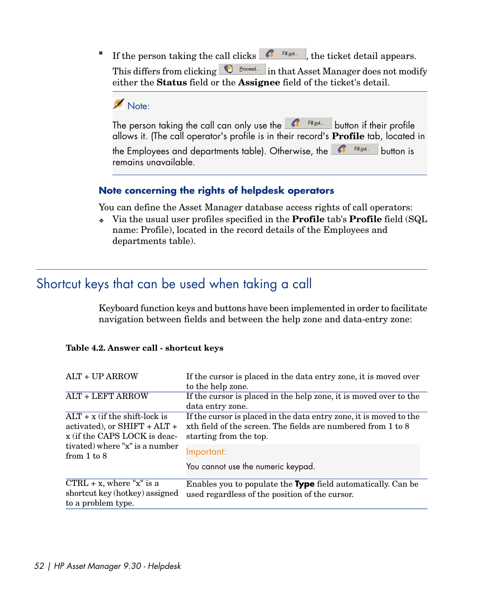If the person taking the call clicks  $\bigotimes$  Filget. , the ticket detail appears.

This differs from clicking  $\bigotimes$  Proceed... in that Asset Manager does not modify either the **Status** field or the **Assignee** field of the ticket's detail.

# Note:

The person taking the call can only use the  $\Box$  Fill gut... button if their profile allows it. (The call operator's profile is in their record's **Profile** tab, located in

the Employees and departments table). Otherwise, the  $\Box$  Fillew button is remains unavailable.

## **Note concerning the rights of helpdesk operators**

You can define the Asset Manager database access rights of call operators:

<sup>u</sup> Via the usual user profiles specified in the **Profile** tab's **Profile** field (SQL name: Profile), located in the record details of the Employees and departments table).

# Shortcut keys that can be used when taking a call

Keyboard function keys and buttons have been implemented in order to facilitate navigation between fields and between the help zone and data-entry zone:

#### **Table 4.2. Answer call - shortcut keys**

| ALT + UP ARROW                                                                                               | If the cursor is placed in the data entry zone, it is moved over<br>to the help zone.                                                                        |
|--------------------------------------------------------------------------------------------------------------|--------------------------------------------------------------------------------------------------------------------------------------------------------------|
| <b>ALT + LEFT ARROW</b>                                                                                      | If the cursor is placed in the help zone, it is moved over to the<br>data entry zone.                                                                        |
| $ALT + x$ (if the shift-lock is<br>activated), or SHIFT + ALT +<br>x (if the CAPS LOCK is deac-              | If the cursor is placed in the data entry zone, it is moved to the<br>xth field of the screen. The fields are numbered from 1 to 8<br>starting from the top. |
| tivated) where "x" is a number<br>from $1$ to $8$                                                            | Important:<br>You cannot use the numeric keypad.                                                                                                             |
| $\overline{\text{CTRL}} + \text{x}$ , where "x" is a<br>shortcut key (hotkey) assigned<br>to a problem type. | Enables you to populate the Type field automatically. Can be<br>used regardless of the position of the cursor.                                               |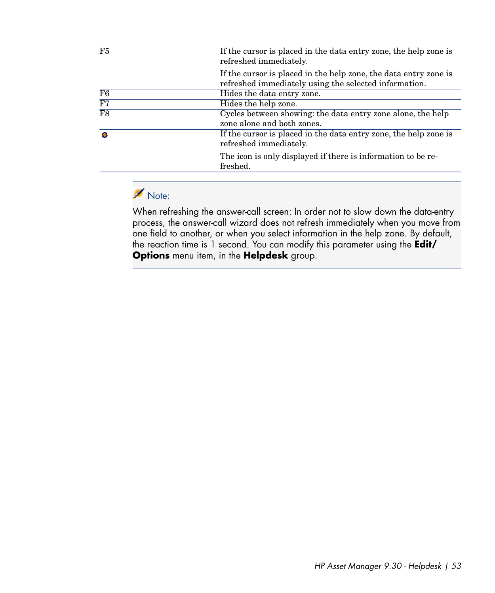| F5              | If the cursor is placed in the data entry zone, the help zone is<br>refreshed immediately.                                |
|-----------------|---------------------------------------------------------------------------------------------------------------------------|
|                 | If the cursor is placed in the help zone, the data entry zone is<br>refreshed immediately using the selected information. |
| F6              | Hides the data entry zone.                                                                                                |
| $\overline{F7}$ | Hides the help zone.                                                                                                      |
| F8              | Cycles between showing: the data entry zone alone, the help<br>zone alone and both zones.                                 |
| G               | If the cursor is placed in the data entry zone, the help zone is<br>refreshed immediately.                                |
|                 | The icon is only displayed if there is information to be re-<br>freshed.                                                  |
|                 |                                                                                                                           |

# Note:

When refreshing the answer-call screen: In order not to slow down the data-entry process, the answer-call wizard does not refresh immediately when you move from one field to another, or when you select information in the help zone. By default, the reaction time is 1 second. You can modify this parameter using the **Edit/ Options** menu item, in the **Helpdesk** group.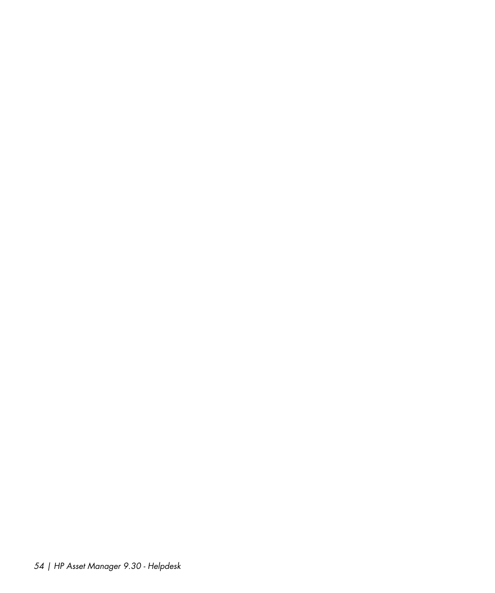*54 | HP Asset Manager 9.30 - Helpdesk*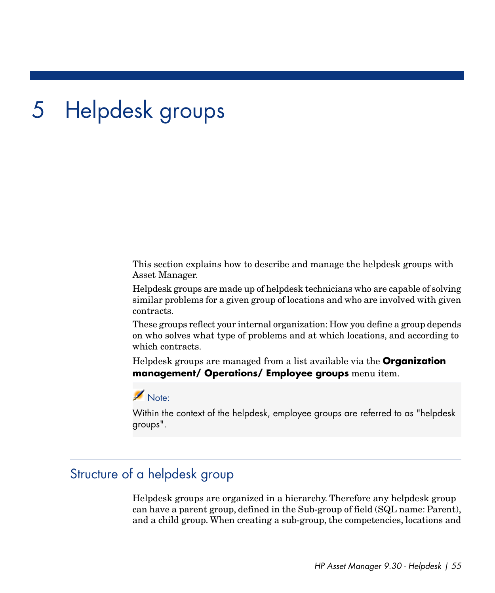# 5 Helpdesk groups

This section explains how to describe and manage the helpdesk groups with Asset Manager.

Helpdesk groups are made up of helpdesk technicians who are capable of solving similar problems for a given group of locations and who are involved with given contracts.

These groups reflect your internal organization: How you define a group depends on who solves what type of problems and at which locations, and according to which contracts.

Helpdesk groups are managed from a list available via the **Organization management/ Operations/ Employee groups** menu item.

## Note:

Within the context of the helpdesk, employee groups are referred to as "helpdesk groups".

# Structure of a helpdesk group

Helpdesk groups are organized in a hierarchy. Therefore any helpdesk group can have a parent group, defined in the Sub-group of field (SQL name: Parent), and a child group. When creating a sub-group, the competencies, locations and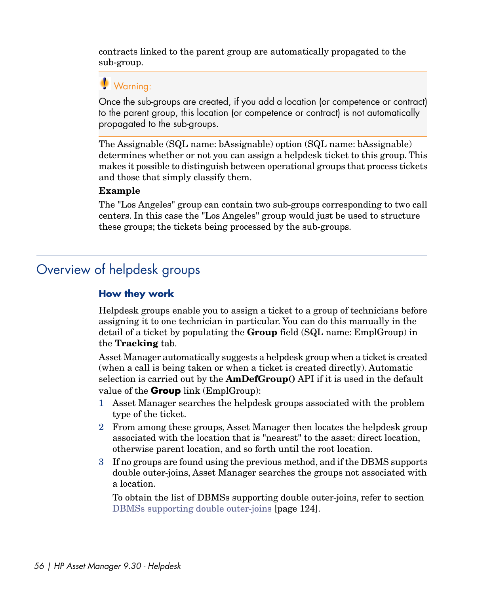contracts linked to the parent group are automatically propagated to the sub-group.

# Warning:

Once the sub-groups are created, if you add a location (or competence or contract) to the parent group, this location (or competence or contract) is not automatically propagated to the sub-groups.

The Assignable (SQL name: bAssignable) option (SQL name: bAssignable) determines whether or not you can assign a helpdesk ticket to this group. This makes it possible to distinguish between operational groups that process tickets and those that simply classify them.

#### **Example**

The "Los Angeles" group can contain two sub-groups corresponding to two call centers. In this case the "Los Angeles" group would just be used to structure these groups; the tickets being processed by the sub-groups.

# Overview of helpdesk groups

#### **How they work**

Helpdesk groups enable you to assign a ticket to a group of technicians before assigning it to one technician in particular. You can do this manually in the detail of a ticket by populating the **Group** field (SQL name: EmplGroup) in the **Tracking** tab.

Asset Manager automatically suggests a helpdesk group when a ticket is created (when a call is being taken or when a ticket is created directly). Automatic selection is carried out by the **AmDefGroup()** API if it is used in the default value of the **Group** link (EmplGroup):

- 1 Asset Manager searches the helpdesk groups associated with the problem type of the ticket.
- 2 From among these groups, Asset Manager then locates the helpdesk group associated with the location that is "nearest" to the asset: direct location, otherwise parent location, and so forth until the root location.
- 3 If no groups are found using the previous method, and if the DBMS supports double outer-joins, Asset Manager searches the groups not associated with a location.

To obtain the list of DBMSs supporting double outer-joins, refer to section [DBMSs supporting double outer-joins](#page-123-0) [page 124].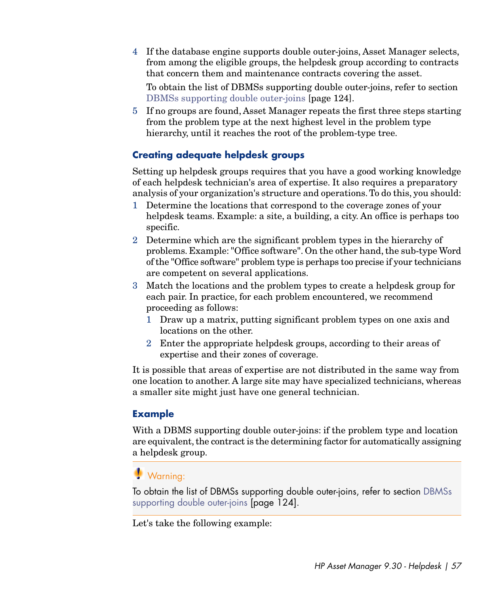4 If the database engine supports double outer-joins, Asset Manager selects, from among the eligible groups, the helpdesk group according to contracts that concern them and maintenance contracts covering the asset.

To obtain the list of DBMSs supporting double outer-joins, refer to section [DBMSs supporting double outer-joins](#page-123-0) [page 124].

5 If no groups are found, Asset Manager repeats the first three steps starting from the problem type at the next highest level in the problem type hierarchy, until it reaches the root of the problem-type tree.

#### **Creating adequate helpdesk groups**

Setting up helpdesk groups requires that you have a good working knowledge of each helpdesk technician's area of expertise. It also requires a preparatory analysis of your organization's structure and operations. To do this, you should:

- 1 Determine the locations that correspond to the coverage zones of your helpdesk teams. Example: a site, a building, a city. An office is perhaps too specific.
- 2 Determine which are the significant problem types in the hierarchy of problems. Example: "Office software". On the other hand, the sub-type Word of the "Office software" problem type is perhaps too precise if your technicians are competent on several applications.
- 3 Match the locations and the problem types to create a helpdesk group for each pair. In practice, for each problem encountered, we recommend proceeding as follows:
	- 1 Draw up a matrix, putting significant problem types on one axis and locations on the other.
	- 2 Enter the appropriate helpdesk groups, according to their areas of expertise and their zones of coverage.

It is possible that areas of expertise are not distributed in the same way from one location to another. A large site may have specialized technicians, whereas a smaller site might just have one general technician.

#### **Example**

With a DBMS supporting double outer-joins: if the problem type and location are equivalent, the contract is the determining factor for automatically assigning a helpdesk group.

# Warning:

To obtain the list of DBMSs supporting double outer-joins, refer to section [DBMSs](#page-123-0) [supporting double outer-joins](#page-123-0) [page 124].

Let's take the following example: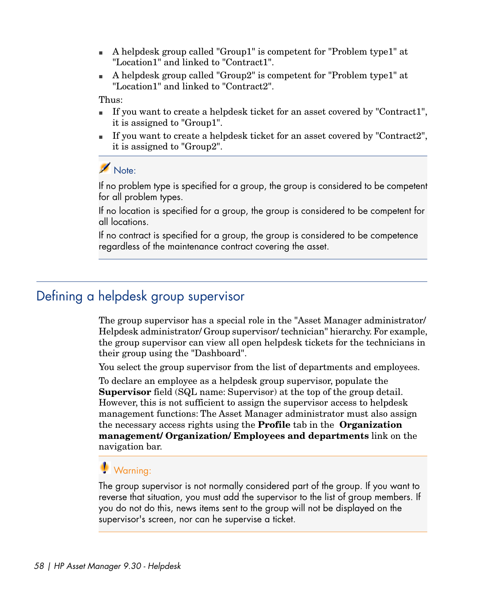- <sup>n</sup> A helpdesk group called "Group1" is competent for "Problem type1" at "Location1" and linked to "Contract1".
- A helpdesk group called "Group2" is competent for "Problem type1" at "Location1" and linked to "Contract2".

Thus:

- <sup>n</sup> If you want to create a helpdesk ticket for an asset covered by "Contract1", it is assigned to "Group1".
- If you want to create a helpdesk ticket for an asset covered by "Contract2", it is assigned to "Group2".

# Note:

If no problem type is specified for a group, the group is considered to be competent for all problem types.

If no location is specified for a group, the group is considered to be competent for all locations.

If no contract is specified for a group, the group is considered to be competence regardless of the maintenance contract covering the asset.

# Defining a helpdesk group supervisor

The group supervisor has a special role in the "Asset Manager administrator/ Helpdesk administrator/ Group supervisor/ technician" hierarchy. For example, the group supervisor can view all open helpdesk tickets for the technicians in their group using the "Dashboard".

You select the group supervisor from the list of departments and employees.

To declare an employee as a helpdesk group supervisor, populate the **Supervisor** field (SQL name: Supervisor) at the top of the group detail. However, this is not sufficient to assign the supervisor access to helpdesk management functions: The Asset Manager administrator must also assign the necessary access rights using the **Profile** tab in the **Organization management/ Organization/ Employees and departments** link on the navigation bar.

# Warning:

The group supervisor is not normally considered part of the group. If you want to reverse that situation, you must add the supervisor to the list of group members. If you do not do this, news items sent to the group will not be displayed on the supervisor's screen, nor can he supervise a ticket.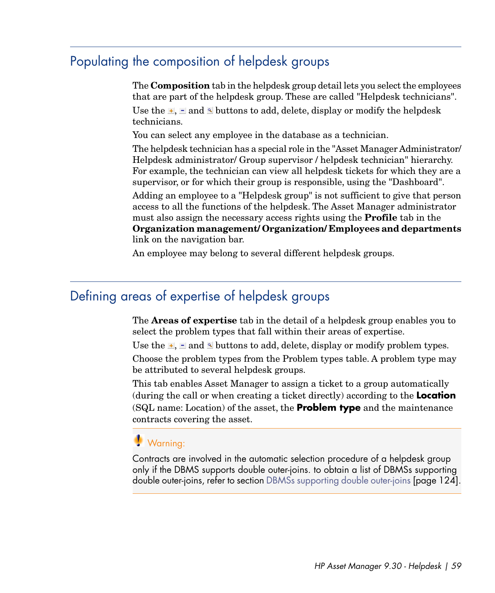# Populating the composition of helpdesk groups

The **Composition** tab in the helpdesk group detail lets you select the employees that are part of the helpdesk group. These are called "Helpdesk technicians". Use the  $\pm$ ,  $\pm$  and  $\Delta$  buttons to add, delete, display or modify the helpdesk technicians.

You can select any employee in the database as a technician.

The helpdesk technician has a special role in the "Asset Manager Administrator/ Helpdesk administrator/ Group supervisor / helpdesk technician" hierarchy. For example, the technician can view all helpdesk tickets for which they are a supervisor, or for which their group is responsible, using the "Dashboard".

Adding an employee to a "Helpdesk group" is not sufficient to give that person access to all the functions of the helpdesk. The Asset Manager administrator must also assign the necessary access rights using the **Profile** tab in the **Organization management/ Organization/ Employees and departments** link on the navigation bar.

An employee may belong to several different helpdesk groups.

# Defining areas of expertise of helpdesk groups

The **Areas of expertise** tab in the detail of a helpdesk group enables you to select the problem types that fall within their areas of expertise.

Use the  $\pm$ ,  $\pm$  and  $\Delta$  buttons to add, delete, display or modify problem types.

Choose the problem types from the Problem types table. A problem type may be attributed to several helpdesk groups.

This tab enables Asset Manager to assign a ticket to a group automatically (during the call or when creating a ticket directly) according to the **Location** (SQL name: Location) of the asset, the **Problem type** and the maintenance contracts covering the asset.

Warning:

Contracts are involved in the automatic selection procedure of a helpdesk group only if the DBMS supports double outer-joins. to obtain a list of DBMSs supporting double outer-joins, refer to section [DBMSs supporting double outer-joins](#page-123-0) [page 124].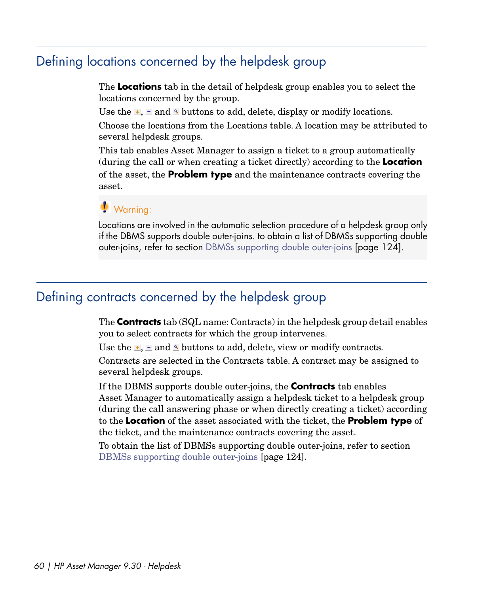# Defining locations concerned by the helpdesk group

The **Locations** tab in the detail of helpdesk group enables you to select the locations concerned by the group.

Use the  $\pm$ ,  $\pm$  and  $\leq$  buttons to add, delete, display or modify locations.

Choose the locations from the Locations table. A location may be attributed to several helpdesk groups.

This tab enables Asset Manager to assign a ticket to a group automatically (during the call or when creating a ticket directly) according to the **Location** of the asset, the **Problem type** and the maintenance contracts covering the asset.

# Warning:

Locations are involved in the automatic selection procedure of a helpdesk group only if the DBMS supports double outer-joins. to obtain a list of DBMSs supporting double outer-joins, refer to section [DBMSs supporting double outer-joins](#page-123-0) [page 124].

# Defining contracts concerned by the helpdesk group

The **Contracts** tab (SQL name: Contracts) in the helpdesk group detail enables you to select contracts for which the group intervenes.

Use the  $\pm$ ,  $\pm$  and  $\leq$  buttons to add, delete, view or modify contracts.

Contracts are selected in the Contracts table. A contract may be assigned to several helpdesk groups.

If the DBMS supports double outer-joins, the **Contracts** tab enables Asset Manager to automatically assign a helpdesk ticket to a helpdesk group (during the call answering phase or when directly creating a ticket) according to the **Location** of the asset associated with the ticket, the **Problem type** of the ticket, and the maintenance contracts covering the asset.

To obtain the list of DBMSs supporting double outer-joins, refer to section [DBMSs supporting double outer-joins](#page-123-0) [page 124].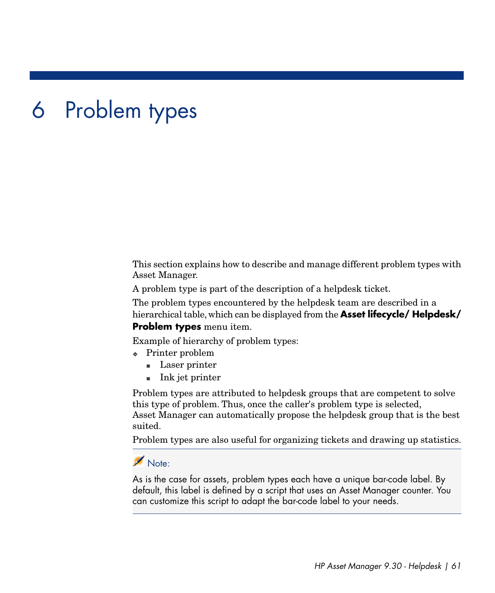# 6 Problem types

This section explains how to describe and manage different problem types with Asset Manager.

A problem type is part of the description of a helpdesk ticket.

The problem types encountered by the helpdesk team are described in a hierarchical table, which can be displayed from the **Asset lifecycle/ Helpdesk/**

#### **Problem types** menu item.

Example of hierarchy of problem types:

- $\bullet$  Printer problem
	- Laser printer
	- $\blacksquare$  Ink jet printer

Problem types are attributed to helpdesk groups that are competent to solve this type of problem. Thus, once the caller's problem type is selected, Asset Manager can automatically propose the helpdesk group that is the best suited.

Problem types are also useful for organizing tickets and drawing up statistics.

## Note:

As is the case for assets, problem types each have a unique bar-code label. By default, this label is defined by a script that uses an Asset Manager counter. You can customize this script to adapt the bar-code label to your needs.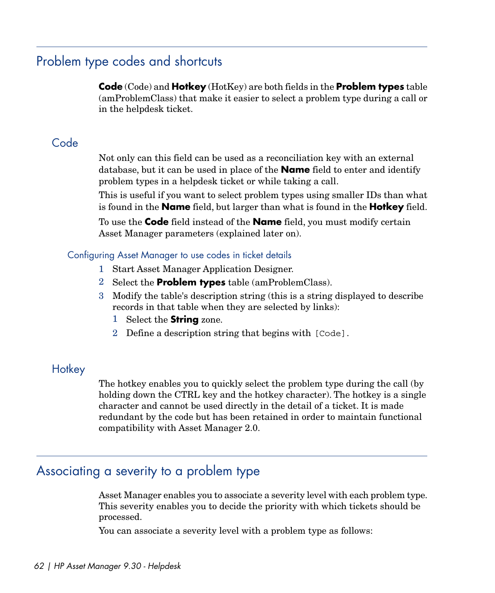# Problem type codes and shortcuts

**Code** (Code) and **Hotkey** (HotKey) are both fields in the **Problem types** table (amProblemClass) that make it easier to select a problem type during a call or in the helpdesk ticket.

## Code

Not only can this field can be used as a reconciliation key with an external database, but it can be used in place of the **Name** field to enter and identify problem types in a helpdesk ticket or while taking a call.

This is useful if you want to select problem types using smaller IDs than what is found in the **Name** field, but larger than what is found in the **Hotkey** field.

To use the **Code** field instead of the **Name** field, you must modify certain Asset Manager parameters (explained later on).

#### Configuring Asset Manager to use codes in ticket details

- 1 Start Asset Manager Application Designer.
- 2 Select the **Problem types** table (amProblemClass).
- 3 Modify the table's description string (this is a string displayed to describe records in that table when they are selected by links):
	- 1 Select the **String** zone.
	- 2 Define a description string that begins with [Code].

## **Hotkey**

The hotkey enables you to quickly select the problem type during the call (by holding down the CTRL key and the hotkey character). The hotkey is a single character and cannot be used directly in the detail of a ticket. It is made redundant by the code but has been retained in order to maintain functional compatibility with Asset Manager 2.0.

# Associating a severity to a problem type

Asset Manager enables you to associate a severity level with each problem type. This severity enables you to decide the priority with which tickets should be processed.

You can associate a severity level with a problem type as follows: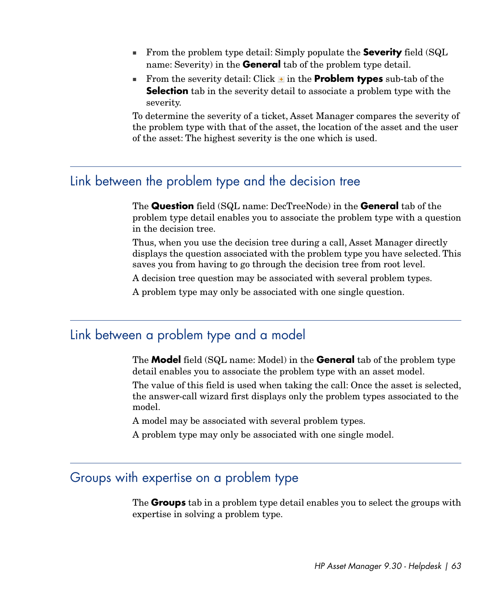- <sup>n</sup> From the problem type detail: Simply populate the **Severity** field (SQL name: Severity) in the **General** tab of the problem type detail.
- From the severity detail: Click  $\blacksquare$  in the **Problem types** sub-tab of the **Selection** tab in the severity detail to associate a problem type with the severity.

To determine the severity of a ticket, Asset Manager compares the severity of the problem type with that of the asset, the location of the asset and the user of the asset: The highest severity is the one which is used.

# Link between the problem type and the decision tree

The **Question** field (SQL name: DecTreeNode) in the **General** tab of the problem type detail enables you to associate the problem type with a question in the decision tree.

Thus, when you use the decision tree during a call, Asset Manager directly displays the question associated with the problem type you have selected. This saves you from having to go through the decision tree from root level.

A decision tree question may be associated with several problem types.

A problem type may only be associated with one single question.

## Link between a problem type and a model

The **Model** field (SQL name: Model) in the **General** tab of the problem type detail enables you to associate the problem type with an asset model.

The value of this field is used when taking the call: Once the asset is selected, the answer-call wizard first displays only the problem types associated to the model.

A model may be associated with several problem types.

A problem type may only be associated with one single model.

# Groups with expertise on a problem type

The **Groups** tab in a problem type detail enables you to select the groups with expertise in solving a problem type.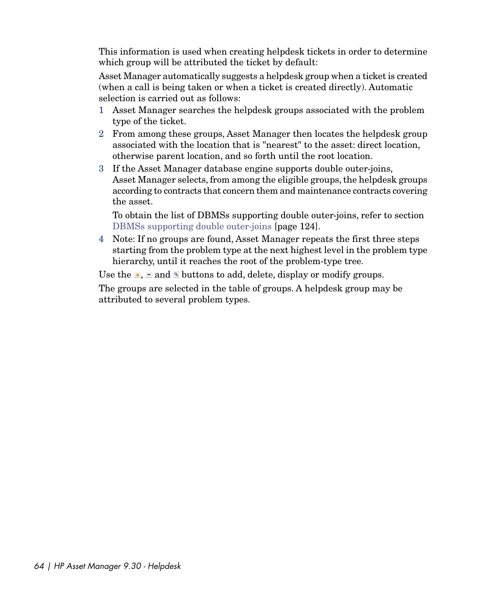This information is used when creating helpdesk tickets in order to determine which group will be attributed the ticket by default:

Asset Manager automatically suggests a helpdesk group when a ticket is created (when a call is being taken or when a ticket is created directly). Automatic selection is carried out as follows:

- 1 Asset Manager searches the helpdesk groups associated with the problem type of the ticket.
- 2 From among these groups, Asset Manager then locates the helpdesk group associated with the location that is "nearest" to the asset: direct location, otherwise parent location, and so forth until the root location.
- 3 If the Asset Manager database engine supports double outer-joins, Asset Manager selects, from among the eligible groups, the helpdesk groups according to contracts that concern them and maintenance contracts covering the asset.

To obtain the list of DBMSs supporting double outer-joins, refer to section [DBMSs supporting double outer-joins](#page-123-0) [page 124].

4 Note: If no groups are found, Asset Manager repeats the first three steps starting from the problem type at the next highest level in the problem type hierarchy, until it reaches the root of the problem-type tree.

Use the  $\pm$ ,  $\pm$  and  $\leq$  buttons to add, delete, display or modify groups.

The groups are selected in the table of groups. A helpdesk group may be attributed to several problem types.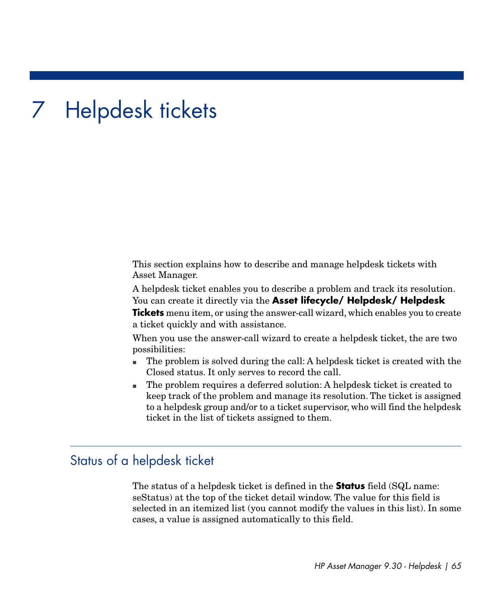# 7 Helpdesk tickets

This section explains how to describe and manage helpdesk tickets with Asset Manager.

A helpdesk ticket enables you to describe a problem and track its resolution. You can create it directly via the **Asset lifecycle/ Helpdesk/ Helpdesk**

**Tickets** menu item, or using the answer-call wizard, which enables you to create a ticket quickly and with assistance.

When you use the answer-call wizard to create a helpdesk ticket, the are two possibilities:

- <sup>n</sup> The problem is solved during the call: A helpdesk ticket is created with the Closed status. It only serves to record the call.
- The problem requires a deferred solution: A helpdesk ticket is created to keep track of the problem and manage its resolution. The ticket is assigned to a helpdesk group and/or to a ticket supervisor, who will find the helpdesk ticket in the list of tickets assigned to them.

# Status of a helpdesk ticket

The status of a helpdesk ticket is defined in the **Status** field (SQL name: seStatus) at the top of the ticket detail window. The value for this field is selected in an itemized list (you cannot modify the values in this list). In some cases, a value is assigned automatically to this field.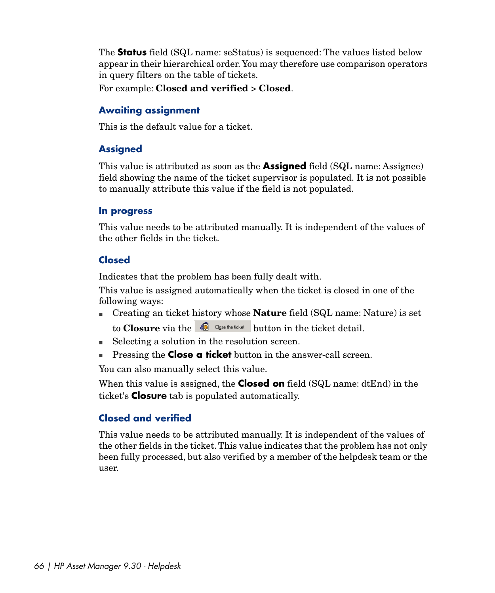The **Status** field (SQL name: seStatus) is sequenced: The values listed below appear in their hierarchical order. You may therefore use comparison operators in query filters on the table of tickets.

For example: **Closed and verified** > **Closed**.

#### **Awaiting assignment**

This is the default value for a ticket.

#### **Assigned**

This value is attributed as soon as the **Assigned** field (SQL name: Assignee) field showing the name of the ticket supervisor is populated. It is not possible to manually attribute this value if the field is not populated.

#### **In progress**

This value needs to be attributed manually. It is independent of the values of the other fields in the ticket.

#### **Closed**

Indicates that the problem has been fully dealt with.

This value is assigned automatically when the ticket is closed in one of the following ways:

- <sup>n</sup> Creating an ticket history whose **Nature** field (SQL name: Nature) is set to **Closure** via the  $\bigcirc$  **Close** the ticket button in the ticket detail.
- $\blacksquare$  Selecting a solution in the resolution screen.
- **n** Pressing the **Close a ticket** button in the answer-call screen.

You can also manually select this value.

When this value is assigned, the **Closed on** field (SQL name: dtEnd) in the ticket's **Closure** tab is populated automatically.

## **Closed and verified**

This value needs to be attributed manually. It is independent of the values of the other fields in the ticket. This value indicates that the problem has not only been fully processed, but also verified by a member of the helpdesk team or the user.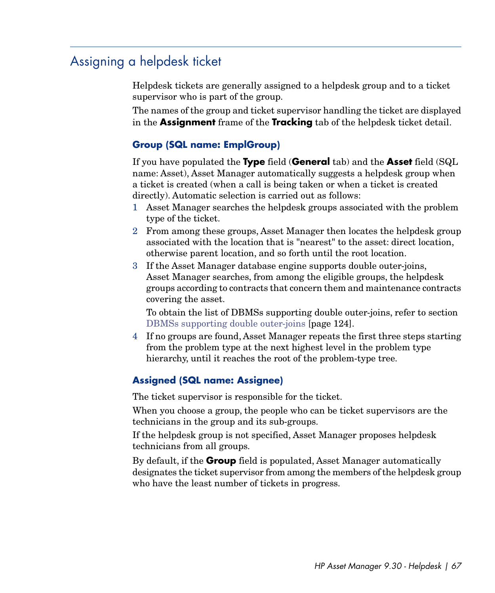# Assigning a helpdesk ticket

Helpdesk tickets are generally assigned to a helpdesk group and to a ticket supervisor who is part of the group.

The names of the group and ticket supervisor handling the ticket are displayed in the **Assignment** frame of the **Tracking** tab of the helpdesk ticket detail.

#### **Group (SQL name: EmplGroup)**

If you have populated the **Type** field (**General** tab) and the **Asset** field (SQL name: Asset), Asset Manager automatically suggests a helpdesk group when a ticket is created (when a call is being taken or when a ticket is created directly). Automatic selection is carried out as follows:

- 1 Asset Manager searches the helpdesk groups associated with the problem type of the ticket.
- 2 From among these groups, Asset Manager then locates the helpdesk group associated with the location that is "nearest" to the asset: direct location, otherwise parent location, and so forth until the root location.
- 3 If the Asset Manager database engine supports double outer-joins, Asset Manager searches, from among the eligible groups, the helpdesk groups according to contracts that concern them and maintenance contracts covering the asset.

To obtain the list of DBMSs supporting double outer-joins, refer to section [DBMSs supporting double outer-joins](#page-123-0) [page 124].

4 If no groups are found, Asset Manager repeats the first three steps starting from the problem type at the next highest level in the problem type hierarchy, until it reaches the root of the problem-type tree.

#### **Assigned (SQL name: Assignee)**

The ticket supervisor is responsible for the ticket.

When you choose a group, the people who can be ticket supervisors are the technicians in the group and its sub-groups.

If the helpdesk group is not specified, Asset Manager proposes helpdesk technicians from all groups.

By default, if the **Group** field is populated, Asset Manager automatically designates the ticket supervisor from among the members of the helpdesk group who have the least number of tickets in progress.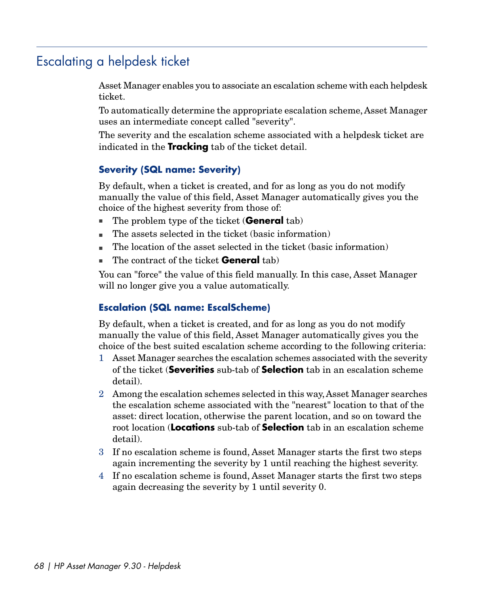# Escalating a helpdesk ticket

Asset Manager enables you to associate an escalation scheme with each helpdesk ticket.

To automatically determine the appropriate escalation scheme, Asset Manager uses an intermediate concept called "severity".

The severity and the escalation scheme associated with a helpdesk ticket are indicated in the **Tracking** tab of the ticket detail.

#### **Severity (SQL name: Severity)**

By default, when a ticket is created, and for as long as you do not modify manually the value of this field, Asset Manager automatically gives you the choice of the highest severity from those of:

- n The problem type of the ticket (**General** tab)
- The assets selected in the ticket (basic information)
- The location of the asset selected in the ticket (basic information)
- The contract of the ticket **General** tab)

You can "force" the value of this field manually. In this case, Asset Manager will no longer give you a value automatically.

#### **Escalation (SQL name: EscalScheme)**

By default, when a ticket is created, and for as long as you do not modify manually the value of this field, Asset Manager automatically gives you the choice of the best suited escalation scheme according to the following criteria:

- 1 Asset Manager searches the escalation schemes associated with the severity of the ticket (**Severities** sub-tab of **Selection** tab in an escalation scheme detail).
- 2 Among the escalation schemes selected in this way,Asset Manager searches the escalation scheme associated with the "nearest" location to that of the asset: direct location, otherwise the parent location, and so on toward the root location (**Locations** sub-tab of **Selection** tab in an escalation scheme detail).
- 3 If no escalation scheme is found, Asset Manager starts the first two steps again incrementing the severity by 1 until reaching the highest severity.
- 4 If no escalation scheme is found, Asset Manager starts the first two steps again decreasing the severity by 1 until severity 0.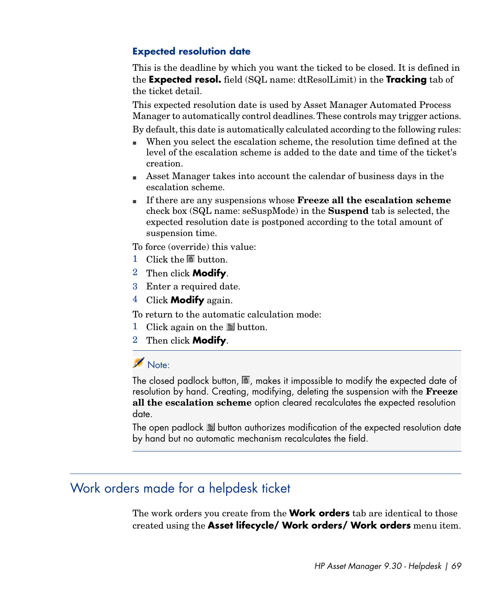#### **Expected resolution date**

This is the deadline by which you want the ticked to be closed. It is defined in the **Expected resol.** field (SQL name: dtResolLimit) in the **Tracking** tab of the ticket detail.

This expected resolution date is used by Asset Manager Automated Process Manager to automatically control deadlines.These controls may trigger actions.

By default, this date is automatically calculated according to the following rules:

- <sup>n</sup> When you select the escalation scheme, the resolution time defined at the level of the escalation scheme is added to the date and time of the ticket's creation.
- <sup>n</sup> Asset Manager takes into account the calendar of business days in the escalation scheme.
- <sup>n</sup> If there are any suspensions whose **Freeze all the escalation scheme** check box (SQL name: seSuspMode) in the **Suspend** tab is selected, the expected resolution date is postponed according to the total amount of suspension time.

To force (override) this value:

- 1 Click the  $\boxed{6}$  button.
- 2 Then click **Modify**.
- 3 Enter a required date.
- 4 Click **Modify** again.

To return to the automatic calculation mode:

- 1 Click again on the  $\Box$  button.
- 2 Then click **Modify**.

# Note:

The closed padlock button,  $\boxed{a}$ , makes it impossible to modify the expected date of resolution by hand. Creating, modifying, deleting the suspension with the **Freeze all the escalation scheme** option cleared recalculates the expected resolution date.

The open padlock **b** button authorizes modification of the expected resolution date by hand but no automatic mechanism recalculates the field.

## Work orders made for a helpdesk ticket

The work orders you create from the **Work orders** tab are identical to those created using the **Asset lifecycle/ Work orders/ Work orders** menu item.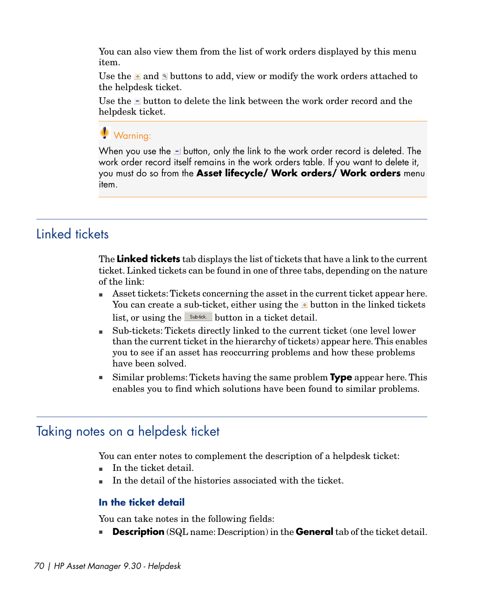You can also view them from the list of work orders displayed by this menu item.

Use the  $\pm$  and  $\leq$  buttons to add, view or modify the work orders attached to the helpdesk ticket.

Use the  $\Box$  button to delete the link between the work order record and the helpdesk ticket.

# Warning:

When you use the  $\exists$  button, only the link to the work order record is deleted. The work order record itself remains in the work orders table. If you want to delete it, you must do so from the **Asset lifecycle/ Work orders/ Work orders** menu item.

# Linked tickets

The **Linked tickets** tab displays the list of tickets that have a link to the current ticket. Linked tickets can be found in one of three tabs, depending on the nature of the link:

- $\blacksquare$  Asset tickets: Tickets concerning the asset in the current ticket appear here. You can create a sub-ticket, either using the  $\pm$  button in the linked tickets list, or using the  $\frac{\text{Sub-tick}}{\text{Sub-tick}}$  button in a ticket detail.
- <sup>n</sup> Sub-tickets: Tickets directly linked to the current ticket (one level lower than the current ticket in the hierarchy of tickets) appear here.This enables you to see if an asset has reoccurring problems and how these problems have been solved.
- <sup>n</sup> Similar problems: Tickets having the same problem **Type** appear here. This enables you to find which solutions have been found to similar problems.

# Taking notes on a helpdesk ticket

You can enter notes to complement the description of a helpdesk ticket:

- <sup>n</sup> In the ticket detail.
- <sup>n</sup> In the detail of the histories associated with the ticket.

## **In the ticket detail**

You can take notes in the following fields:

**Description** (SQL name: Description) in the **General** tab of the ticket detail.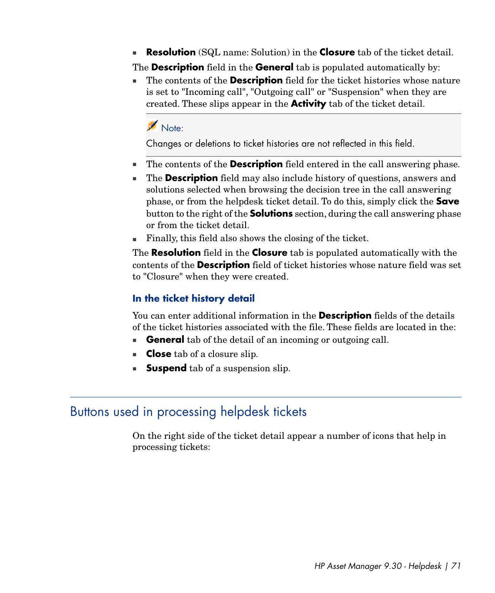**Resolution** (SQL name: Solution) in the **Closure** tab of the ticket detail.

The **Description** field in the **General** tab is populated automatically by:

n The contents of the **Description** field for the ticket histories whose nature is set to "Incoming call", "Outgoing call" or "Suspension" when they are created. These slips appear in the **Activity** tab of the ticket detail.

## Note:

Changes or deletions to ticket histories are not reflected in this field.

- n The contents of the **Description** field entered in the call answering phase.
- **n** The **Description** field may also include history of questions, answers and solutions selected when browsing the decision tree in the call answering phase, or from the helpdesk ticket detail. To do this, simply click the **Save** button to the right of the **Solutions** section, during the call answering phase or from the ticket detail.
- Finally, this field also shows the closing of the ticket.

The **Resolution** field in the **Closure** tab is populated automatically with the contents of the **Description** field of ticket histories whose nature field was set to "Closure" when they were created.

### **In the ticket history detail**

You can enter additional information in the **Description** fields of the details of the ticket histories associated with the file. These fields are located in the:

- **General** tab of the detail of an incoming or outgoing call.
- **Close** tab of a closure slip.
- **s** Suspend tab of a suspension slip.

# Buttons used in processing helpdesk tickets

On the right side of the ticket detail appear a number of icons that help in processing tickets: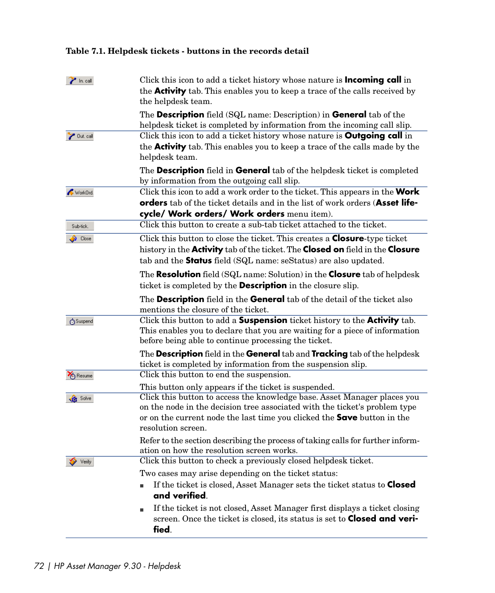#### **Table 7.1. Helpdesk tickets - buttons in the records detail**

| $\blacktriangleright$ In. call | Click this icon to add a ticket history whose nature is <b>Incoming call</b> in<br>the <b>Activity</b> tab. This enables you to keep a trace of the calls received by<br>the helpdesk team.                                                                                                                            |
|--------------------------------|------------------------------------------------------------------------------------------------------------------------------------------------------------------------------------------------------------------------------------------------------------------------------------------------------------------------|
|                                | The <b>Description</b> field (SQL name: Description) in <b>General</b> tab of the<br>helpdesk ticket is completed by information from the incoming call slip.                                                                                                                                                          |
| $\bullet$ Out. call            | Click this icon to add a ticket history whose nature is <b>Outgoing call</b> in<br>the <b>Activity</b> tab. This enables you to keep a trace of the calls made by the<br>helpdesk team.                                                                                                                                |
|                                | The <b>Description</b> field in <b>General</b> tab of the helpdesk ticket is completed<br>by information from the outgoing call slip.                                                                                                                                                                                  |
| WorkOrd.                       | Click this icon to add a work order to the ticket. This appears in the Work<br>orders tab of the ticket details and in the list of work orders (Asset life-<br>cycle/ Work orders/ Work orders menu item).                                                                                                             |
| Sub-tick.                      | Click this button to create a sub-tab ticket attached to the ticket.                                                                                                                                                                                                                                                   |
| Close                          | Click this button to close the ticket. This creates a <b>Closure</b> -type ticket<br>history in the Activity tab of the ticket. The Closed on field in the Closure<br>tab and the <b>Status</b> field (SQL name: seStatus) are also updated.                                                                           |
|                                | The Resolution field (SQL name: Solution) in the Closure tab of helpdesk<br>ticket is completed by the <b>Description</b> in the closure slip.                                                                                                                                                                         |
|                                | The Description field in the General tab of the detail of the ticket also<br>mentions the closure of the ticket.                                                                                                                                                                                                       |
| Suspend                        | Click this button to add a <b>Suspension</b> ticket history to the <b>Activity</b> tab.<br>This enables you to declare that you are waiting for a piece of information<br>before being able to continue processing the ticket.                                                                                         |
|                                | The <b>Description</b> field in the <b>General</b> tab and <b>Tracking</b> tab of the helpdesk<br>ticket is completed by information from the suspension slip.                                                                                                                                                         |
| Resume                         | Click this button to end the suspension.                                                                                                                                                                                                                                                                               |
| <b>Solve</b>                   | This button only appears if the ticket is suspended.<br>Click this button to access the knowledge base. Asset Manager places you<br>on the node in the decision tree associated with the ticket's problem type<br>or on the current node the last time you clicked the <b>Save</b> button in the<br>resolution screen. |
|                                | Refer to the section describing the process of taking calls for further inform-<br>ation on how the resolution screen works.                                                                                                                                                                                           |
| Verify                         | Click this button to check a previously closed helpdesk ticket.                                                                                                                                                                                                                                                        |
|                                | Two cases may arise depending on the ticket status:<br>If the ticket is closed, Asset Manager sets the ticket status to <b>Closed</b><br>and verified.                                                                                                                                                                 |
|                                | If the ticket is not closed, Asset Manager first displays a ticket closing<br>screen. Once the ticket is closed, its status is set to <b>Closed and veri-</b><br>fied.                                                                                                                                                 |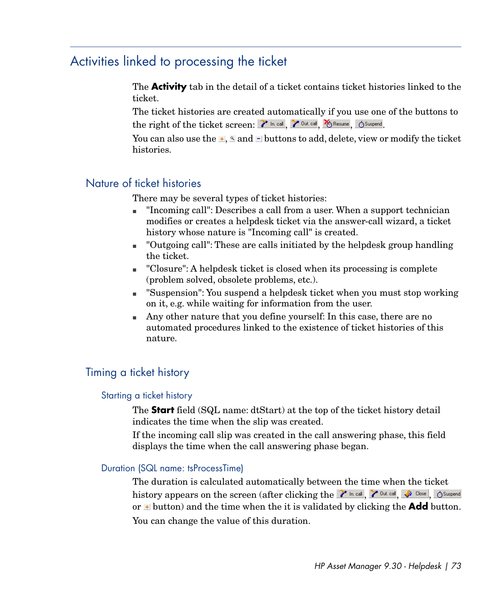# Activities linked to processing the ticket

The **Activity** tab in the detail of a ticket contains ticket histories linked to the ticket.

The ticket histories are created automatically if you use one of the buttons to the right of the ticket screen:  $\sim$  In call  $\sim$  Out call  $\sim$  Resume of Suspend

You can also use the  $\exists$ ,  $\exists$  and  $\exists$  buttons to add, delete, view or modify the ticket histories.

## Nature of ticket histories

There may be several types of ticket histories:

- <sup>n</sup> "Incoming call": Describes a call from a user. When a support technician modifies or creates a helpdesk ticket via the answer-call wizard, a ticket history whose nature is "Incoming call" is created.
- <sup>n</sup> "Outgoing call": These are calls initiated by the helpdesk group handling the ticket.
- <sup>n</sup> "Closure": A helpdesk ticket is closed when its processing is complete (problem solved, obsolete problems, etc.).
- <sup>n</sup> "Suspension": You suspend a helpdesk ticket when you must stop working on it, e.g. while waiting for information from the user.
- <sup>n</sup> Any other nature that you define yourself: In this case, there are no automated procedures linked to the existence of ticket histories of this nature.

## Timing a ticket history

#### Starting a ticket history

The **Start** field (SQL name: dtStart) at the top of the ticket history detail indicates the time when the slip was created.

If the incoming call slip was created in the call answering phase, this field displays the time when the call answering phase began.

### Duration (SQL name: tsProcessTime)

The duration is calculated automatically between the time when the ticket history appears on the screen (after clicking the  $\mathcal{V}$  in call,  $\mathcal{V}$  Out call,  $\mathcal{V}$  Close,  $\circ$  Suspend or  $\blacksquare$  button) and the time when the it is validated by clicking the **Add** button. You can change the value of this duration.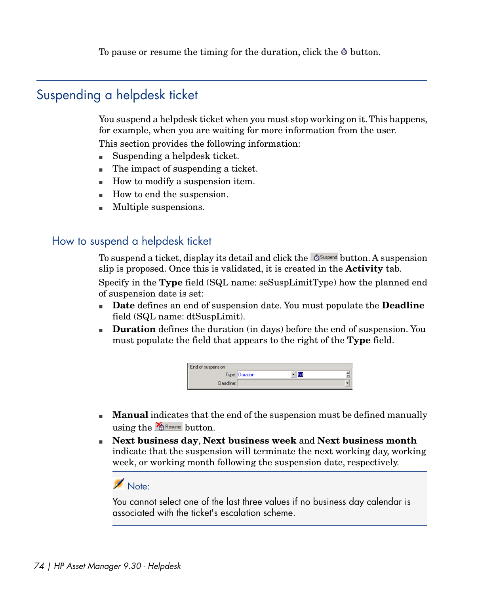To pause or resume the timing for the duration, click the  $\Phi$  button.

# Suspending a helpdesk ticket

You suspend a helpdesk ticket when you must stop working on it.This happens, for example, when you are waiting for more information from the user.

This section provides the following information:

- $\blacksquare$  Suspending a helpdesk ticket.
- $\blacksquare$  The impact of suspending a ticket.
- $\blacksquare$  How to modify a suspension item.
- How to end the suspension.
- Multiple suspensions.

### How to suspend a helpdesk ticket

To suspend a ticket, display its detail and click the  $\mathcal{O}^{\text{Suspend}}$  button. A suspension slip is proposed. Once this is validated, it is created in the **Activity** tab.

Specify in the **Type** field (SQL name: seSuspLimitType) how the planned end of suspension date is set:

- <sup>n</sup> **Date** defines an end of suspension date. You must populate the **Deadline** field (SQL name: dtSuspLimit).
- **Duration** defines the duration (in days) before the end of suspension. You must populate the field that appears to the right of the **Type** field.



- **Manual** indicates that the end of the suspension must be defined manually using the  $\frac{1}{2}$ <sup>Resume</sup> button.
- <sup>n</sup> **Next business day**, **Next business week** and **Next business month** indicate that the suspension will terminate the next working day, working week, or working month following the suspension date, respectively.

## Note:

You cannot select one of the last three values if no business day calendar is associated with the ticket's escalation scheme.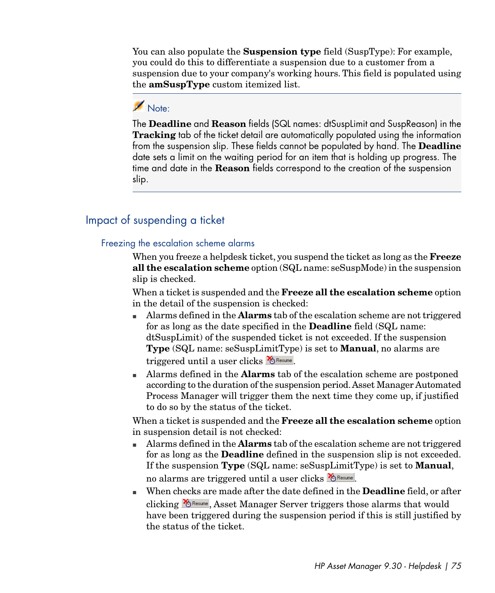You can also populate the **Suspension type** field (SuspType): For example, you could do this to differentiate a suspension due to a customer from a suspension due to your company's working hours. This field is populated using the **amSuspType** custom itemized list.

# Note:

The **Deadline** and **Reason** fields (SQL names: dtSuspLimit and SuspReason) in the **Tracking** tab of the ticket detail are automatically populated using the information from the suspension slip. These fields cannot be populated by hand. The **Deadline** date sets a limit on the waiting period for an item that is holding up progress. The time and date in the **Reason** fields correspond to the creation of the suspension slip.

# Impact of suspending a ticket

### Freezing the escalation scheme alarms

When you freeze a helpdesk ticket, you suspend the ticket as long as the **Freeze all the escalation scheme** option (SQL name: seSuspMode) in the suspension slip is checked.

When a ticket is suspended and the **Freeze all the escalation scheme** option in the detail of the suspension is checked:

- <sup>n</sup> Alarms defined in the **Alarms** tab of the escalation scheme are not triggered for as long as the date specified in the **Deadline** field (SQL name: dtSuspLimit) of the suspended ticket is not exceeded. If the suspension **Type** (SQL name: seSuspLimitType) is set to **Manual**, no alarms are triggered until a user clicks  $\frac{R_{\text{B}}}{R_{\text{B}}}}$ .
- <sup>n</sup> Alarms defined in the **Alarms** tab of the escalation scheme are postponed according to the duration of the suspension period.Asset Manager Automated Process Manager will trigger them the next time they come up, if justified to do so by the status of the ticket.

When a ticket is suspended and the **Freeze all the escalation scheme** option in suspension detail is not checked:

- <sup>n</sup> Alarms defined in the **Alarms** tab of the escalation scheme are not triggered for as long as the **Deadline** defined in the suspension slip is not exceeded. If the suspension **Type** (SQL name: seSuspLimitType) is set to **Manual**, no alarms are triggered until a user clicks  $\frac{1}{\sqrt{2}}$  Resume.
- <sup>n</sup> When checks are made after the date defined in the **Deadline** field, or after clicking  $\frac{1}{2}$  Resume, Asset Manager Server triggers those alarms that would have been triggered during the suspension period if this is still justified by the status of the ticket.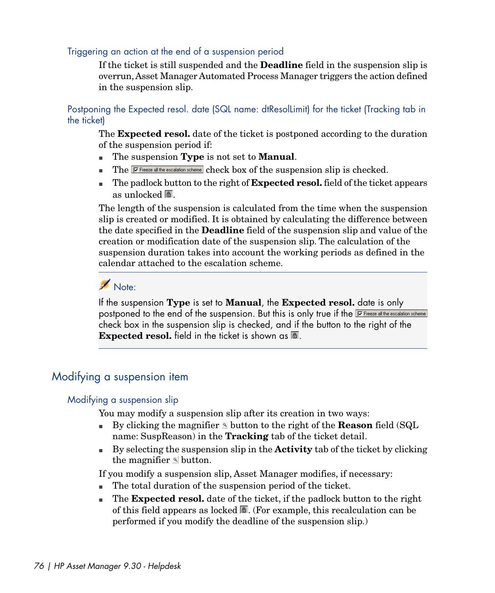#### Triggering an action at the end of a suspension period

If the ticket is still suspended and the **Deadline** field in the suspension slip is overrun,Asset Manager Automated Process Manager triggers the action defined in the suspension slip.

Postponing the Expected resol. date (SQL name: dtResolLimit) for the ticket (Tracking tab in the ticket)

The **Expected resol.** date of the ticket is postponed according to the duration of the suspension period if:

- <sup>n</sup> The suspension **Type** is not set to **Manual**.
- The  $\sqrt{r}$  Freeze all the escalation scheme check box of the suspension slip is checked.
- n The padlock button to the right of **Expected resol.** field of the ticket appears as unlocked  $\overline{\mathbb{a}}$ .

The length of the suspension is calculated from the time when the suspension slip is created or modified. It is obtained by calculating the difference between the date specified in the **Deadline** field of the suspension slip and value of the creation or modification date of the suspension slip. The calculation of the suspension duration takes into account the working periods as defined in the calendar attached to the escalation scheme.

# Note:

If the suspension **Type** is set to **Manual**, the **Expected resol.** date is only postponed to the end of the suspension. But this is only true if the F Freeze all the escalation scheme check box in the suspension slip is checked, and if the button to the right of the **Expected resol.** field in the ticket is shown as  $\mathbb{B}$ .

## Modifying a suspension item

### Modifying a suspension slip

You may modify a suspension slip after its creation in two ways:

- n By clicking the magnifier  $\trianglelefteq$  button to the right of the **Reason** field (SQL name: SuspReason) in the **Tracking** tab of the ticket detail.
- <sup>n</sup> By selecting the suspension slip in the **Activity** tab of the ticket by clicking the magnifier  $\leq$  button.

If you modify a suspension slip, Asset Manager modifies, if necessary:

- $\blacksquare$  The total duration of the suspension period of the ticket.
- <sup>n</sup> The **Expected resol.** date of the ticket, if the padlock button to the right of this field appears as locked  $\blacksquare$ . (For example, this recalculation can be performed if you modify the deadline of the suspension slip.)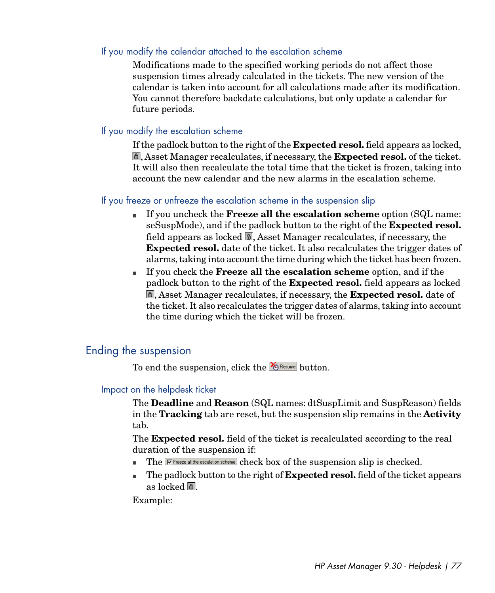#### If you modify the calendar attached to the escalation scheme

Modifications made to the specified working periods do not affect those suspension times already calculated in the tickets. The new version of the calendar is taken into account for all calculations made after its modification. You cannot therefore backdate calculations, but only update a calendar for future periods.

#### If you modify the escalation scheme

If the padlock button to the right of the **Expected resol.** field appears as locked, , Asset Manager recalculates, if necessary, the **Expected resol.** of the ticket. It will also then recalculate the total time that the ticket is frozen, taking into account the new calendar and the new alarms in the escalation scheme.

#### If you freeze or unfreeze the escalation scheme in the suspension slip

- <sup>n</sup> If you uncheck the **Freeze all the escalation scheme** option (SQL name: seSuspMode), and if the padlock button to the right of the **Expected resol.** field appears as locked  $\boxed{\upbeta}$ , Asset Manager recalculates, if necessary, the **Expected resol.** date of the ticket. It also recalculates the trigger dates of alarms, taking into account the time during which the ticket has been frozen.
- <sup>n</sup> If you check the **Freeze all the escalation scheme** option, and if the padlock button to the right of the **Expected resol.** field appears as locked , Asset Manager recalculates, if necessary, the **Expected resol.** date of the ticket. It also recalculates the trigger dates of alarms, taking into account the time during which the ticket will be frozen.

### Ending the suspension

To end the suspension, click the  $\frac{1}{2}$  Resume button.

#### Impact on the helpdesk ticket

The **Deadline** and **Reason** (SQL names: dtSuspLimit and SuspReason) fields in the **Tracking** tab are reset, but the suspension slip remains in the **Activity** tab.

The **Expected resol.** field of the ticket is recalculated according to the real duration of the suspension if:

- $\blacksquare$  The  $\lceil$  Freeze all the escalation scheme check box of the suspension slip is checked.
- <sup>n</sup> The padlock button to the right of **Expected resol.** field of the ticket appears as locked  $\overline{\mathbb{a}}$  .

#### Example: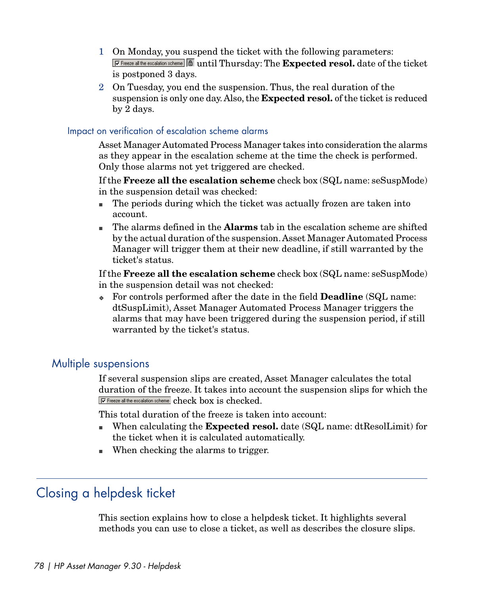- 1 On Monday, you suspend the ticket with the following parameters: **Expected resol.** date of the ticket is postponed 3 days.
- 2 On Tuesday, you end the suspension. Thus, the real duration of the suspension is only one day.Also, the **Expected resol.** of the ticket is reduced by 2 days.

#### Impact on verification of escalation scheme alarms

Asset Manager Automated Process Manager takes into consideration the alarms as they appear in the escalation scheme at the time the check is performed. Only those alarms not yet triggered are checked.

If the **Freeze all the escalation scheme** check box (SQL name: seSuspMode) in the suspension detail was checked:

- $\blacksquare$  The periods during which the ticket was actually frozen are taken into account.
- <sup>n</sup> The alarms defined in the **Alarms** tab in the escalation scheme are shifted by the actual duration of the suspension.Asset Manager Automated Process Manager will trigger them at their new deadline, if still warranted by the ticket's status.

If the **Freeze all the escalation scheme** check box (SQL name: seSuspMode) in the suspension detail was not checked:

<sup>u</sup> For controls performed after the date in the field **Deadline** (SQL name: dtSuspLimit), Asset Manager Automated Process Manager triggers the alarms that may have been triggered during the suspension period, if still warranted by the ticket's status.

### Multiple suspensions

If several suspension slips are created, Asset Manager calculates the total duration of the freeze. It takes into account the suspension slips for which the  $\nabla$  Freeze all the escalation scheme  $\left| \text{check box is checked} \right|$ .

This total duration of the freeze is taken into account:

- <sup>n</sup> When calculating the **Expected resol.** date (SQL name: dtResolLimit) for the ticket when it is calculated automatically.
- <sup>n</sup> When checking the alarms to trigger.

# Closing a helpdesk ticket

This section explains how to close a helpdesk ticket. It highlights several methods you can use to close a ticket, as well as describes the closure slips.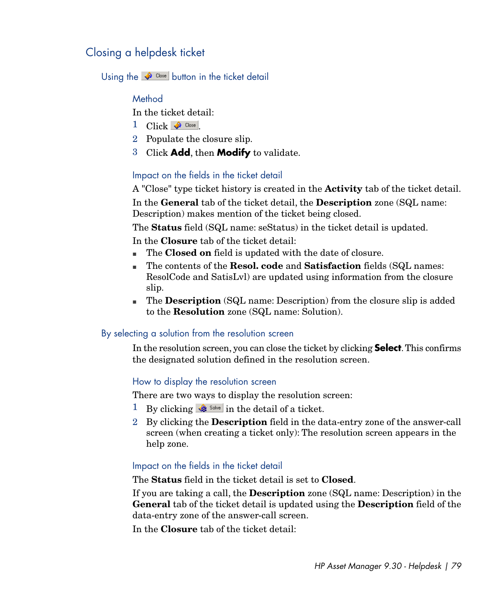# Closing a helpdesk ticket

Using the  $\bigotimes^{\bullet}$  Close button in the ticket detail

#### Method

In the ticket detail:

- $1$  Click  $\bullet$  Close
- 2 Populate the closure slip.
- 3 Click **Add**, then **Modify** to validate.

#### Impact on the fields in the ticket detail

A "Close" type ticket history is created in the **Activity** tab of the ticket detail. In the **General** tab of the ticket detail, the **Description** zone (SQL name: Description) makes mention of the ticket being closed.

The **Status** field (SQL name: seStatus) in the ticket detail is updated.

In the **Closure** tab of the ticket detail:

- The **Closed on** field is updated with the date of closure.
- <sup>n</sup> The contents of the **Resol. code** and **Satisfaction** fields (SQL names: ResolCode and SatisLvl) are updated using information from the closure slip.
- n The **Description** (SQL name: Description) from the closure slip is added to the **Resolution** zone (SQL name: Solution).

#### By selecting a solution from the resolution screen

In the resolution screen, you can close the ticket by clicking **Select**.This confirms the designated solution defined in the resolution screen.

#### How to display the resolution screen

There are two ways to display the resolution screen:

- <sup>1</sup> By clicking  $\frac{1}{\sqrt{2}}$  solve in the detail of a ticket.
- 2 By clicking the **Description** field in the data-entry zone of the answer-call screen (when creating a ticket only): The resolution screen appears in the help zone.

### Impact on the fields in the ticket detail

The **Status** field in the ticket detail is set to **Closed**.

If you are taking a call, the **Description** zone (SQL name: Description) in the **General** tab of the ticket detail is updated using the **Description** field of the data-entry zone of the answer-call screen.

In the **Closure** tab of the ticket detail: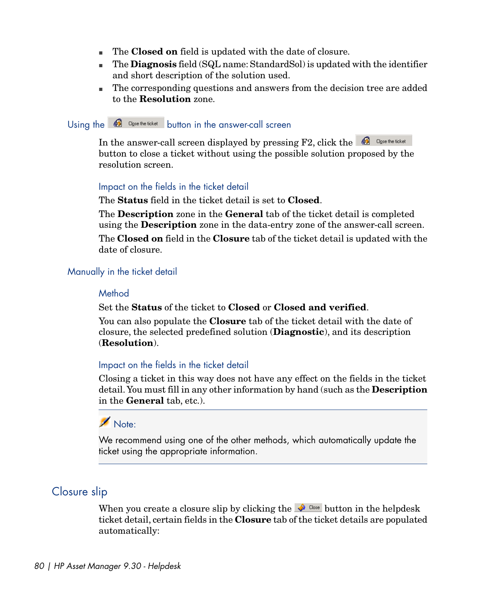- **n** The **Closed on** field is updated with the date of closure.
- n The **Diagnosis** field (SQL name: StandardSol) is updated with the identifier and short description of the solution used.
- n The corresponding questions and answers from the decision tree are added to the **Resolution** zone.

#### Using the  $\bigcirc$   $\bigcirc$   $\bigcirc$   $\circ$   $\circ$  the ticket button in the answer-call screen

In the answer-call screen displayed by pressing  $F2$ , click the  $\bigcirc$   $\bigcirc$   $\bigcirc$   $\bigcirc$   $\bigcirc$  close the ticket button to close a ticket without using the possible solution proposed by the resolution screen.

#### Impact on the fields in the ticket detail

The **Status** field in the ticket detail is set to **Closed**.

The **Description** zone in the **General** tab of the ticket detail is completed using the **Description** zone in the data-entry zone of the answer-call screen. The **Closed on** field in the **Closure** tab of the ticket detail is updated with the date of closure.

#### Manually in the ticket detail

#### **Method**

Set the **Status** of the ticket to **Closed** or **Closed and verified**.

You can also populate the **Closure** tab of the ticket detail with the date of closure, the selected predefined solution (**Diagnostic**), and its description (**Resolution**).

#### Impact on the fields in the ticket detail

Closing a ticket in this way does not have any effect on the fields in the ticket detail. You must fill in any other information by hand (such as the **Description** in the **General** tab, etc.).

# Note:

We recommend using one of the other methods, which automatically update the ticket using the appropriate information.

### Closure slip

When you create a closure slip by clicking the  $\Diamond$  Close button in the helpdesk ticket detail, certain fields in the **Closure** tab of the ticket details are populated automatically: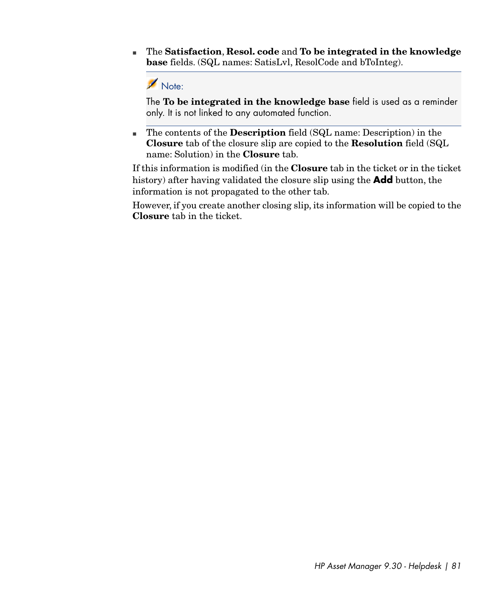<sup>n</sup> The **Satisfaction**, **Resol. code** and **To be integrated in the knowledge base** fields. (SQL names: SatisLvl, ResolCode and bToInteg).

# Note:

The **To be integrated in the knowledge base** field is used as a reminder only. It is not linked to any automated function.

<sup>n</sup> The contents of the **Description** field (SQL name: Description) in the **Closure** tab of the closure slip are copied to the **Resolution** field (SQL name: Solution) in the **Closure** tab.

If this information is modified (in the **Closure** tab in the ticket or in the ticket history) after having validated the closure slip using the **Add** button, the information is not propagated to the other tab.

However, if you create another closing slip, its information will be copied to the **Closure** tab in the ticket.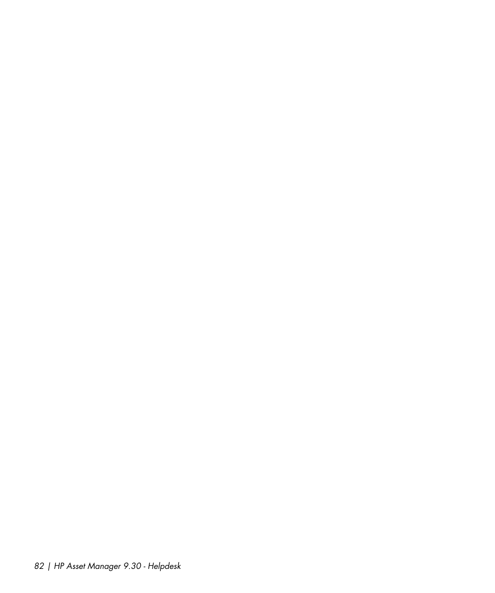*82 | HP Asset Manager 9.30 - Helpdesk*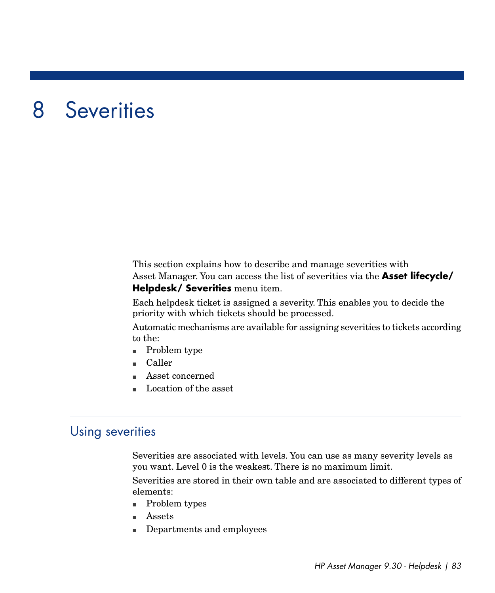# 8 Severities

This section explains how to describe and manage severities with Asset Manager. You can access the list of severities via the **Asset lifecycle/ Helpdesk/ Severities** menu item.

Each helpdesk ticket is assigned a severity. This enables you to decide the priority with which tickets should be processed.

Automatic mechanisms are available for assigning severities to tickets according to the:

- $\blacksquare$  Problem type
- <sup>n</sup> Caller
- Asset concerned
- $\blacksquare$  Location of the asset

# Using severities

Severities are associated with levels. You can use as many severity levels as you want. Level 0 is the weakest. There is no maximum limit.

Severities are stored in their own table and are associated to different types of elements:

- Problem types
- **n** Assets
- <sup>n</sup> Departments and employees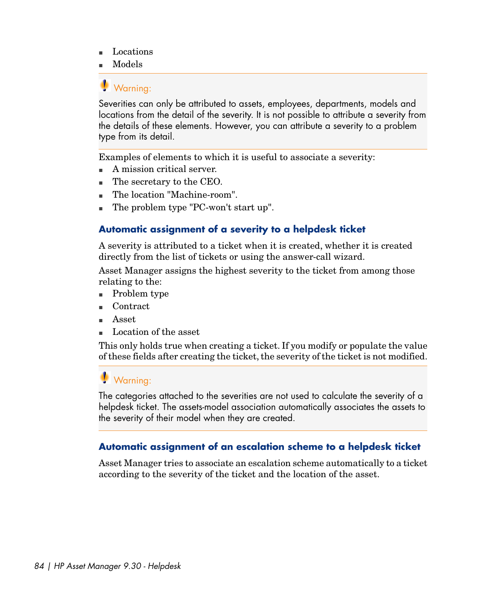- Locations
- **Models**

# Warning:

Severities can only be attributed to assets, employees, departments, models and locations from the detail of the severity. It is not possible to attribute a severity from the details of these elements. However, you can attribute a severity to a problem type from its detail.

Examples of elements to which it is useful to associate a severity:

- A mission critical server.
- The secretary to the CEO.
- The location "Machine-room".
- The problem type "PC-won't start up".

### **Automatic assignment of a severity to a helpdesk ticket**

A severity is attributed to a ticket when it is created, whether it is created directly from the list of tickets or using the answer-call wizard.

Asset Manager assigns the highest severity to the ticket from among those relating to the:

- $\blacksquare$  Problem type
- Contract
- **Asset**
- Location of the asset

This only holds true when creating a ticket. If you modify or populate the value of these fields after creating the ticket, the severity of the ticket is not modified.

# Warning:

The categories attached to the severities are not used to calculate the severity of a helpdesk ticket. The assets-model association automatically associates the assets to the severity of their model when they are created.

### **Automatic assignment of an escalation scheme to a helpdesk ticket**

Asset Manager tries to associate an escalation scheme automatically to a ticket according to the severity of the ticket and the location of the asset.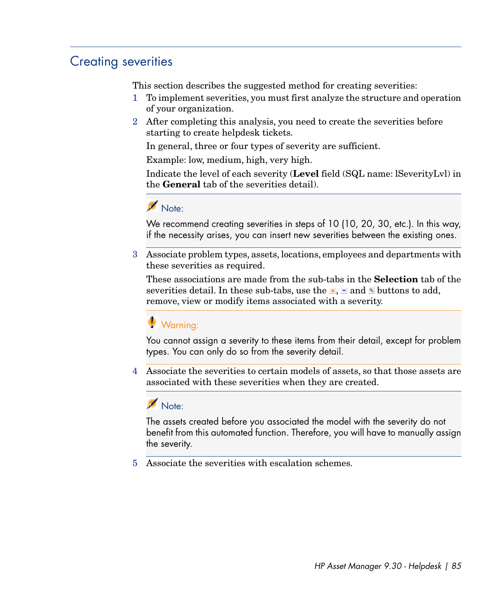# Creating severities

This section describes the suggested method for creating severities:

- 1 To implement severities, you must first analyze the structure and operation of your organization.
- 2 After completing this analysis, you need to create the severities before starting to create helpdesk tickets.

In general, three or four types of severity are sufficient.

Example: low, medium, high, very high.

Indicate the level of each severity (**Level** field (SQL name: lSeverityLvl) in the **General** tab of the severities detail).

# Note:

We recommend creating severities in steps of 10 (10, 20, 30, etc.). In this way, if the necessity arises, you can insert new severities between the existing ones.

3 Associate problem types, assets, locations, employees and departments with these severities as required.

These associations are made from the sub-tabs in the **Selection** tab of the severities detail. In these sub-tabs, use the  $\pm$ ,  $\pm$  and  $\Delta$  buttons to add, remove, view or modify items associated with a severity.

# Warning:

You cannot assign a severity to these items from their detail, except for problem types. You can only do so from the severity detail.

4 Associate the severities to certain models of assets, so that those assets are associated with these severities when they are created.

# Note:

The assets created before you associated the model with the severity do not benefit from this automated function. Therefore, you will have to manually assign the severity.

5 Associate the severities with escalation schemes.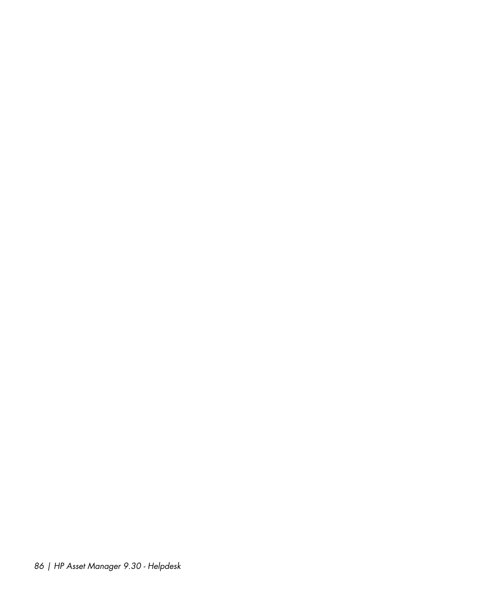*86 | HP Asset Manager 9.30 - Helpdesk*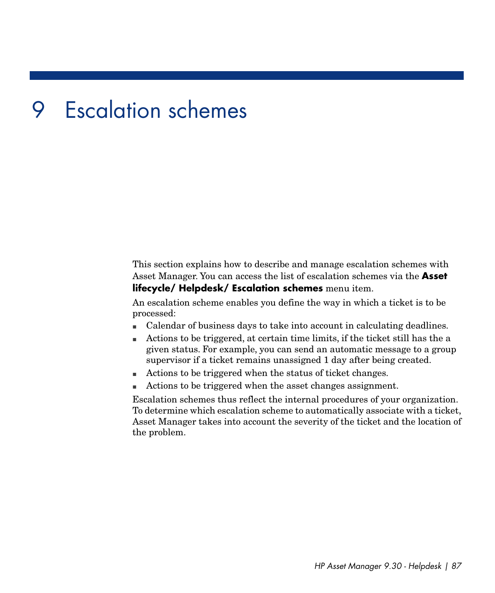# 9 Escalation schemes

This section explains how to describe and manage escalation schemes with Asset Manager. You can access the list of escalation schemes via the **Asset lifecycle/ Helpdesk/ Escalation schemes** menu item.

An escalation scheme enables you define the way in which a ticket is to be processed:

- <sup>n</sup> Calendar of business days to take into account in calculating deadlines.
- $\blacksquare$  Actions to be triggered, at certain time limits, if the ticket still has the a given status. For example, you can send an automatic message to a group supervisor if a ticket remains unassigned 1 day after being created.
- $\blacksquare$  Actions to be triggered when the status of ticket changes.
- Actions to be triggered when the asset changes assignment.

Escalation schemes thus reflect the internal procedures of your organization. To determine which escalation scheme to automatically associate with a ticket, Asset Manager takes into account the severity of the ticket and the location of the problem.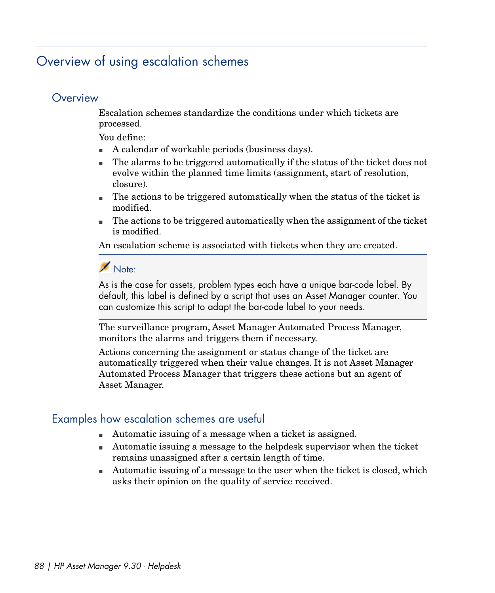# Overview of using escalation schemes

### **Overview**

Escalation schemes standardize the conditions under which tickets are processed.

You define:

- $\blacksquare$  A calendar of workable periods (business days).
- $\blacksquare$  The alarms to be triggered automatically if the status of the ticket does not evolve within the planned time limits (assignment, start of resolution, closure).
- $\blacksquare$  The actions to be triggered automatically when the status of the ticket is modified.
- $\blacksquare$  The actions to be triggered automatically when the assignment of the ticket is modified.

An escalation scheme is associated with tickets when they are created.

# Note:

As is the case for assets, problem types each have a unique bar-code label. By default, this label is defined by a script that uses an Asset Manager counter. You can customize this script to adapt the bar-code label to your needs.

The surveillance program, Asset Manager Automated Process Manager, monitors the alarms and triggers them if necessary.

Actions concerning the assignment or status change of the ticket are automatically triggered when their value changes. It is not Asset Manager Automated Process Manager that triggers these actions but an agent of Asset Manager.

## Examples how escalation schemes are useful

- Automatic issuing of a message when a ticket is assigned.
- $\blacksquare$  Automatic issuing a message to the helpdesk supervisor when the ticket remains unassigned after a certain length of time.
- $\blacksquare$  Automatic issuing of a message to the user when the ticket is closed, which asks their opinion on the quality of service received.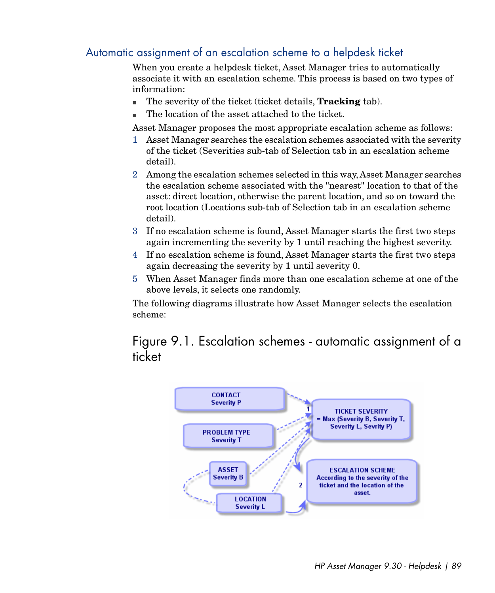## Automatic assignment of an escalation scheme to a helpdesk ticket

When you create a helpdesk ticket, Asset Manager tries to automatically associate it with an escalation scheme. This process is based on two types of information:

- n The severity of the ticket (ticket details, **Tracking** tab).
- The location of the asset attached to the ticket.

Asset Manager proposes the most appropriate escalation scheme as follows:

- 1 Asset Manager searches the escalation schemes associated with the severity of the ticket (Severities sub-tab of Selection tab in an escalation scheme detail).
- 2 Among the escalation schemes selected in this way,Asset Manager searches the escalation scheme associated with the "nearest" location to that of the asset: direct location, otherwise the parent location, and so on toward the root location (Locations sub-tab of Selection tab in an escalation scheme detail).
- 3 If no escalation scheme is found, Asset Manager starts the first two steps again incrementing the severity by 1 until reaching the highest severity.
- 4 If no escalation scheme is found, Asset Manager starts the first two steps again decreasing the severity by 1 until severity 0.
- 5 When Asset Manager finds more than one escalation scheme at one of the above levels, it selects one randomly.

The following diagrams illustrate how Asset Manager selects the escalation scheme:

Figure 9.1. Escalation schemes - automatic assignment of a ticket

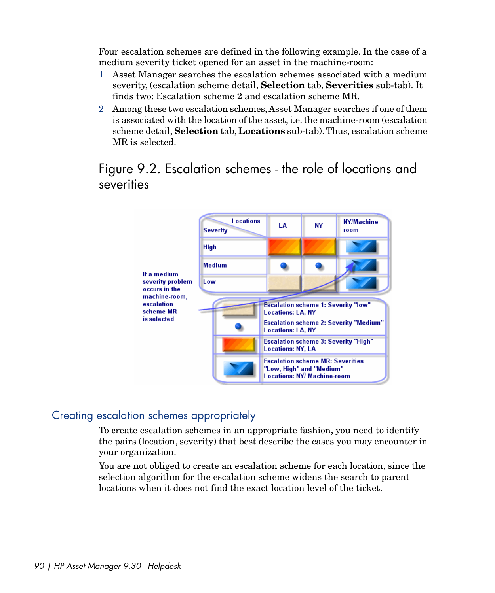Four escalation schemes are defined in the following example. In the case of a medium severity ticket opened for an asset in the machine-room:

- 1 Asset Manager searches the escalation schemes associated with a medium severity, (escalation scheme detail, **Selection** tab, **Severities** sub-tab). It finds two: Escalation scheme 2 and escalation scheme MR.
- 2 Among these two escalation schemes, Asset Manager searches if one of them is associated with the location of the asset, i.e. the machine-room (escalation scheme detail, **Selection** tab, **Locations** sub-tab). Thus, escalation scheme MR is selected.

# Figure 9.2. Escalation schemes - the role of locations and severities



## Creating escalation schemes appropriately

To create escalation schemes in an appropriate fashion, you need to identify the pairs (location, severity) that best describe the cases you may encounter in your organization.

You are not obliged to create an escalation scheme for each location, since the selection algorithm for the escalation scheme widens the search to parent locations when it does not find the exact location level of the ticket.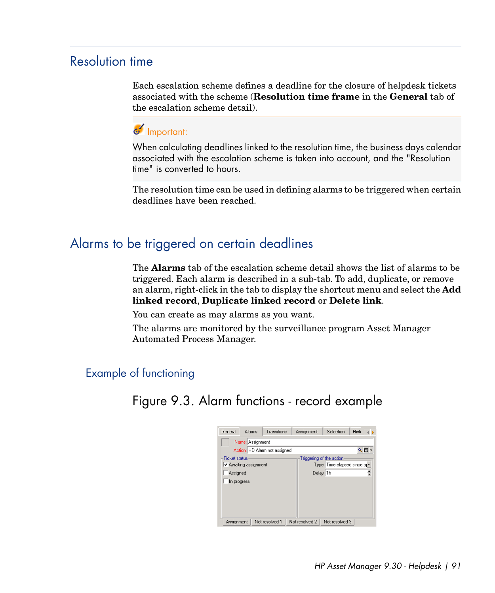# Resolution time

Each escalation scheme defines a deadline for the closure of helpdesk tickets associated with the scheme (**Resolution time frame** in the **General** tab of the escalation scheme detail).

# Important:

When calculating deadlines linked to the resolution time, the business days calendar associated with the escalation scheme is taken into account, and the "Resolution time" is converted to hours.

The resolution time can be used in defining alarms to be triggered when certain deadlines have been reached.

# Alarms to be triggered on certain deadlines

The **Alarms** tab of the escalation scheme detail shows the list of alarms to be triggered. Each alarm is described in a sub-tab. To add, duplicate, or remove an alarm, right-click in the tab to display the shortcut menu and select the **Add linked record**, **Duplicate linked record** or **Delete link**.

You can create as may alarms as you want.

The alarms are monitored by the surveillance program Asset Manager Automated Process Manager.

# Example of functioning

Figure 9.3. Alarm functions - record example

| General              | Alarms                | Transitions                   | Assignment     | Selection                   | Histi           |
|----------------------|-----------------------|-------------------------------|----------------|-----------------------------|-----------------|
|                      | Name: Assignment      |                               |                |                             |                 |
|                      |                       | Action: HD Alarm not assigned |                |                             | $\mathbb{Q}$ de |
| <b>Ticket status</b> |                       |                               |                | Triggering of the action    |                 |
|                      | ✔ Awaiting assignment |                               |                | Type: Time elapsed since or |                 |
| Assigned             |                       |                               |                | Delay: 1h                   |                 |
| In progress          |                       |                               |                |                             |                 |
|                      |                       |                               |                |                             |                 |
|                      |                       |                               |                |                             |                 |
|                      |                       |                               |                |                             |                 |
|                      |                       |                               |                |                             |                 |
| Assignment           |                       | Not resolved 1                | Not resolved 2 | Not resolved 3              |                 |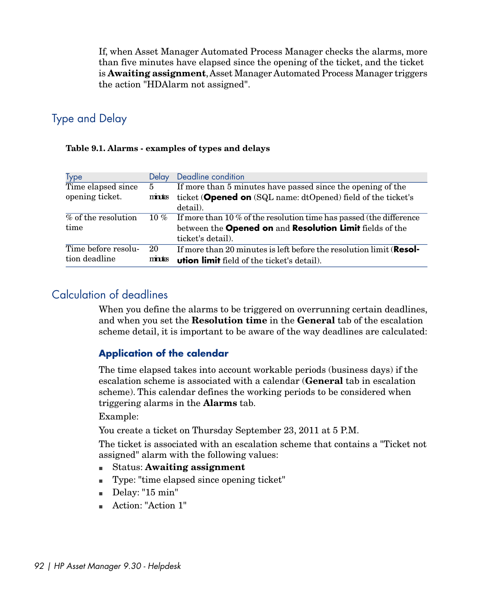If, when Asset Manager Automated Process Manager checks the alarms, more than five minutes have elapsed since the opening of the ticket, and the ticket is **Awaiting assignment**, Asset Manager Automated Process Manager triggers the action "HDAlarm not assigned".

# Type and Delay

#### **Table 9.1. Alarms - examples of types and delays**

| <b>Type</b>                                                                  | Delay    | Deadline condition                                                          |
|------------------------------------------------------------------------------|----------|-----------------------------------------------------------------------------|
| Time elapsed since                                                           | $5 -$    | If more than 5 minutes have passed since the opening of the                 |
| opening ticket.                                                              | mintes   | ticket (Opened on (SQL name: dtOpened) field of the ticket's                |
|                                                                              |          | detail).                                                                    |
| % of the resolution                                                          | $10\ \%$ | If more than 10 % of the resolution time has passed (the difference         |
| time                                                                         |          | between the Opened on and Resolution Limit fields of the                    |
|                                                                              |          | ticket's detail).                                                           |
| Time before resolu-                                                          | 20       | If more than 20 minutes is left before the resolution limit ( <b>Resol-</b> |
| tion deadline<br>mintes<br><b>ution limit</b> field of the ticket's detail). |          |                                                                             |

### Calculation of deadlines

When you define the alarms to be triggered on overrunning certain deadlines, and when you set the **Resolution time** in the **General** tab of the escalation scheme detail, it is important to be aware of the way deadlines are calculated:

### **Application of the calendar**

The time elapsed takes into account workable periods (business days) if the escalation scheme is associated with a calendar (**General** tab in escalation scheme). This calendar defines the working periods to be considered when triggering alarms in the **Alarms** tab.

Example:

You create a ticket on Thursday September 23, 2011 at 5 P.M.

The ticket is associated with an escalation scheme that contains a "Ticket not assigned" alarm with the following values:

- <sup>n</sup> Status: **Awaiting assignment**
- <sup>n</sup> Type: "time elapsed since opening ticket"
- $\blacksquare$  Delay: "15 min"
- n Action: "Action 1"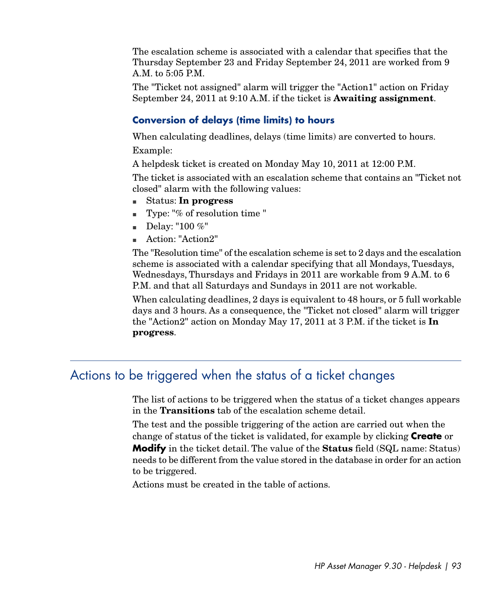The escalation scheme is associated with a calendar that specifies that the Thursday September 23 and Friday September 24, 2011 are worked from 9 A.M. to 5:05 P.M.

The "Ticket not assigned" alarm will trigger the "Action1" action on Friday September 24, 2011 at 9:10 A.M. if the ticket is **Awaiting assignment**.

### **Conversion of delays (time limits) to hours**

When calculating deadlines, delays (time limits) are converted to hours.

Example:

A helpdesk ticket is created on Monday May 10, 2011 at 12:00 P.M.

The ticket is associated with an escalation scheme that contains an "Ticket not closed" alarm with the following values:

- <sup>n</sup> Status: **In progress**
- <sup>n</sup> Type: "% of resolution time "
- **Delay:** "100 %"
- n Action: "Action2"

The "Resolution time" of the escalation scheme is set to 2 days and the escalation scheme is associated with a calendar specifying that all Mondays, Tuesdays, Wednesdays, Thursdays and Fridays in 2011 are workable from 9 A.M. to 6 P.M. and that all Saturdays and Sundays in 2011 are not workable.

When calculating deadlines, 2 days is equivalent to 48 hours, or 5 full workable days and 3 hours. As a consequence, the "Ticket not closed" alarm will trigger the "Action2" action on Monday May 17, 2011 at 3 P.M. if the ticket is **In progress**.

# Actions to be triggered when the status of a ticket changes

The list of actions to be triggered when the status of a ticket changes appears in the **Transitions** tab of the escalation scheme detail.

The test and the possible triggering of the action are carried out when the change of status of the ticket is validated, for example by clicking **Create** or **Modify** in the ticket detail. The value of the **Status** field (SQL name: Status) needs to be different from the value stored in the database in order for an action to be triggered.

Actions must be created in the table of actions.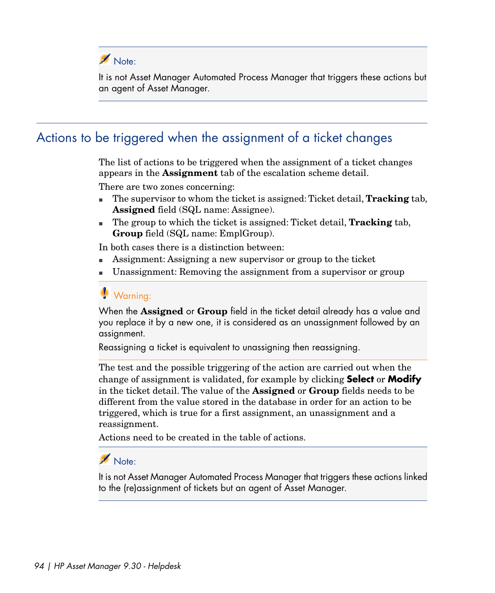# Note:

It is not Asset Manager Automated Process Manager that triggers these actions but an agent of Asset Manager.

# Actions to be triggered when the assignment of a ticket changes

The list of actions to be triggered when the assignment of a ticket changes appears in the **Assignment** tab of the escalation scheme detail.

There are two zones concerning:

- <sup>n</sup> The supervisor to whom the ticket is assigned: Ticket detail, **Tracking** tab, **Assigned** field (SQL name: Assignee).
- <sup>n</sup> The group to which the ticket is assigned: Ticket detail, **Tracking** tab, **Group** field (SQL name: EmplGroup).

In both cases there is a distinction between:

- Assignment: Assigning a new supervisor or group to the ticket
- Unassignment: Removing the assignment from a supervisor or group

# Warning:

When the **Assigned** or **Group** field in the ticket detail already has a value and you replace it by a new one, it is considered as an unassignment followed by an assignment.

Reassigning a ticket is equivalent to unassigning then reassigning.

The test and the possible triggering of the action are carried out when the change of assignment is validated, for example by clicking **Select** or **Modify** in the ticket detail. The value of the **Assigned** or **Group** fields needs to be different from the value stored in the database in order for an action to be triggered, which is true for a first assignment, an unassignment and a reassignment.

Actions need to be created in the table of actions.

# Note:

It is not Asset Manager Automated Process Manager that triggers these actions linked to the (re)assignment of tickets but an agent of Asset Manager.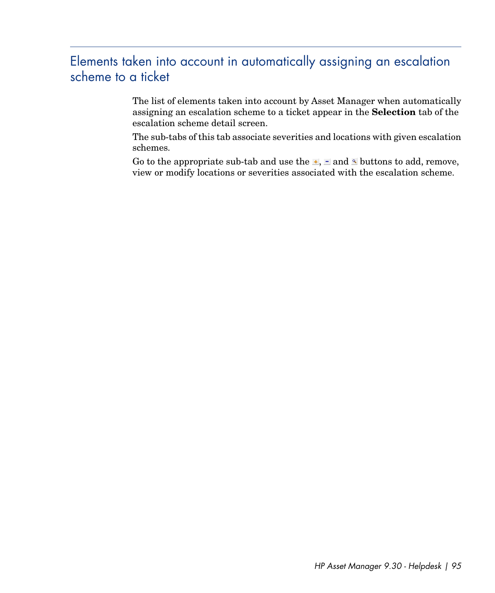# Elements taken into account in automatically assigning an escalation scheme to a ticket

The list of elements taken into account by Asset Manager when automatically assigning an escalation scheme to a ticket appear in the **Selection** tab of the escalation scheme detail screen.

The sub-tabs of this tab associate severities and locations with given escalation schemes.

Go to the appropriate sub-tab and use the  $\pm$ ,  $\pm$  and  $\Delta$  buttons to add, remove, view or modify locations or severities associated with the escalation scheme.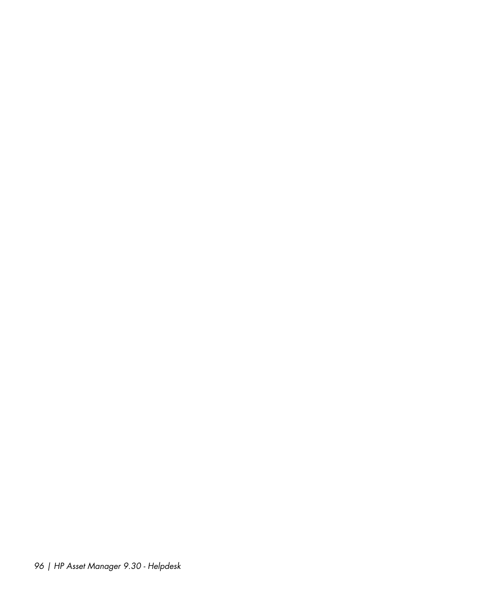*96 | HP Asset Manager 9.30 - Helpdesk*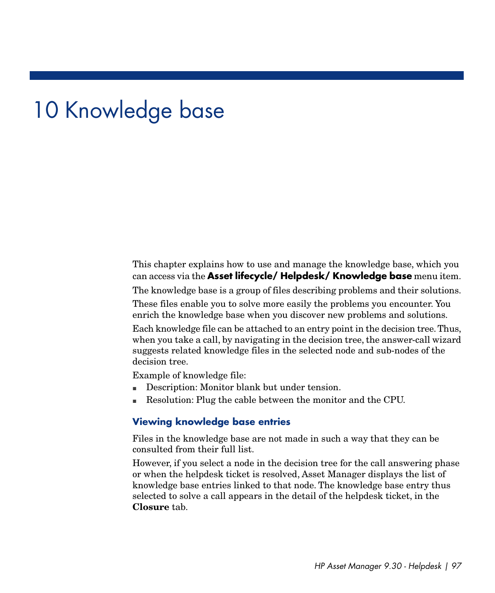# 10 Knowledge base

This chapter explains how to use and manage the knowledge base, which you can access via the **Asset lifecycle/ Helpdesk/ Knowledge base** menu item.

The knowledge base is a group of files describing problems and their solutions.

These files enable you to solve more easily the problems you encounter. You enrich the knowledge base when you discover new problems and solutions.

Each knowledge file can be attached to an entry point in the decision tree. Thus, when you take a call, by navigating in the decision tree, the answer-call wizard suggests related knowledge files in the selected node and sub-nodes of the decision tree.

Example of knowledge file:

- Description: Monitor blank but under tension.
- Resolution: Plug the cable between the monitor and the CPU.

#### **Viewing knowledge base entries**

Files in the knowledge base are not made in such a way that they can be consulted from their full list.

However, if you select a node in the decision tree for the call answering phase or when the helpdesk ticket is resolved, Asset Manager displays the list of knowledge base entries linked to that node. The knowledge base entry thus selected to solve a call appears in the detail of the helpdesk ticket, in the **Closure** tab.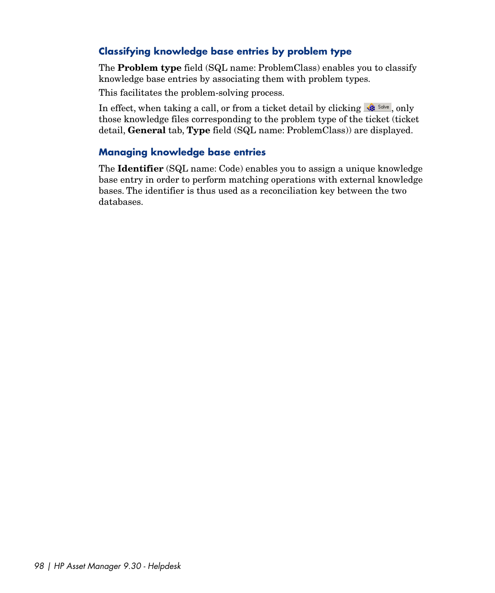### **Classifying knowledge base entries by problem type**

The **Problem type** field (SQL name: ProblemClass) enables you to classify knowledge base entries by associating them with problem types.

This facilitates the problem-solving process.

In effect, when taking a call, or from a ticket detail by clicking  $\frac{1}{\sqrt{2}}$  salve, only those knowledge files corresponding to the problem type of the ticket (ticket detail, **General** tab, **Type** field (SQL name: ProblemClass)) are displayed.

### **Managing knowledge base entries**

The **Identifier** (SQL name: Code) enables you to assign a unique knowledge base entry in order to perform matching operations with external knowledge bases. The identifier is thus used as a reconciliation key between the two databases.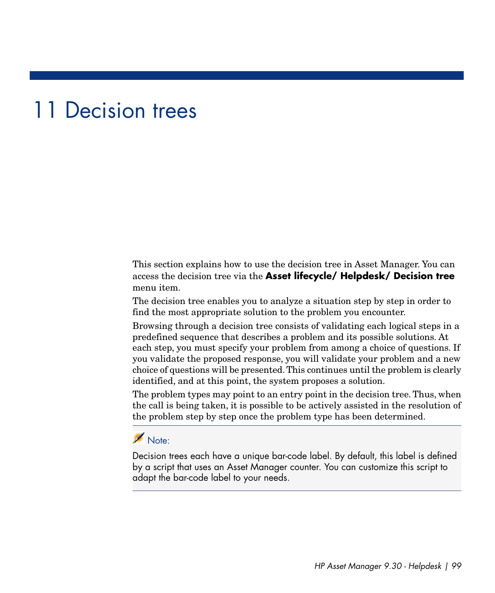# 11 Decision trees

This section explains how to use the decision tree in Asset Manager. You can access the decision tree via the **Asset lifecycle/ Helpdesk/ Decision tree** menu item.

The decision tree enables you to analyze a situation step by step in order to find the most appropriate solution to the problem you encounter.

Browsing through a decision tree consists of validating each logical steps in a predefined sequence that describes a problem and its possible solutions. At each step, you must specify your problem from among a choice of questions. If you validate the proposed response, you will validate your problem and a new choice of questions will be presented. This continues until the problem is clearly identified, and at this point, the system proposes a solution.

The problem types may point to an entry point in the decision tree. Thus, when the call is being taken, it is possible to be actively assisted in the resolution of the problem step by step once the problem type has been determined.

# Note:

Decision trees each have a unique bar-code label. By default, this label is defined by a script that uses an Asset Manager counter. You can customize this script to adapt the bar-code label to your needs.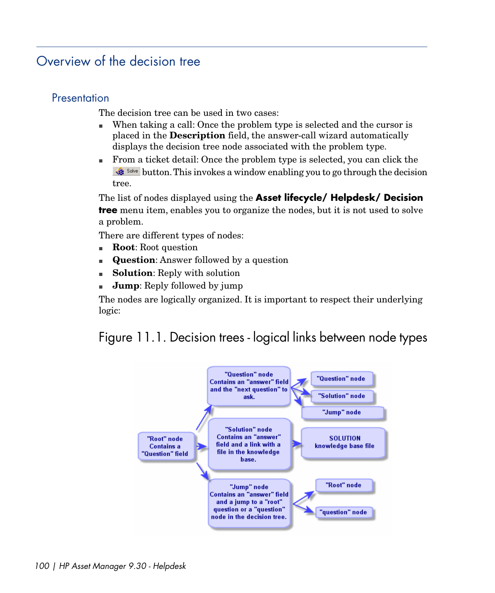# Overview of the decision tree

### **Presentation**

The decision tree can be used in two cases:

- $\blacksquare$  When taking a call: Once the problem type is selected and the cursor is placed in the **Description** field, the answer-call wizard automatically displays the decision tree node associated with the problem type.
- <sup>n</sup> From a ticket detail: Once the problem type is selected, you can click the Solve button. This invokes a window enabling you to go through the decision tree.

The list of nodes displayed using the **Asset lifecycle/ Helpdesk/ Decision tree** menu item, enables you to organize the nodes, but it is not used to solve a problem.

There are different types of nodes:

- **Root**: Root question
- **Question:** Answer followed by a question
- **Solution**: Reply with solution
- **Jump**: Reply followed by jump

The nodes are logically organized. It is important to respect their underlying logic:

Figure 11.1. Decision trees - logical links between node types

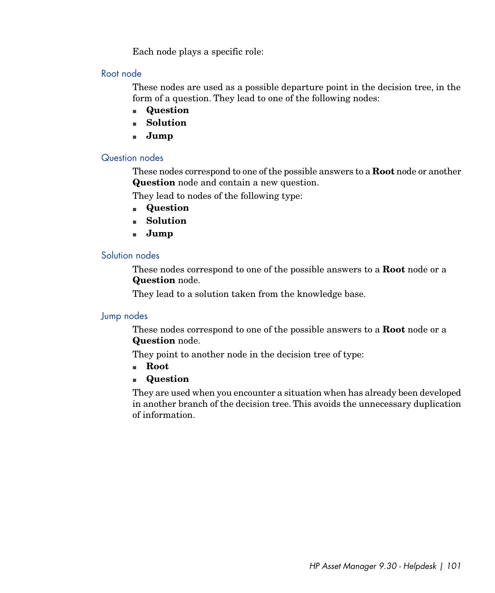Each node plays a specific role:

#### Root node

These nodes are used as a possible departure point in the decision tree, in the form of a question. They lead to one of the following nodes:

- <sup>n</sup> **Question**
- <sup>n</sup> **Solution**
- <sup>n</sup> **Jump**

### Question nodes

These nodes correspond to one of the possible answers to a **Root** node or another **Question** node and contain a new question.

They lead to nodes of the following type:

- **n Question**
- <sup>n</sup> **Solution**
- <sup>n</sup> **Jump**

### Solution nodes

These nodes correspond to one of the possible answers to a **Root** node or a **Question** node.

They lead to a solution taken from the knowledge base.

### Jump nodes

These nodes correspond to one of the possible answers to a **Root** node or a **Question** node.

They point to another node in the decision tree of type:

- <sup>n</sup> **Root**
- <sup>n</sup> **Question**

They are used when you encounter a situation when has already been developed in another branch of the decision tree. This avoids the unnecessary duplication of information.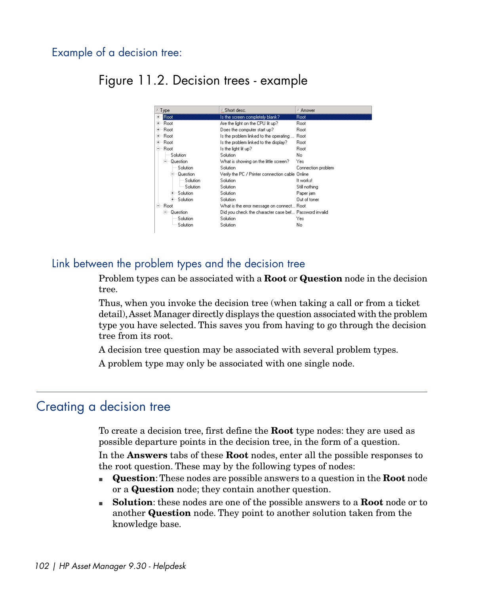### Example of a decision tree:

# Figure 11.2. Decision trees - example

| Is the screen completely blank?<br>Are the light on the CPU lit up?<br>Does the computer start up?<br>Is the problem linked to the operating<br>Is the problem linked to the display? | Root<br>Root<br>Root<br>Root<br>Root |
|---------------------------------------------------------------------------------------------------------------------------------------------------------------------------------------|--------------------------------------|
|                                                                                                                                                                                       |                                      |
|                                                                                                                                                                                       |                                      |
|                                                                                                                                                                                       |                                      |
|                                                                                                                                                                                       |                                      |
|                                                                                                                                                                                       |                                      |
| Is the light lit up?                                                                                                                                                                  | Root                                 |
| Solution                                                                                                                                                                              | No                                   |
| What is showing on the little screen?                                                                                                                                                 | Yes                                  |
| Solution                                                                                                                                                                              | Connection problem                   |
| Verify the PC / Printer connection cable Online                                                                                                                                       |                                      |
| Solution                                                                                                                                                                              | It works!                            |
| Solution                                                                                                                                                                              | Still nothing                        |
| Solution                                                                                                                                                                              | Paper jam                            |
| Solution                                                                                                                                                                              | Out of toner                         |
| What is the error message on connect Root                                                                                                                                             |                                      |
| Did you check the character case bef Password invalid                                                                                                                                 |                                      |
| Solution                                                                                                                                                                              | Yes                                  |
| Solution                                                                                                                                                                              | No                                   |
|                                                                                                                                                                                       |                                      |

### Link between the problem types and the decision tree

Problem types can be associated with a **Root** or **Question** node in the decision tree.

Thus, when you invoke the decision tree (when taking a call or from a ticket detail),Asset Manager directly displays the question associated with the problem type you have selected. This saves you from having to go through the decision tree from its root.

A decision tree question may be associated with several problem types.

A problem type may only be associated with one single node.

# Creating a decision tree

To create a decision tree, first define the **Root** type nodes: they are used as possible departure points in the decision tree, in the form of a question.

In the **Answers** tabs of these **Root** nodes, enter all the possible responses to the root question. These may by the following types of nodes:

- <sup>n</sup> **Question**: These nodes are possible answers to a question in the **Root** node or a **Question** node; they contain another question.
- <sup>n</sup> **Solution**: these nodes are one of the possible answers to a **Root** node or to another **Question** node. They point to another solution taken from the knowledge base.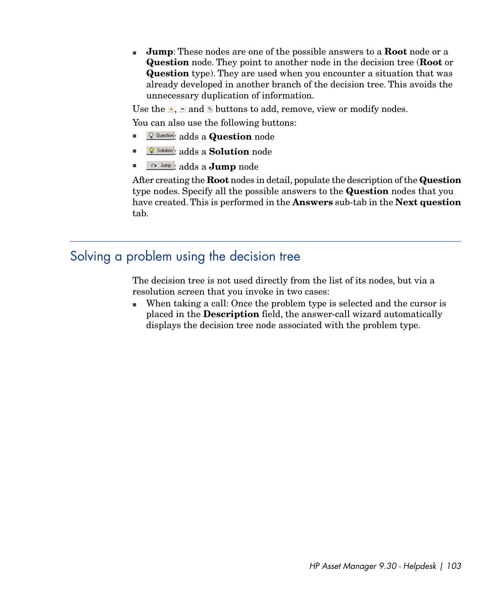<sup>n</sup> **Jump**: These nodes are one of the possible answers to a **Root** node or a **Question** node. They point to another node in the decision tree (**Root** or **Question** type). They are used when you encounter a situation that was already developed in another branch of the decision tree. This avoids the unnecessary duplication of information.

Use the  $\pm$ ,  $\pm$  and  $\leq$  buttons to add, remove, view or modify nodes.

You can also use the following buttons:

- **Q** Question: adds a **Question** node
- **g** Solution: adds a **Solution** node
- **n**  $\alpha$  Jump : adds a **Jump** node

After creating the **Root** nodes in detail, populate the description of the **Question** type nodes. Specify all the possible answers to the **Question** nodes that you have created. This is performed in the **Answers** sub-tab in the **Next question** tab.

# Solving a problem using the decision tree

The decision tree is not used directly from the list of its nodes, but via a resolution screen that you invoke in two cases:

<sup>n</sup> When taking a call: Once the problem type is selected and the cursor is placed in the **Description** field, the answer-call wizard automatically displays the decision tree node associated with the problem type.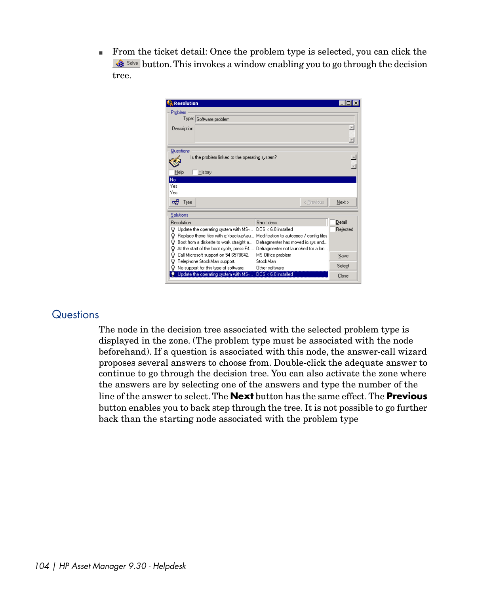<sup>n</sup> From the ticket detail: Once the problem type is selected, you can click the  $\mathbb{R}^{\mathsf{S}^{\text{Solve}}}$  button. This invokes a window enabling you to go through the decision tree.

| Resolution                                                                         |                                         |          |
|------------------------------------------------------------------------------------|-----------------------------------------|----------|
| Problem                                                                            |                                         |          |
| Type: Software problem                                                             |                                         |          |
| Description:                                                                       |                                         |          |
| Questions                                                                          |                                         |          |
| Is the problem linked to the operating system?                                     |                                         |          |
|                                                                                    |                                         |          |
| Help<br>History                                                                    |                                         |          |
| No.                                                                                |                                         |          |
| Yes                                                                                |                                         |          |
| Yes                                                                                |                                         |          |
| 呷<br>Tree                                                                          | < Previous                              | Next >   |
| Solutions                                                                          |                                         |          |
| <b>Resolution</b>                                                                  | Short desc.                             | Detail   |
| Update the operating system with MS-<br>Q                                          | DOS < 6.0 installed                     | Rejected |
| Replace these files with g:\backup\au<br>Q                                         | Modification to autoexec / config files |          |
| Q<br>Boot from a diskette to work straight a                                       | Defragmenter has moved io.sys and       |          |
| Q<br>At the start of the boot cycle, press F4  Defragmenter not launched for a lon |                                         |          |
| Call Microsoft support on 54 6578642.<br>Q                                         | MS Office problem                       | Save     |
| Telephone StockMan support.                                                        | StockMan                                | Select   |
| No support for this type of software.                                              | Other software                          |          |
| Update the operating system with MS-                                               | $DOS < 6.0$ installed                   | Close    |

### **Questions**

The node in the decision tree associated with the selected problem type is displayed in the zone. (The problem type must be associated with the node beforehand). If a question is associated with this node, the answer-call wizard proposes several answers to choose from. Double-click the adequate answer to continue to go through the decision tree. You can also activate the zone where the answers are by selecting one of the answers and type the number of the line of the answer to select. The **Next** button has the same effect. The **Previous** button enables you to back step through the tree. It is not possible to go further back than the starting node associated with the problem type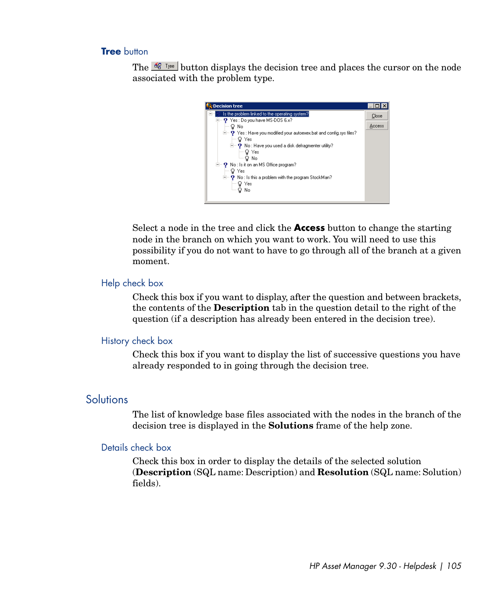#### **Tree** button

The  $\frac{4}{5}$  Tee button displays the decision tree and places the cursor on the node associated with the problem type.



Select a node in the tree and click the **Access** button to change the starting node in the branch on which you want to work. You will need to use this possibility if you do not want to have to go through all of the branch at a given moment.

#### Help check box

Check this box if you want to display, after the question and between brackets, the contents of the **Description** tab in the question detail to the right of the question (if a description has already been entered in the decision tree).

#### History check box

Check this box if you want to display the list of successive questions you have already responded to in going through the decision tree.

## **Solutions**

The list of knowledge base files associated with the nodes in the branch of the decision tree is displayed in the **Solutions** frame of the help zone.

#### Details check box

Check this box in order to display the details of the selected solution (**Description** (SQL name: Description) and **Resolution** (SQL name: Solution) fields).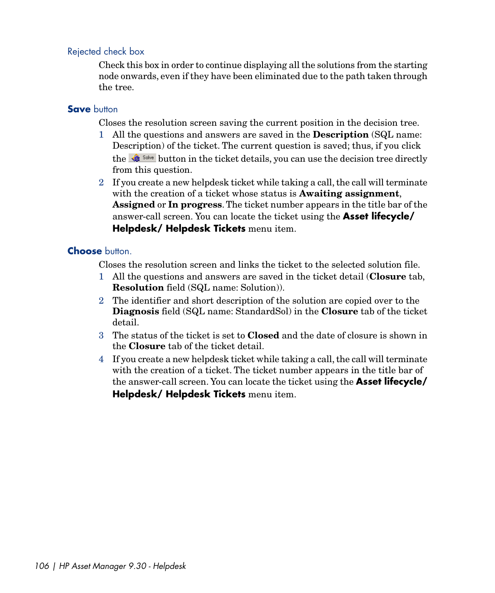### Rejected check box

Check this box in order to continue displaying all the solutions from the starting node onwards, even if they have been eliminated due to the path taken through the tree.

### **Save** button

Closes the resolution screen saving the current position in the decision tree.

- 1 All the questions and answers are saved in the **Description** (SQL name: Description) of the ticket. The current question is saved; thus, if you click the  $\frac{\hat{\mathbf{c}}^{Solve}}{\hat{\mathbf{c}}^{Solve}}$  button in the ticket details, you can use the decision tree directly from this question.
- 2 If you create a new helpdesk ticket while taking a call, the call will terminate with the creation of a ticket whose status is **Awaiting assignment**, **Assigned** or **In progress**. The ticket number appears in the title bar of the answer-call screen. You can locate the ticket using the **Asset lifecycle/ Helpdesk/ Helpdesk Tickets** menu item.

### **Choose** button.

Closes the resolution screen and links the ticket to the selected solution file.

- 1 All the questions and answers are saved in the ticket detail (**Closure** tab, **Resolution** field (SQL name: Solution)).
- 2 The identifier and short description of the solution are copied over to the **Diagnosis** field (SQL name: StandardSol) in the **Closure** tab of the ticket detail.
- 3 The status of the ticket is set to **Closed** and the date of closure is shown in the **Closure** tab of the ticket detail.
- 4 If you create a new helpdesk ticket while taking a call, the call will terminate with the creation of a ticket. The ticket number appears in the title bar of the answer-call screen. You can locate the ticket using the **Asset lifecycle/ Helpdesk/ Helpdesk Tickets** menu item.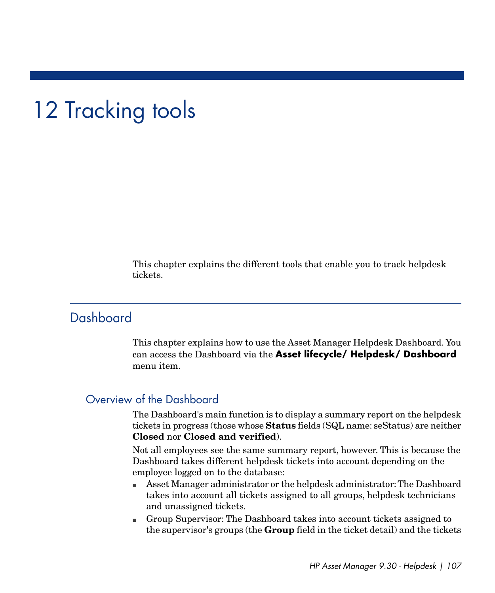12 Tracking tools

This chapter explains the different tools that enable you to track helpdesk tickets.

# Dashboard

This chapter explains how to use the Asset Manager Helpdesk Dashboard. You can access the Dashboard via the **Asset lifecycle/ Helpdesk/ Dashboard** menu item.

### Overview of the Dashboard

The Dashboard's main function is to display a summary report on the helpdesk tickets in progress (those whose **Status** fields (SQL name: seStatus) are neither **Closed** nor **Closed and verified**).

Not all employees see the same summary report, however. This is because the Dashboard takes different helpdesk tickets into account depending on the employee logged on to the database:

- <sup>n</sup> Asset Manager administrator or the helpdesk administrator:The Dashboard takes into account all tickets assigned to all groups, helpdesk technicians and unassigned tickets.
- <sup>n</sup> Group Supervisor: The Dashboard takes into account tickets assigned to the supervisor's groups (the **Group** field in the ticket detail) and the tickets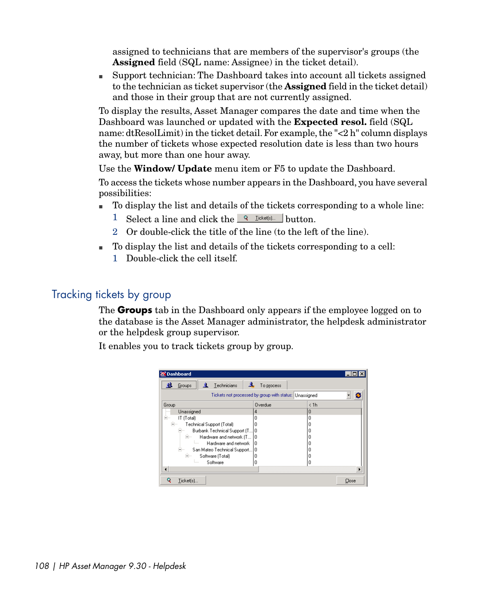assigned to technicians that are members of the supervisor's groups (the **Assigned** field (SQL name: Assignee) in the ticket detail).

<sup>n</sup> Support technician: The Dashboard takes into account all tickets assigned to the technician as ticket supervisor (the **Assigned** field in the ticket detail) and those in their group that are not currently assigned.

To display the results, Asset Manager compares the date and time when the Dashboard was launched or updated with the **Expected resol.** field (SQL name: dtResolLimit) in the ticket detail. For example, the "<2 h" column displays the number of tickets whose expected resolution date is less than two hours away, but more than one hour away.

Use the **Window/ Update** menu item or F5 to update the Dashboard.

To access the tickets whose number appears in the Dashboard, you have several possibilities:

- n To display the list and details of the tickets corresponding to a whole line:
	- 1 Select a line and click the  $\frac{q}{p}$  licket(s)... button.
	- 2 Or double-click the title of the line (to the left of the line).
- <sup>n</sup> To display the list and details of the tickets corresponding to a cell:
	- 1 Double-click the cell itself.

# Tracking tickets by group

The **Groups** tab in the Dashboard only appears if the employee logged on to the database is the Asset Manager administrator, the helpdesk administrator or the helpdesk group supervisor.

It enables you to track tickets group by group.

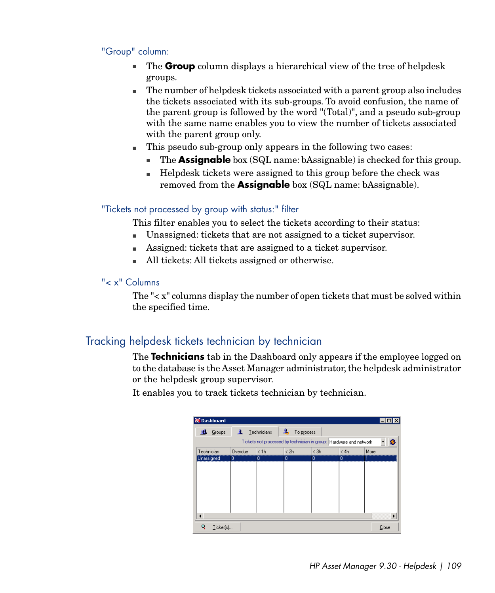#### "Group" column:

- <sup>n</sup> The **Group** column displays a hierarchical view of the tree of helpdesk groups.
- $\blacksquare$  The number of helpdesk tickets associated with a parent group also includes the tickets associated with its sub-groups. To avoid confusion, the name of the parent group is followed by the word "(Total)", and a pseudo sub-group with the same name enables you to view the number of tickets associated with the parent group only.
- n This pseudo sub-group only appears in the following two cases:
	- n The **Assignable** box (SQL name: bAssignable) is checked for this group.
	- $\blacksquare$  Helpdesk tickets were assigned to this group before the check was removed from the **Assignable** box (SQL name: bAssignable).

#### "Tickets not processed by group with status:" filter

This filter enables you to select the tickets according to their status:

- <sup>n</sup> Unassigned: tickets that are not assigned to a ticket supervisor.
- <sup>n</sup> Assigned: tickets that are assigned to a ticket supervisor.
- n All tickets: All tickets assigned or otherwise.

#### "< x" Columns

<span id="page-108-0"></span>The " $\langle x \rangle$ " columns display the number of open tickets that must be solved within the specified time.

## Tracking helpdesk tickets technician by technician

The **Technicians** tab in the Dashboard only appears if the employee logged on to the database is the Asset Manager administrator, the helpdesk administrator or the helpdesk group supervisor.

It enables you to track tickets technician by technician.

| Dashboard                                                               |              |                |                  |              |              | 1-10  |  |
|-------------------------------------------------------------------------|--------------|----------------|------------------|--------------|--------------|-------|--|
| <b>A</b> Groups                                                         | $\mathbf{A}$ | Lechnicians    | A.<br>To process |              |              |       |  |
| Tickets not processed by technician in group: Hardware and network<br>G |              |                |                  |              |              |       |  |
| Technician                                                              | Overdue      | < 1h           | < 2h             | $\langle 3h$ | < 4h         | More  |  |
| Unassigned                                                              | 0            | $\overline{0}$ | 0                | 0            | $\mathbf{0}$ | 1     |  |
|                                                                         |              |                |                  |              |              |       |  |
|                                                                         |              |                |                  |              |              |       |  |
|                                                                         |              |                |                  |              |              |       |  |
|                                                                         |              |                |                  |              |              |       |  |
|                                                                         |              |                |                  |              |              |       |  |
|                                                                         |              |                |                  |              |              |       |  |
|                                                                         |              |                |                  |              |              | Þ     |  |
| Q<br>Ticket[s]                                                          |              |                |                  |              |              | Close |  |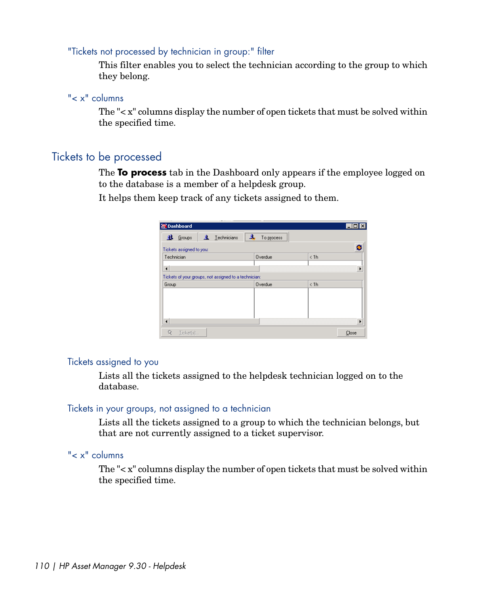#### "Tickets not processed by technician in group:" filter

This filter enables you to select the technician according to the group to which they belong.

"< x" columns

The "< x" columns display the number of open tickets that must be solved within the specified time.

#### Tickets to be processed

<span id="page-109-0"></span>The **To process** tab in the Dashboard only appears if the employee logged on to the database is a member of a helpdesk group.

It helps them keep track of any tickets assigned to them.

| Dashboard                                             |                |              |       |
|-------------------------------------------------------|----------------|--------------|-------|
| Technicians<br>A.<br>Groups<br>$\mathbf{A}$           | To process     |              |       |
| Tickets assigned to you:                              |                |              |       |
| Technician                                            | <b>Overdue</b> | $\langle 1h$ |       |
|                                                       |                |              | ٠     |
| Tickets of your groups, not assigned to a technician: |                |              |       |
| Group                                                 | Overdue        | $\langle 1h$ |       |
|                                                       |                |              |       |
|                                                       |                |              |       |
|                                                       |                |              |       |
|                                                       |                |              |       |
| Q<br>Ticket[s]                                        |                |              | Close |

#### Tickets assigned to you

Lists all the tickets assigned to the helpdesk technician logged on to the database.

#### Tickets in your groups, not assigned to a technician

Lists all the tickets assigned to a group to which the technician belongs, but that are not currently assigned to a ticket supervisor.

#### "< x" columns

The "< x" columns display the number of open tickets that must be solved within the specified time.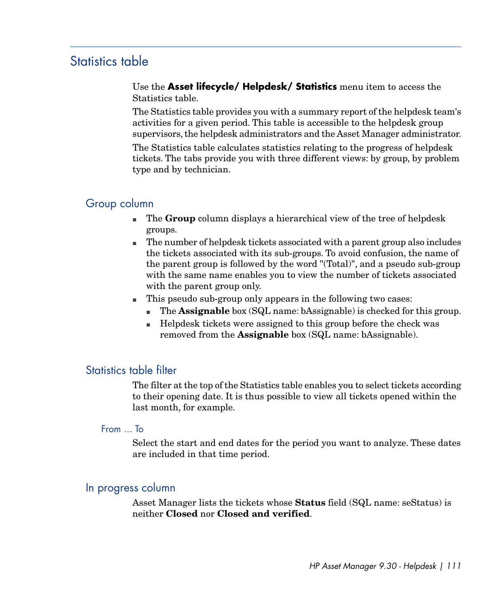# Statistics table

<span id="page-110-0"></span>Use the **Asset lifecycle/ Helpdesk/ Statistics** menu item to access the Statistics table.

The Statistics table provides you with a summary report of the helpdesk team's activities for a given period. This table is accessible to the helpdesk group supervisors, the helpdesk administrators and the Asset Manager administrator.

The Statistics table calculates statistics relating to the progress of helpdesk tickets. The tabs provide you with three different views: by group, by problem type and by technician.

#### Group column

- <sup>n</sup> The **Group** column displays a hierarchical view of the tree of helpdesk groups.
- n The number of helpdesk tickets associated with a parent group also includes the tickets associated with its sub-groups. To avoid confusion, the name of the parent group is followed by the word "(Total)", and a pseudo sub-group with the same name enables you to view the number of tickets associated with the parent group only.
- n This pseudo sub-group only appears in the following two cases:
	- <sup>n</sup> The **Assignable** box (SQL name: bAssignable) is checked for this group.
	- <sup>n</sup> Helpdesk tickets were assigned to this group before the check was removed from the **Assignable** box (SQL name: bAssignable).

#### <span id="page-110-1"></span>Statistics table filter

The filter at the top of the Statistics table enables you to select tickets according to their opening date. It is thus possible to view all tickets opened within the last month, for example.

#### From ... To

Select the start and end dates for the period you want to analyze. These dates are included in that time period.

#### In progress column

Asset Manager lists the tickets whose **Status** field (SQL name: seStatus) is neither **Closed** nor **Closed and verified**.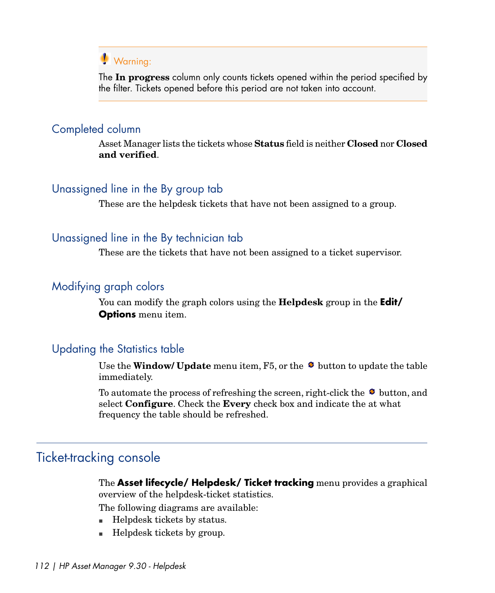

The **In progress** column only counts tickets opened within the period specified by the filter. Tickets opened before this period are not taken into account.

### Completed column

Asset Manager lists the tickets whose **Status** field is neither **Closed** nor **Closed and verified**.

#### Unassigned line in the By group tab

These are the helpdesk tickets that have not been assigned to a group.

#### Unassigned line in the By technician tab

<span id="page-111-1"></span>These are the tickets that have not been assigned to a ticket supervisor.

#### Modifying graph colors

<span id="page-111-2"></span>You can modify the graph colors using the **Helpdesk** group in the **Edit/ Options** menu item.

#### Updating the Statistics table

Use the **Window/ Update** menu item,  $F5$ , or the  $\bullet$  button to update the table immediately.

<span id="page-111-0"></span>To automate the process of refreshing the screen, right-click the  $\bullet$  button, and select **Configure**. Check the **Every** check box and indicate the at what frequency the table should be refreshed.

# Ticket-tracking console

The **Asset lifecycle/ Helpdesk/ Ticket tracking** menu provides a graphical overview of the helpdesk-ticket statistics.

The following diagrams are available:

- Helpdesk tickets by status.
- <sup>n</sup> Helpdesk tickets by group.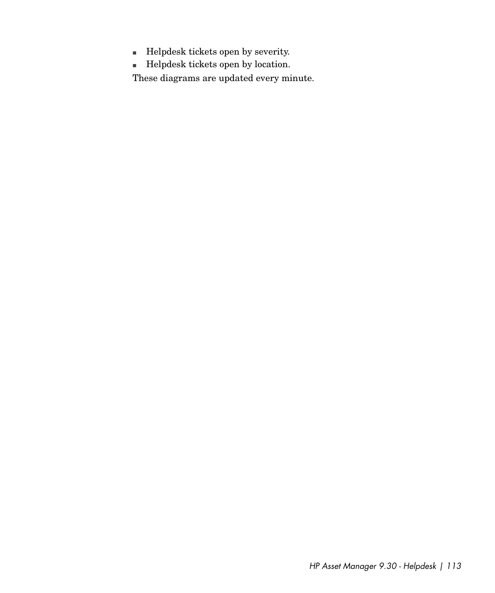- <sup>n</sup> Helpdesk tickets open by severity.
- $\blacksquare$  Helpdesk tickets open by location.

These diagrams are updated every minute.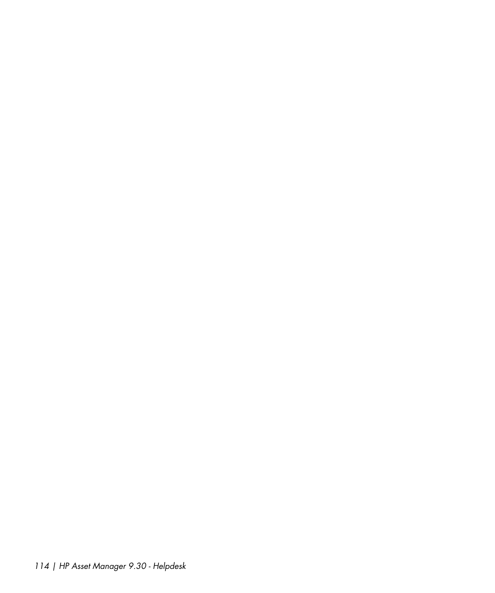*114 | HP Asset Manager 9.30 - Helpdesk*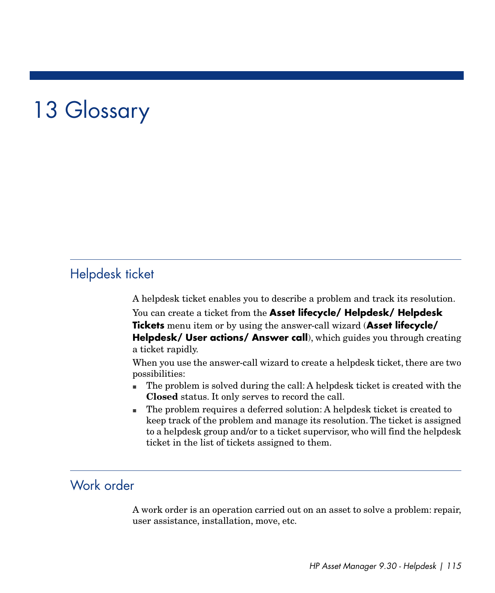# 13 Glossary

# Helpdesk ticket

<span id="page-114-0"></span>A helpdesk ticket enables you to describe a problem and track its resolution.

You can create a ticket from the **Asset lifecycle/ Helpdesk/ Helpdesk Tickets** menu item or by using the answer-call wizard (**Asset lifecycle/ Helpdesk/ User actions/ Answer call**), which guides you through creating a ticket rapidly.

When you use the answer-call wizard to create a helpdesk ticket, there are two possibilities:

- n The problem is solved during the call: A helpdesk ticket is created with the **Closed** status. It only serves to record the call.
- <span id="page-114-1"></span><sup>n</sup> The problem requires a deferred solution: A helpdesk ticket is created to keep track of the problem and manage its resolution. The ticket is assigned to a helpdesk group and/or to a ticket supervisor, who will find the helpdesk ticket in the list of tickets assigned to them.

# Work order

A work order is an operation carried out on an asset to solve a problem: repair, user assistance, installation, move, etc.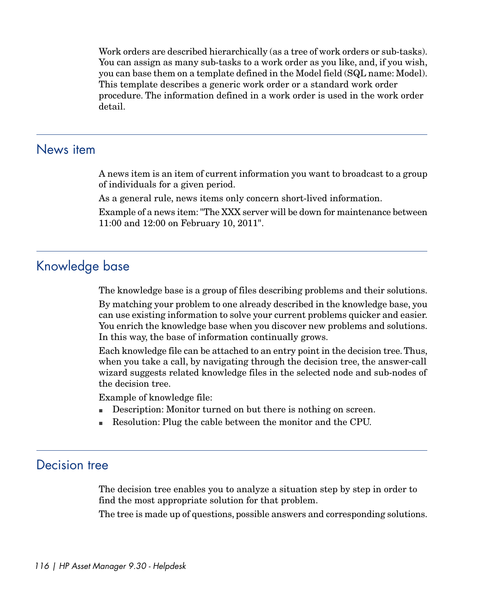Work orders are described hierarchically (as a tree of work orders or sub-tasks). You can assign as many sub-tasks to a work order as you like, and, if you wish, you can base them on a template defined in the Model field (SQL name: Model). This template describes a generic work order or a standard work order procedure. The information defined in a work order is used in the work order detail.

# News item

<span id="page-115-2"></span>A news item is an item of current information you want to broadcast to a group of individuals for a given period.

As a general rule, news items only concern short-lived information.

Example of a news item: "The XXX server will be down for maintenance between 11:00 and 12:00 on February 10, 2011".

# Knowledge base

<span id="page-115-1"></span>The knowledge base is a group of files describing problems and their solutions.

By matching your problem to one already described in the knowledge base, you can use existing information to solve your current problems quicker and easier. You enrich the knowledge base when you discover new problems and solutions. In this way, the base of information continually grows.

Each knowledge file can be attached to an entry point in the decision tree. Thus, when you take a call, by navigating through the decision tree, the answer-call wizard suggests related knowledge files in the selected node and sub-nodes of the decision tree.

Example of knowledge file:

- Description: Monitor turned on but there is nothing on screen.
- <span id="page-115-0"></span>Resolution: Plug the cable between the monitor and the CPU.

# Decision tree

The decision tree enables you to analyze a situation step by step in order to find the most appropriate solution for that problem.

The tree is made up of questions, possible answers and corresponding solutions.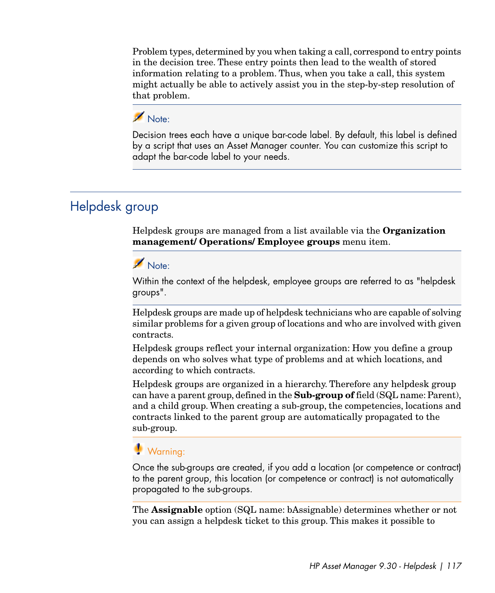Problem types, determined by you when taking a call, correspond to entry points in the decision tree. These entry points then lead to the wealth of stored information relating to a problem. Thus, when you take a call, this system might actually be able to actively assist you in the step-by-step resolution of that problem.

## $N$ ote:

Decision trees each have a unique bar-code label. By default, this label is defined by a script that uses an Asset Manager counter. You can customize this script to adapt the bar-code label to your needs.

# Helpdesk group

<span id="page-116-0"></span>Helpdesk groups are managed from a list available via the **Organization management/ Operations/ Employee groups** menu item.

# Note:

Within the context of the helpdesk, employee groups are referred to as "helpdesk groups".

Helpdesk groups are made up of helpdesk technicians who are capable of solving similar problems for a given group of locations and who are involved with given contracts.

Helpdesk groups reflect your internal organization: How you define a group depends on who solves what type of problems and at which locations, and according to which contracts.

Helpdesk groups are organized in a hierarchy. Therefore any helpdesk group can have a parent group, defined in the **Sub-group of** field (SQL name: Parent), and a child group. When creating a sub-group, the competencies, locations and contracts linked to the parent group are automatically propagated to the sub-group.

# Warning:

Once the sub-groups are created, if you add a location (or competence or contract) to the parent group, this location (or competence or contract) is not automatically propagated to the sub-groups.

The **Assignable** option (SQL name: bAssignable) determines whether or not you can assign a helpdesk ticket to this group. This makes it possible to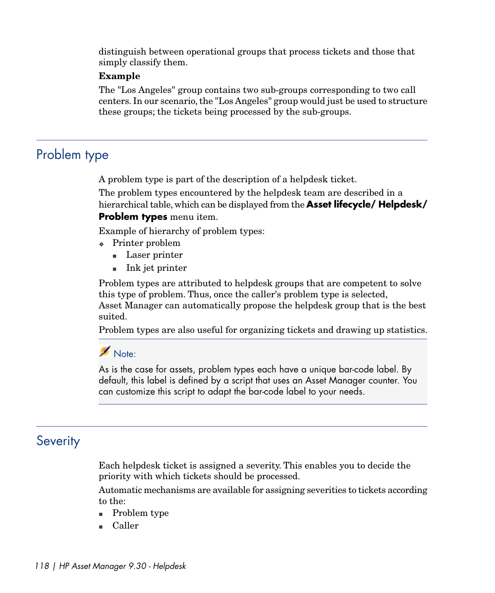distinguish between operational groups that process tickets and those that simply classify them.

#### **Example**

The "Los Angeles" group contains two sub-groups corresponding to two call centers. In our scenario, the "Los Angeles" group would just be used to structure these groups; the tickets being processed by the sub-groups.

# Problem type

<span id="page-117-1"></span>A problem type is part of the description of a helpdesk ticket.

The problem types encountered by the helpdesk team are described in a hierarchical table, which can be displayed from the **Asset lifecycle/ Helpdesk/**

**Problem types** menu item.

Example of hierarchy of problem types:

- $\bullet$  Printer problem
	- **Laser printer**
	- $\blacksquare$  Ink jet printer

Problem types are attributed to helpdesk groups that are competent to solve this type of problem. Thus, once the caller's problem type is selected, Asset Manager can automatically propose the helpdesk group that is the best suited.

<span id="page-117-0"></span>Problem types are also useful for organizing tickets and drawing up statistics.

## Note:

As is the case for assets, problem types each have a unique bar-code label. By default, this label is defined by a script that uses an Asset Manager counter. You can customize this script to adapt the bar-code label to your needs.

# **Severity**

<span id="page-117-2"></span>Each helpdesk ticket is assigned a severity. This enables you to decide the priority with which tickets should be processed.

Automatic mechanisms are available for assigning severities to tickets according to the:

- n Problem type
- <sup>n</sup> Caller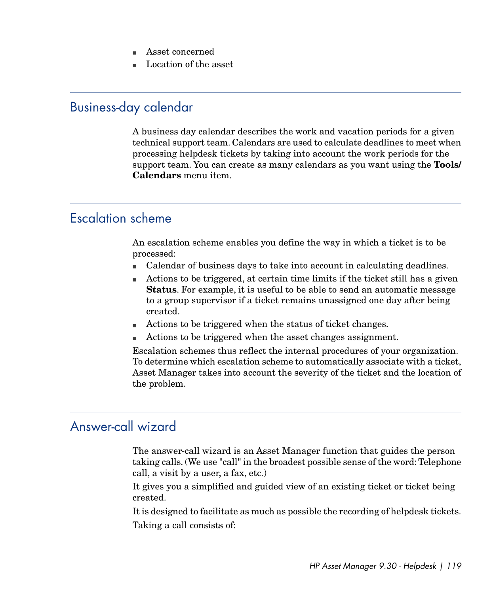- Asset concerned
- Location of the asset

# Business-day calendar

<span id="page-118-1"></span>A business day calendar describes the work and vacation periods for a given technical support team. Calendars are used to calculate deadlines to meet when processing helpdesk tickets by taking into account the work periods for the support team. You can create as many calendars as you want using the **Tools/ Calendars** menu item.

# Escalation scheme

<span id="page-118-2"></span>An escalation scheme enables you define the way in which a ticket is to be processed:

- <sup>n</sup> Calendar of business days to take into account in calculating deadlines.
- $\blacksquare$  Actions to be triggered, at certain time limits if the ticket still has a given **Status**. For example, it is useful to be able to send an automatic message to a group supervisor if a ticket remains unassigned one day after being created.
- $\blacksquare$  Actions to be triggered when the status of ticket changes.
- Actions to be triggered when the asset changes assignment.

Escalation schemes thus reflect the internal procedures of your organization. To determine which escalation scheme to automatically associate with a ticket, Asset Manager takes into account the severity of the ticket and the location of the problem.

# Answer-call wizard

<span id="page-118-0"></span>The answer-call wizard is an Asset Manager function that guides the person taking calls. (We use "call" in the broadest possible sense of the word: Telephone call, a visit by a user, a fax, etc.)

It gives you a simplified and guided view of an existing ticket or ticket being created.

It is designed to facilitate as much as possible the recording of helpdesk tickets. Taking a call consists of: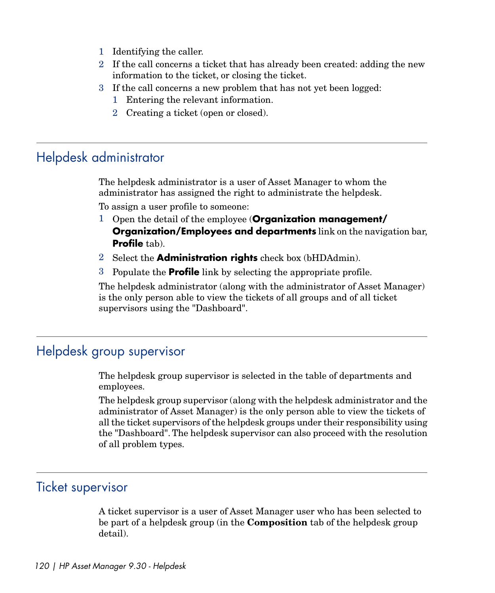- 1 Identifying the caller.
- 2 If the call concerns a ticket that has already been created: adding the new information to the ticket, or closing the ticket.
- 3 If the call concerns a new problem that has not yet been logged:
	- 1 Entering the relevant information.
	- 2 Creating a ticket (open or closed).

# Helpdesk administrator

<span id="page-119-0"></span>The helpdesk administrator is a user of Asset Manager to whom the administrator has assigned the right to administrate the helpdesk.

To assign a user profile to someone:

- 1 Open the detail of the employee (**Organization management/ Organization/Employees and departments** link on the navigation bar, **Profile** tab).
- 2 Select the **Administration rights** check box (bHDAdmin).
- 3 Populate the **Profile** link by selecting the appropriate profile.

The helpdesk administrator (along with the administrator of Asset Manager) is the only person able to view the tickets of all groups and of all ticket supervisors using the "Dashboard".

# Helpdesk group supervisor

<span id="page-119-1"></span>The helpdesk group supervisor is selected in the table of departments and employees.

The helpdesk group supervisor (along with the helpdesk administrator and the administrator of Asset Manager) is the only person able to view the tickets of all the ticket supervisors of the helpdesk groups under their responsibility using the "Dashboard". The helpdesk supervisor can also proceed with the resolution of all problem types.

## Ticket supervisor

<span id="page-119-2"></span>A ticket supervisor is a user of Asset Manager user who has been selected to be part of a helpdesk group (in the **Composition** tab of the helpdesk group detail).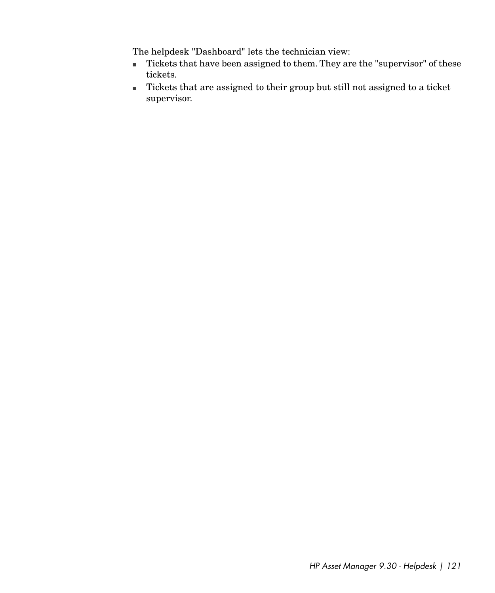The helpdesk "Dashboard" lets the technician view:

- <sup>n</sup> Tickets that have been assigned to them. They are the "supervisor" of these tickets.
- <sup>n</sup> Tickets that are assigned to their group but still not assigned to a ticket supervisor.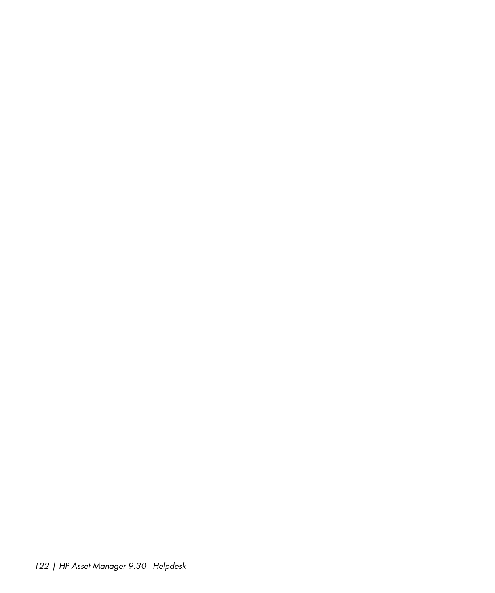*122 | HP Asset Manager 9.30 - Helpdesk*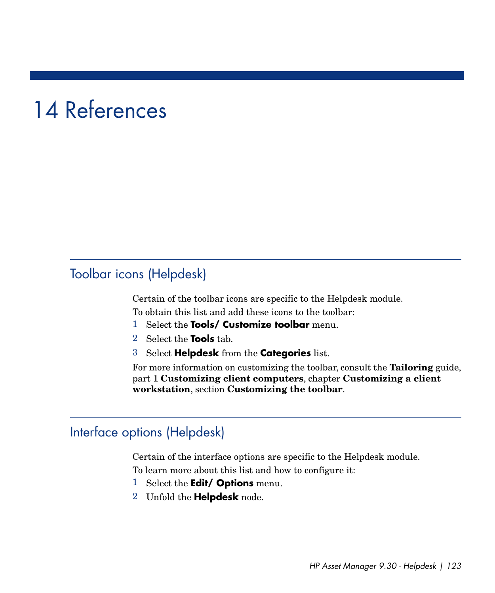# 14 References

# Toolbar icons (Helpdesk)

<span id="page-122-0"></span>Certain of the toolbar icons are specific to the Helpdesk module.

To obtain this list and add these icons to the toolbar:

- 1 Select the **Tools/ Customize toolbar** menu.
- 2 Select the **Tools** tab.
- 3 Select **Helpdesk** from the **Categories** list.

<span id="page-122-1"></span>For more information on customizing the toolbar, consult the **Tailoring** guide, part 1 **Customizing client computers**, chapter **Customizing a client workstation**, section **Customizing the toolbar**.

# Interface options (Helpdesk)

Certain of the interface options are specific to the Helpdesk module.

To learn more about this list and how to configure it:

- 1 Select the **Edit/ Options** menu.
- 2 Unfold the **Helpdesk** node.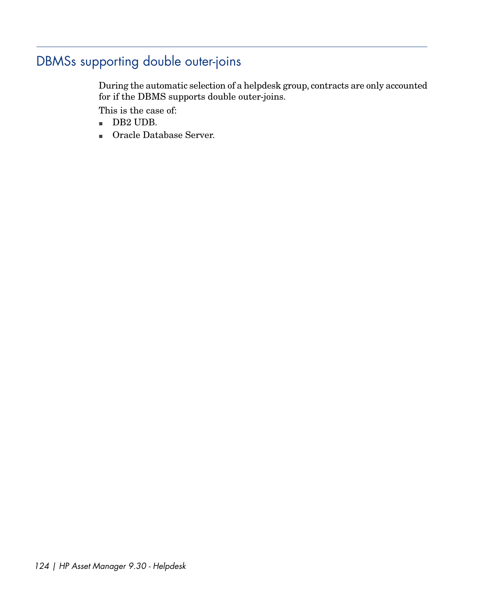# DBMSs supporting double outer-joins

<span id="page-123-0"></span>During the automatic selection of a helpdesk group, contracts are only accounted for if the DBMS supports double outer-joins.

This is the case of:

- DB2 UDB.
- Oracle Database Server.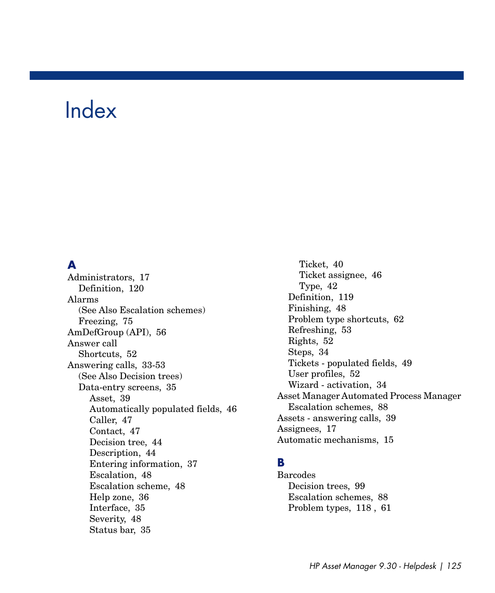# Index

## **A**

Administrators, [17](#page-16-0) Definition, [120](#page-119-0) Alarms (See Also Escalation schemes) Freezing, [75](#page-74-0) AmDefGroup (API), [56](#page-55-0) Answer call Shortcuts, [52](#page-51-0) Answering calls, [33-53](#page-32-0) (See Also Decision trees) Data-entry screens, [35](#page-34-0) Asset, [39](#page-38-0) Automatically populated fields, [46](#page-45-0) Caller, [47](#page-46-0) Contact, [47](#page-46-1) Decision tree, [44](#page-43-0) Description, [44](#page-43-0) Entering information, [37](#page-36-0) Escalation, [48](#page-47-0) Escalation scheme, [48](#page-47-1) Help zone, [36](#page-35-0) Interface, [35](#page-34-1) Severity, [48](#page-47-2) Status bar, [35](#page-34-2)

Ticket, [40](#page-39-0) Ticket assignee, [46](#page-45-1) Type, [42](#page-41-0) Definition, [119](#page-118-0) Finishing, [48](#page-47-3) Problem type shortcuts, [62](#page-61-0) Refreshing, [53](#page-52-0) Rights, [52](#page-51-1) Steps, [34](#page-33-0) Tickets - populated fields, [49](#page-48-0) User profiles, [52](#page-51-1) Wizard - activation, [34](#page-33-1) Asset Manager Automated Process Manager Escalation schemes, [88](#page-87-0) Assets - answering calls, [39](#page-38-0) Assignees, [17](#page-16-1) Automatic mechanisms, [15](#page-14-0)

## **B**

Barcodes Decision trees, [99](#page-98-0) Escalation schemes, [88](#page-87-1) Problem types, [118 ,](#page-117-0) [61](#page-60-0)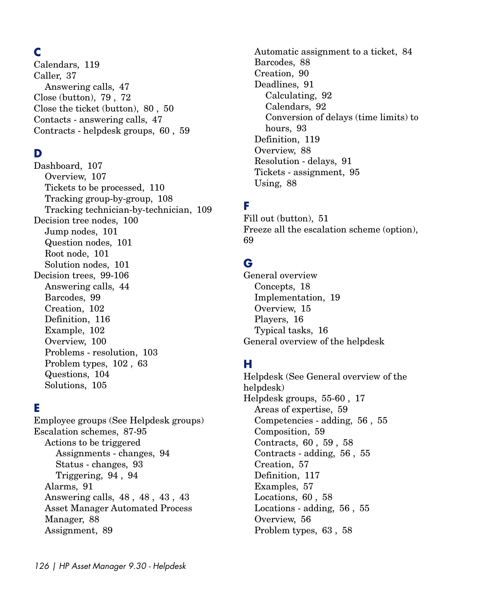# **C**

Calendars, [119](#page-118-1) Caller, [37](#page-36-0) Answering calls, [47](#page-46-0) Close (button), [79 ,](#page-78-0) [72](#page-71-0) Close the ticket (button), [80 ,](#page-79-0) [50](#page-49-0) Contacts - answering calls, [47](#page-46-1) Contracts - helpdesk groups, [60 ,](#page-59-0) [59](#page-58-0)

#### **D**

Dashboard, [107](#page-106-0) Overview, [107](#page-106-1) Tickets to be processed, [110](#page-109-0) Tracking group-by-group, [108](#page-107-0) Tracking technician-by-technician, [109](#page-108-0) Decision tree nodes, [100](#page-99-0) Jump nodes, [101](#page-100-0) Question nodes, [101](#page-100-1) Root node, [101](#page-100-2) Solution nodes, [101](#page-100-3) Decision trees, [99-106](#page-98-1) Answering calls, [44](#page-43-0) Barcodes, [99](#page-98-0) Creation, [102](#page-101-0) Definition, [116](#page-115-0) Example, [102](#page-101-1) Overview, [100](#page-99-0) Problems - resolution, [103](#page-102-0) Problem types, [102](#page-101-2) , [63](#page-62-0) Questions, [104](#page-103-0) Solutions, [105](#page-104-0)

#### **E**

Employee groups (See Helpdesk groups) Escalation schemes, [87-95](#page-86-0) Actions to be triggered Assignments - changes, [94](#page-93-0) Status - changes, [93](#page-92-0) Triggering, [94 ,](#page-93-1) [94](#page-93-2) Alarms, [91](#page-90-0) Answering calls, [48 ,](#page-47-1) [48 ,](#page-47-0) [43 , 43](#page-42-0) Asset Manager Automated Process Manager, [88](#page-87-0) Assignment, [89](#page-88-0)

Automatic assignment to a ticket, [84](#page-83-0) Barcodes, [88](#page-87-1) Creation, [90](#page-89-0) Deadlines, [91](#page-90-0) Calculating, [92](#page-91-0) Calendars, [92](#page-91-1) Conversion of delays (time limits) to hours, [93](#page-92-1) Definition, [119](#page-118-2) Overview, [88](#page-87-2) Resolution - delays, [91](#page-90-1) Tickets - assignment, [95](#page-94-0) Using, [88](#page-87-3)

#### **F**

Fill out (button), [51](#page-50-0) Freeze all the escalation scheme (option), [69](#page-68-0)

## **G**

General overview Concepts, [18](#page-17-0) Implementation, [19](#page-18-0) Overview, [15](#page-14-0) Players, [16](#page-15-0) Typical tasks, [16](#page-15-0) General overview of the helpdesk

#### **H**

Helpdesk (See General overview of the helpdesk) Helpdesk groups, [55-60](#page-54-0) , [17](#page-16-2) Areas of expertise, [59](#page-58-1) Competencies - adding, [56 ,](#page-55-1) [55](#page-54-1) Composition, [59](#page-58-2) Contracts, [60](#page-59-0) , [59](#page-58-0) , [58](#page-57-0) Contracts - adding, [56 ,](#page-55-1) [55](#page-54-1) Creation, [57](#page-56-0) Definition, [117](#page-116-0) Examples, [57](#page-56-1) Locations, [60 ,](#page-59-1) [58](#page-57-0) Locations - adding, [56](#page-55-1) , [55](#page-54-1) Overview, [56](#page-55-2) Problem types, [63](#page-62-1) , [58](#page-57-0)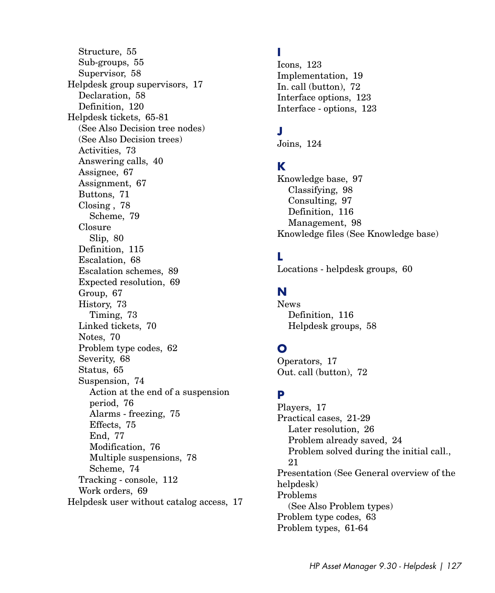Structure, [55](#page-54-1) Sub-groups, [55](#page-54-1) Supervisor, [58](#page-57-1) Helpdesk group supervisors, [17](#page-16-3) Declaration, [58](#page-57-1) Definition, [120](#page-119-1) Helpdesk tickets, [65-81](#page-64-0) (See Also Decision tree nodes) (See Also Decision trees) Activities, [73](#page-72-0) Answering calls, [40](#page-39-0) Assignee, [67](#page-66-0) Assignment, [67](#page-66-1) Buttons, [71](#page-70-0) Closing , [78](#page-77-0) Scheme, [79](#page-78-1) Closure Slip, [80](#page-79-1) Definition, [115](#page-114-0) Escalation, [68](#page-67-0) Escalation schemes, [89](#page-88-0) Expected resolution, [69](#page-68-1) Group, [67](#page-66-2) History, [73](#page-72-1) Timing, [73](#page-72-2) Linked tickets, [70](#page-69-0) Notes, [70](#page-69-1) Problem type codes, [62](#page-61-1) Severity, [68](#page-67-1) Status, [65](#page-64-1) Suspension, [74](#page-73-0) Action at the end of a suspension period, [76](#page-75-0) Alarms - freezing, [75](#page-74-0) Effects, [75](#page-74-1) End, [77](#page-76-0) Modification, [76](#page-75-1) Multiple suspensions, [78](#page-77-1) Scheme, [74](#page-73-1) Tracking - console, [112](#page-111-0) Work orders, [69](#page-68-2) Helpdesk user without catalog access, [17](#page-16-4)

## **I**

Icons, [123](#page-122-0) Implementation, [19](#page-18-0) In. call (button), [72](#page-71-1) Interface options, [123](#page-122-1) Interface - options, [123](#page-122-1)

# **J**

Joins, [124](#page-123-0)

# **K**

Knowledge base, [97](#page-96-0) Classifying, [98](#page-97-0) Consulting, [97](#page-96-1) Definition, [116](#page-115-1) Management, [98](#page-97-1) Knowledge files (See Knowledge base)

## **L**

Locations - helpdesk groups, [60](#page-59-1)

## **N**

News Definition, [116](#page-115-2) Helpdesk groups, [58](#page-57-2)

## **O**

Operators, [17](#page-16-5) Out. call (button), [72](#page-71-2)

# **P**

Players, [17](#page-16-4) Practical cases, [21-29](#page-20-0) Later resolution, [26](#page-25-0) Problem already saved, [24](#page-23-0) Problem solved during the initial call., [21](#page-20-1) Presentation (See General overview of the helpdesk) Problems (See Also Problem types) Problem type codes, [63](#page-62-2) Problem types, [61-64](#page-60-1)